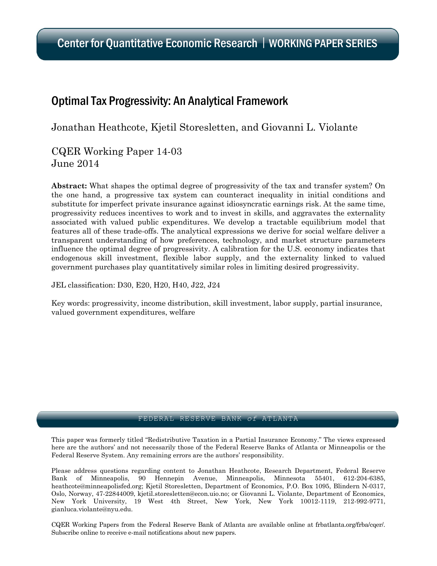# Optimal Tax Progressivity: An Analytical Framework

Jonathan Heathcote, Kjetil Storesletten, and Giovanni L. Violante

CQER Working Paper 14-03 June 2014

Abstract: What shapes the optimal degree of progressivity of the tax and transfer system? On the one hand, a progressive tax system can counteract inequality in initial conditions and substitute for imperfect private insurance against idiosyncratic earnings risk. At the same time, progressivity reduces incentives to work and to invest in skills, and aggravates the externality associated with valued public expenditures. We develop a tractable equilibrium model that features all of these trade-offs. The analytical expressions we derive for social welfare deliver a transparent understanding of how preferences, technology, and market structure parameters influence the optimal degree of progressivity. A calibration for the U.S. economy indicates that endogenous skill investment, flexible labor supply, and the externality linked to valued government purchases play quantitatively similar roles in limiting desired progressivity.

JEL classification: D30, E20, H20, H40, J22, J24

Key words: progressivity, income distribution, skill investment, labor supply, partial insurance, valued government expenditures, welfare

### FEDERAL RESERVE BANK *of* ATLANTA

This paper was formerly titled "Redistributive Taxation in a Partial Insurance Economy." The views expressed here are the authors' and not necessarily those of the Federal Reserve Banks of Atlanta or Minneapolis or the Federal Reserve System. Any remaining errors are the authors' responsibility.

Please address questions regarding content to Jonathan Heathcote, Research Department, Federal Reserve Bank of Minneapolis, 90 Hennepin Avenue, Minneapolis, Minnesota 55401, 612-204-6385, heathcote@minneapolisfed.org; Kjetil Storesletten, Department of Economics, P.O. Box 1095, Blindern N-0317, Oslo, Norway, 47-22844009, kjetil.storesletten@econ.uio.no; or Giovanni L. Violante, Department of Economics, New York University, 19 West 4th Street, New York, New York 10012-1119, 212-992-9771, gianluca.violante@nyu.edu.

CQER Working Papers from the Federal Reserve Bank of Atlanta are available online at frbatlanta.org/frba/cqer/. Subscribe online to receive e-mail notifications about new papers.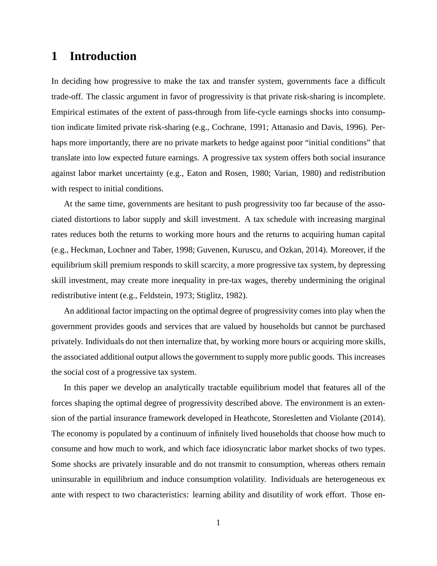# **1 Introduction**

In deciding how progressive to make the tax and transfer system, governments face a difficult trade-off. The classic argument in favor of progressivity is that private risk-sharing is incomplete. Empirical estimates of the extent of pass-through from life-cycle earnings shocks into consumption indicate limited private risk-sharing (e.g., Cochrane, 1991; Attanasio and Davis, 1996). Perhaps more importantly, there are no private markets to hedge against poor "initial conditions" that translate into low expected future earnings. A progressive tax system offers both social insurance against labor market uncertainty (e.g., Eaton and Rosen, 1980; Varian, 1980) and redistribution with respect to initial conditions.

At the same time, governments are hesitant to push progressivity too far because of the associated distortions to labor supply and skill investment. A tax schedule with increasing marginal rates reduces both the returns to working more hours and the returns to acquiring human capital (e.g., Heckman, Lochner and Taber, 1998; Guvenen, Kuruscu, and Ozkan, 2014). Moreover, if the equilibrium skill premium responds to skill scarcity, a more progressive tax system, by depressing skill investment, may create more inequality in pre-tax wages, thereby undermining the original redistributive intent (e.g., Feldstein, 1973; Stiglitz, 1982).

An additional factor impacting on the optimal degree of progressivity comes into play when the government provides goods and services that are valued by households but cannot be purchased privately. Individuals do not then internalize that, by working more hours or acquiring more skills, the associated additional output allows the government to supply more public goods. This increases the social cost of a progressive tax system.

In this paper we develop an analytically tractable equilibrium model that features all of the forces shaping the optimal degree of progressivity described above. The environment is an extension of the partial insurance framework developed in Heathcote, Storesletten and Violante (2014). The economy is populated by a continuum of infinitely lived households that choose how much to consume and how much to work, and which face idiosyncratic labor market shocks of two types. Some shocks are privately insurable and do not transmit to consumption, whereas others remain uninsurable in equilibrium and induce consumption volatility. Individuals are heterogeneous ex ante with respect to two characteristics: learning ability and disutility of work effort. Those en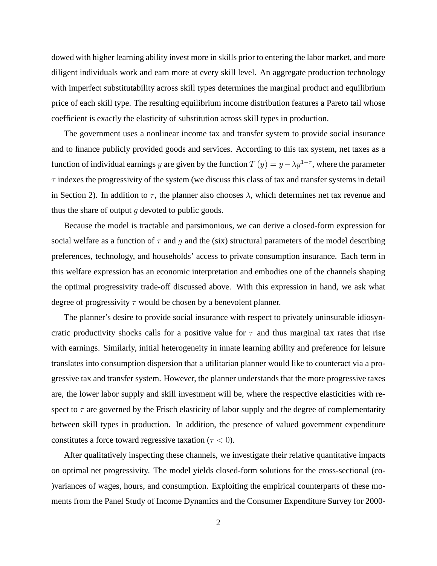dowed with higher learning ability invest more in skills prior to entering the labor market, and more diligent individuals work and earn more at every skill level. An aggregate production technology with imperfect substitutability across skill types determines the marginal product and equilibrium price of each skill type. The resulting equilibrium income distribution features a Pareto tail whose coefficient is exactly the elasticity of substitution across skill types in production.

The government uses a nonlinear income tax and transfer system to provide social insurance and to finance publicly provided goods and services. According to this tax system, net taxes as a function of individual earnings y are given by the function  $T(y) = y - \lambda y^{1-\tau}$ , where the parameter  $\tau$  indexes the progressivity of the system (we discuss this class of tax and transfer systems in detail in Section 2). In addition to  $\tau$ , the planner also chooses  $\lambda$ , which determines net tax revenue and thus the share of output  $g$  devoted to public goods.

Because the model is tractable and parsimonious, we can derive a closed-form expression for social welfare as a function of  $\tau$  and q and the (six) structural parameters of the model describing preferences, technology, and households' access to private consumption insurance. Each term in this welfare expression has an economic interpretation and embodies one of the channels shaping the optimal progressivity trade-off discussed above. With this expression in hand, we ask what degree of progressivity  $\tau$  would be chosen by a benevolent planner.

The planner's desire to provide social insurance with respect to privately uninsurable idiosyncratic productivity shocks calls for a positive value for  $\tau$  and thus marginal tax rates that rise with earnings. Similarly, initial heterogeneity in innate learning ability and preference for leisure translates into consumption dispersion that a utilitarian planner would like to counteract via a progressive tax and transfer system. However, the planner understands that the more progressive taxes are, the lower labor supply and skill investment will be, where the respective elasticities with respect to  $\tau$  are governed by the Frisch elasticity of labor supply and the degree of complementarity between skill types in production. In addition, the presence of valued government expenditure constitutes a force toward regressive taxation ( $\tau$  < 0).

After qualitatively inspecting these channels, we investigate their relative quantitative impacts on optimal net progressivity. The model yields closed-form solutions for the cross-sectional (co- )variances of wages, hours, and consumption. Exploiting the empirical counterparts of these moments from the Panel Study of Income Dynamics and the Consumer Expenditure Survey for 2000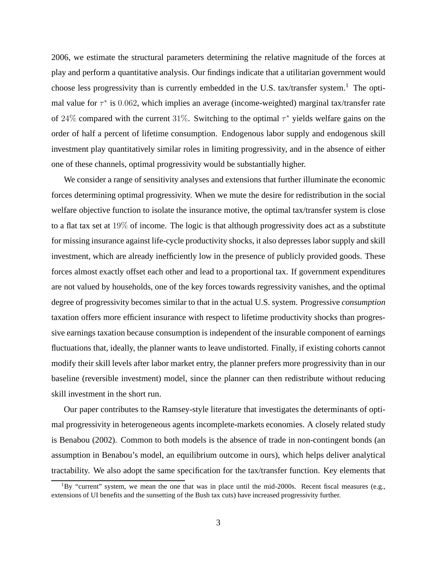2006, we estimate the structural parameters determining the relative magnitude of the forces at play and perform a quantitative analysis. Our findings indicate that a utilitarian government would choose less progressivity than is currently embedded in the U.S. tax/transfer system.<sup>1</sup> The optimal value for  $\tau^*$  is 0.062, which implies an average (income-weighted) marginal tax/transfer rate of 24% compared with the current 31%. Switching to the optimal  $\tau^*$  yields welfare gains on the order of half a percent of lifetime consumption. Endogenous labor supply and endogenous skill investment play quantitatively similar roles in limiting progressivity, and in the absence of either one of these channels, optimal progressivity would be substantially higher.

We consider a range of sensitivity analyses and extensions that further illuminate the economic forces determining optimal progressivity. When we mute the desire for redistribution in the social welfare objective function to isolate the insurance motive, the optimal tax/transfer system is close to a flat tax set at 19% of income. The logic is that although progressivity does act as a substitute for missing insurance against life-cycle productivity shocks, it also depresses labor supply and skill investment, which are already inefficiently low in the presence of publicly provided goods. These forces almost exactly offset each other and lead to a proportional tax. If government expenditures are not valued by households, one of the key forces towards regressivity vanishes, and the optimal degree of progressivity becomes similar to that in the actual U.S. system. Progressive *consumption* taxation offers more efficient insurance with respect to lifetime productivity shocks than progressive earnings taxation because consumption is independent of the insurable component of earnings fluctuations that, ideally, the planner wants to leave undistorted. Finally, if existing cohorts cannot modify their skill levels after labor market entry, the planner prefers more progressivity than in our baseline (reversible investment) model, since the planner can then redistribute without reducing skill investment in the short run.

Our paper contributes to the Ramsey-style literature that investigates the determinants of optimal progressivity in heterogeneous agents incomplete-markets economies. A closely related study is Benabou (2002). Common to both models is the absence of trade in non-contingent bonds (an assumption in Benabou's model, an equilibrium outcome in ours), which helps deliver analytical tractability. We also adopt the same specification for the tax/transfer function. Key elements that

 ${}^{1}$ By "current" system, we mean the one that was in place until the mid-2000s. Recent fiscal measures (e.g., extensions of UI benefits and the sunsetting of the Bush tax cuts) have increased progressivity further.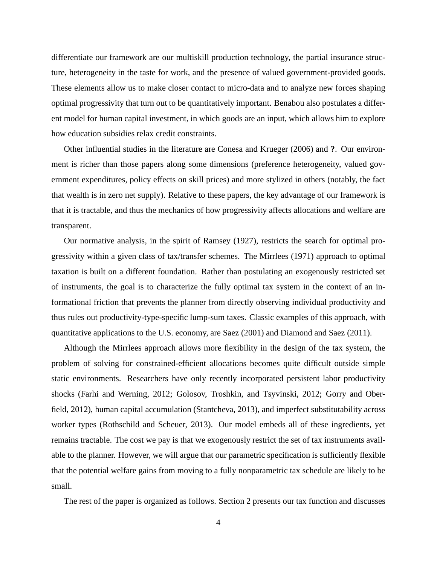differentiate our framework are our multiskill production technology, the partial insurance structure, heterogeneity in the taste for work, and the presence of valued government-provided goods. These elements allow us to make closer contact to micro-data and to analyze new forces shaping optimal progressivity that turn out to be quantitatively important. Benabou also postulates a different model for human capital investment, in which goods are an input, which allows him to explore how education subsidies relax credit constraints.

Other influential studies in the literature are Conesa and Krueger (2006) and **?**. Our environment is richer than those papers along some dimensions (preference heterogeneity, valued government expenditures, policy effects on skill prices) and more stylized in others (notably, the fact that wealth is in zero net supply). Relative to these papers, the key advantage of our framework is that it is tractable, and thus the mechanics of how progressivity affects allocations and welfare are transparent.

Our normative analysis, in the spirit of Ramsey (1927), restricts the search for optimal progressivity within a given class of tax/transfer schemes. The Mirrlees (1971) approach to optimal taxation is built on a different foundation. Rather than postulating an exogenously restricted set of instruments, the goal is to characterize the fully optimal tax system in the context of an informational friction that prevents the planner from directly observing individual productivity and thus rules out productivity-type-specific lump-sum taxes. Classic examples of this approach, with quantitative applications to the U.S. economy, are Saez (2001) and Diamond and Saez (2011).

Although the Mirrlees approach allows more flexibility in the design of the tax system, the problem of solving for constrained-efficient allocations becomes quite difficult outside simple static environments. Researchers have only recently incorporated persistent labor productivity shocks (Farhi and Werning, 2012; Golosov, Troshkin, and Tsyvinski, 2012; Gorry and Oberfield, 2012), human capital accumulation (Stantcheva, 2013), and imperfect substitutability across worker types (Rothschild and Scheuer, 2013). Our model embeds all of these ingredients, yet remains tractable. The cost we pay is that we exogenously restrict the set of tax instruments available to the planner. However, we will argue that our parametric specification is sufficiently flexible that the potential welfare gains from moving to a fully nonparametric tax schedule are likely to be small.

The rest of the paper is organized as follows. Section 2 presents our tax function and discusses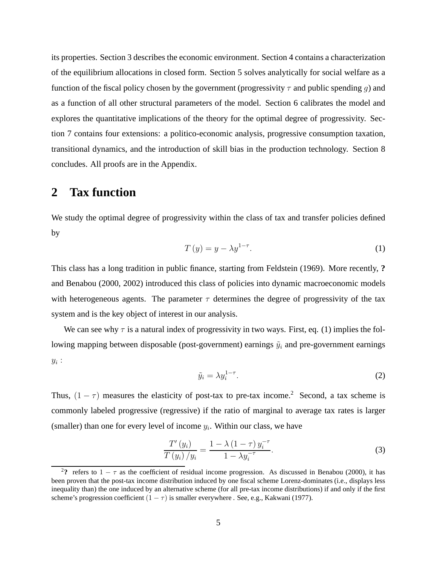its properties. Section 3 describes the economic environment. Section 4 contains a characterization of the equilibrium allocations in closed form. Section 5 solves analytically for social welfare as a function of the fiscal policy chosen by the government (progressivity  $\tau$  and public spending g) and as a function of all other structural parameters of the model. Section 6 calibrates the model and explores the quantitative implications of the theory for the optimal degree of progressivity. Section 7 contains four extensions: a politico-economic analysis, progressive consumption taxation, transitional dynamics, and the introduction of skill bias in the production technology. Section 8 concludes. All proofs are in the Appendix.

## **2 Tax function**

We study the optimal degree of progressivity within the class of tax and transfer policies defined by

$$
T(y) = y - \lambda y^{1-\tau}.
$$
 (1)

This class has a long tradition in public finance, starting from Feldstein (1969). More recently, **?** and Benabou (2000, 2002) introduced this class of policies into dynamic macroeconomic models with heterogeneous agents. The parameter  $\tau$  determines the degree of progressivity of the tax system and is the key object of interest in our analysis.

We can see why  $\tau$  is a natural index of progressivity in two ways. First, eq. (1) implies the following mapping between disposable (post-government) earnings  $\tilde{y}_i$  and pre-government earnings  $y_i$ :

$$
\tilde{y}_i = \lambda y_i^{1-\tau}.\tag{2}
$$

Thus,  $(1 - \tau)$  measures the elasticity of post-tax to pre-tax income.<sup>2</sup> Second, a tax scheme is commonly labeled progressive (regressive) if the ratio of marginal to average tax rates is larger (smaller) than one for every level of income  $y_i$ . Within our class, we have

$$
\frac{T'(y_i)}{T(y_i)/y_i} = \frac{1 - \lambda (1 - \tau) y_i^{-\tau}}{1 - \lambda y_i^{-\tau}}.
$$
\n(3)

<sup>&</sup>lt;sup>2</sup>? refers to  $1 - \tau$  as the coefficient of residual income progression. As discussed in Benabou (2000), it has been proven that the post-tax income distribution induced by one fiscal scheme Lorenz-dominates (i.e., displays less inequality than) the one induced by an alternative scheme (for all pre-tax income distributions) if and only if the first scheme's progression coefficient  $(1 - \tau)$  is smaller everywhere . See, e.g., Kakwani (1977).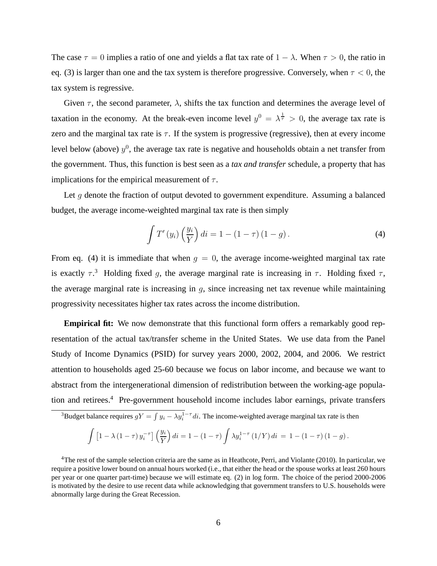The case  $\tau = 0$  implies a ratio of one and yields a flat tax rate of  $1 - \lambda$ . When  $\tau > 0$ , the ratio in eq. (3) is larger than one and the tax system is therefore progressive. Conversely, when  $\tau < 0$ , the tax system is regressive.

Given  $\tau$ , the second parameter,  $\lambda$ , shifts the tax function and determines the average level of taxation in the economy. At the break-even income level  $y^0 = \lambda^{\frac{1}{\tau}} > 0$ , the average tax rate is zero and the marginal tax rate is  $\tau$ . If the system is progressive (regressive), then at every income level below (above)  $y^0$ , the average tax rate is negative and households obtain a net transfer from the government. Thus, this function is best seen as a *tax and transfer* schedule, a property that has implications for the empirical measurement of  $\tau$ .

Let  $g$  denote the fraction of output devoted to government expenditure. Assuming a balanced budget, the average income-weighted marginal tax rate is then simply

$$
\int T'(y_i) \left(\frac{y_i}{Y}\right) di = 1 - (1 - \tau) (1 - g). \tag{4}
$$

From eq. (4) it is immediate that when  $q = 0$ , the average income-weighted marginal tax rate is exactly  $\tau$ <sup>3</sup>. Holding fixed g, the average marginal rate is increasing in  $\tau$ . Holding fixed  $\tau$ , the average marginal rate is increasing in  $g$ , since increasing net tax revenue while maintaining progressivity necessitates higher tax rates across the income distribution.

**Empirical fit:** We now demonstrate that this functional form offers a remarkably good representation of the actual tax/transfer scheme in the United States. We use data from the Panel Study of Income Dynamics (PSID) for survey years 2000, 2002, 2004, and 2006. We restrict attention to households aged 25-60 because we focus on labor income, and because we want to abstract from the intergenerational dimension of redistribution between the working-age population and retirees.<sup>4</sup> Pre-government household income includes labor earnings, private transfers

<sup>3</sup>Budget balance requires  $gY = \int y_i - \lambda y_i^{1-\tau} di$ . The income-weighted average marginal tax rate is then

$$
\int \left[1 - \lambda (1 - \tau) y_i^{-\tau}\right] \left(\frac{y_i}{Y}\right) di = 1 - (1 - \tau) \int \lambda y_i^{1 - \tau} (1/Y) di = 1 - (1 - \tau) (1 - g).
$$

 $4$ The rest of the sample selection criteria are the same as in Heathcote, Perri, and Violante (2010). In particular, we require a positive lower bound on annual hours worked (i.e., that either the head or the spouse works at least 260 hours per year or one quarter part-time) because we will estimate eq. (2) in log form. The choice of the period 2000-2006 is motivated by the desire to use recent data while acknowledging that government transfers to U.S. households were abnormally large during the Great Recession.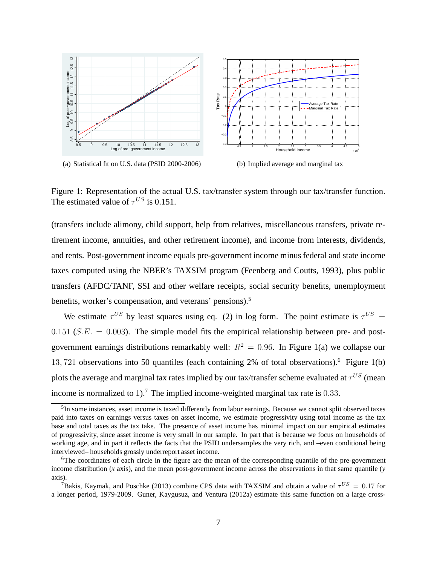

Figure 1: Representation of the actual U.S. tax/transfer system through our tax/transfer function. The estimated value of  $\tau^{US}$  is 0.151.

(transfers include alimony, child support, help from relatives, miscellaneous transfers, private retirement income, annuities, and other retirement income), and income from interests, dividends, and rents. Post-government income equals pre-government income minus federal and state income taxes computed using the NBER's TAXSIM program (Feenberg and Coutts, 1993), plus public transfers (AFDC/TANF, SSI and other welfare receipts, social security benefits, unemployment benefits, worker's compensation, and veterans' pensions).<sup>5</sup>

We estimate  $\tau^{US}$  by least squares using eq. (2) in log form. The point estimate is  $\tau^{US}$  = 0.151 ( $S.E. = 0.003$ ). The simple model fits the empirical relationship between pre- and postgovernment earnings distributions remarkably well:  $R^2 = 0.96$ . In Figure 1(a) we collapse our 13, 721 observations into 50 quantiles (each containing 2% of total observations).<sup>6</sup> Figure 1(b) plots the average and marginal tax rates implied by our tax/transfer scheme evaluated at  $\tau^{US}$  (mean income is normalized to 1).<sup>7</sup> The implied income-weighted marginal tax rate is 0.33.

<sup>&</sup>lt;sup>5</sup>In some instances, asset income is taxed differently from labor earnings. Because we cannot split observed taxes paid into taxes on earnings versus taxes on asset income, we estimate progressivity using total income as the tax base and total taxes as the tax take. The presence of asset income has minimal impact on our empirical estimates of progressivity, since asset income is very small in our sample. In part that is because we focus on households of working age, and in part it reflects the facts that the PSID undersamples the very rich, and –even conditional being interviewed– households grossly underreport asset income.

<sup>&</sup>lt;sup>6</sup>The coordinates of each circle in the figure are the mean of the corresponding quantile of the pre-government income distribution  $(x \text{ axis})$ , and the mean post-government income across the observations in that same quantile  $(y \text{ axis})$ axis).

<sup>&</sup>lt;sup>7</sup>Bakis, Kaymak, and Poschke (2013) combine CPS data with TAXSIM and obtain a value of  $\tau^{US} = 0.17$  for a longer period, 1979-2009. Guner, Kaygusuz, and Ventura (2012a) estimate this same function on a large cross-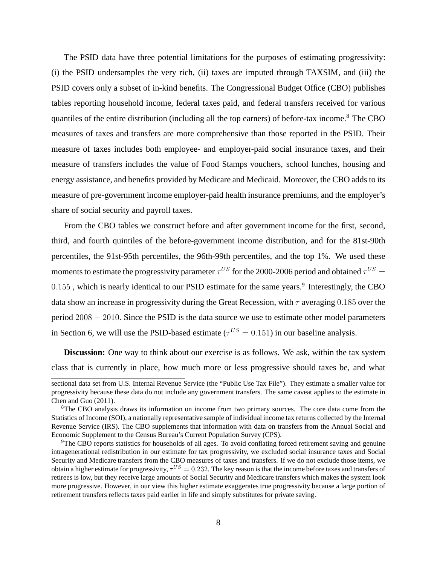The PSID data have three potential limitations for the purposes of estimating progressivity: (i) the PSID undersamples the very rich, (ii) taxes are imputed through TAXSIM, and (iii) the PSID covers only a subset of in-kind benefits. The Congressional Budget Office (CBO) publishes tables reporting household income, federal taxes paid, and federal transfers received for various quantiles of the entire distribution (including all the top earners) of before-tax income.<sup>8</sup> The CBO measures of taxes and transfers are more comprehensive than those reported in the PSID. Their measure of taxes includes both employee- and employer-paid social insurance taxes, and their measure of transfers includes the value of Food Stamps vouchers, school lunches, housing and energy assistance, and benefits provided by Medicare and Medicaid. Moreover, the CBO adds to its measure of pre-government income employer-paid health insurance premiums, and the employer's share of social security and payroll taxes.

From the CBO tables we construct before and after government income for the first, second, third, and fourth quintiles of the before-government income distribution, and for the 81st-90th percentiles, the 91st-95th percentiles, the 96th-99th percentiles, and the top 1%. We used these moments to estimate the progressivity parameter  $\tau^{US}$  for the 2000-2006 period and obtained  $\tau^{US}=$  $0.155$ , which is nearly identical to our PSID estimate for the same years.<sup>9</sup> Interestingly, the CBO data show an increase in progressivity during the Great Recession, with  $\tau$  averaging 0.185 over the period 2008 − 2010. Since the PSID is the data source we use to estimate other model parameters in Section 6, we will use the PSID-based estimate ( $\tau^{US} = 0.151$ ) in our baseline analysis.

**Discussion:** One way to think about our exercise is as follows. We ask, within the tax system class that is currently in place, how much more or less progressive should taxes be, and what

sectional data set from U.S. Internal Revenue Service (the "Public Use Tax File"). They estimate a smaller value for progressivity because these data do not include any government transfers. The same caveat applies to the estimate in Chen and Guo (2011).

<sup>&</sup>lt;sup>8</sup>The CBO analysis draws its information on income from two primary sources. The core data come from the Statistics of Income (SOI), a nationally representative sample of individual income tax returns collected by the Internal Revenue Service (IRS). The CBO supplements that information with data on transfers from the Annual Social and Economic Supplement to the Census Bureau's Current Population Survey (CPS).

<sup>9</sup>The CBO reports statistics for households of all ages. To avoid conflating forced retirement saving and genuine intragenerational redistribution in our estimate for tax progressivity, we excluded social insurance taxes and Social Security and Medicare transfers from the CBO measures of taxes and transfers. If we do not exclude those items, we obtain a higher estimate for progressivity,  $\tau^{US}=0.232.$  The key reason is that the income before taxes and transfers of retirees is low, but they receive large amounts of Social Security and Medicare transfers which makes the system look more progressive. However, in our view this higher estimate exaggerates true progressivity because a large portion of retirement transfers reflects taxes paid earlier in life and simply substitutes for private saving.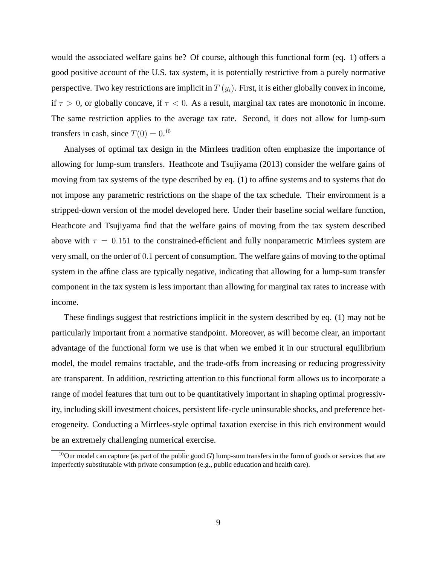would the associated welfare gains be? Of course, although this functional form (eq. 1) offers a good positive account of the U.S. tax system, it is potentially restrictive from a purely normative perspective. Two key restrictions are implicit in  $T(y_i)$ . First, it is either globally convex in income, if  $\tau > 0$ , or globally concave, if  $\tau < 0$ . As a result, marginal tax rates are monotonic in income. The same restriction applies to the average tax rate. Second, it does not allow for lump-sum transfers in cash, since  $T(0) = 0.10$ 

Analyses of optimal tax design in the Mirrlees tradition often emphasize the importance of allowing for lump-sum transfers. Heathcote and Tsujiyama (2013) consider the welfare gains of moving from tax systems of the type described by eq. (1) to affine systems and to systems that do not impose any parametric restrictions on the shape of the tax schedule. Their environment is a stripped-down version of the model developed here. Under their baseline social welfare function, Heathcote and Tsujiyama find that the welfare gains of moving from the tax system described above with  $\tau = 0.151$  to the constrained-efficient and fully nonparametric Mirrlees system are very small, on the order of 0.1 percent of consumption. The welfare gains of moving to the optimal system in the affine class are typically negative, indicating that allowing for a lump-sum transfer component in the tax system is less important than allowing for marginal tax rates to increase with income.

These findings suggest that restrictions implicit in the system described by eq. (1) may not be particularly important from a normative standpoint. Moreover, as will become clear, an important advantage of the functional form we use is that when we embed it in our structural equilibrium model, the model remains tractable, and the trade-offs from increasing or reducing progressivity are transparent. In addition, restricting attention to this functional form allows us to incorporate a range of model features that turn out to be quantitatively important in shaping optimal progressivity, including skill investment choices, persistent life-cycle uninsurable shocks, and preference heterogeneity. Conducting a Mirrlees-style optimal taxation exercise in this rich environment would be an extremely challenging numerical exercise.

<sup>&</sup>lt;sup>10</sup>Our model can capture (as part of the public good G) lump-sum transfers in the form of goods or services that are imperfectly substitutable with private consumption (e.g., public education and health care).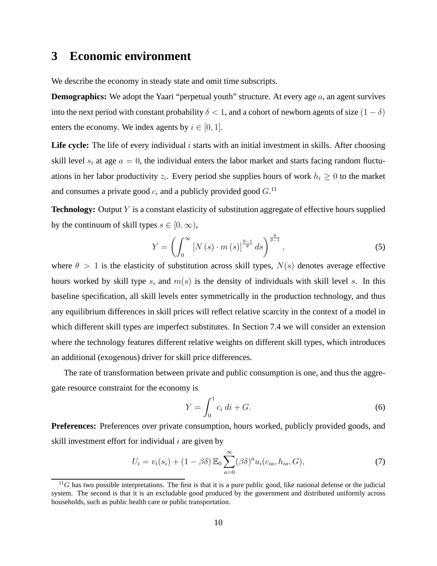## **3 Economic environment**

We describe the economy in steady state and omit time subscripts.

**Demographics:** We adopt the Yaari "perpetual youth" structure. At every age a, an agent survives into the next period with constant probability  $\delta < 1$ , and a cohort of newborn agents of size  $(1 - \delta)$ enters the economy. We index agents by  $i \in [0, 1]$ .

**Life cycle:** The life of every individual *i* starts with an initial investment in skills. After choosing skill level  $s_i$  at age  $a = 0$ , the individual enters the labor market and starts facing random fluctuations in her labor productivity  $z_i$ . Every period she supplies hours of work  $h_i \geq 0$  to the market and consumes a private good  $c_i$  and a publicly provided good  $G$ .<sup>11</sup>

**Technology:** Output Y is a constant elasticity of substitution aggregate of effective hours supplied by the continuum of skill types  $s \in [0, \infty)$ ,

$$
Y = \left(\int_0^\infty \left[N\left(s\right) \cdot m\left(s\right)\right]^{\frac{\theta - 1}{\theta}} ds\right)^{\frac{\theta}{\theta - 1}},\tag{5}
$$

where  $\theta > 1$  is the elasticity of substitution across skill types,  $N(s)$  denotes average effective hours worked by skill type s, and  $m(s)$  is the density of individuals with skill level s. In this baseline specification, all skill levels enter symmetrically in the production technology, and thus any equilibrium differences in skill prices will reflect relative scarcity in the context of a model in which different skill types are imperfect substitutes. In Section 7.4 we will consider an extension where the technology features different relative weights on different skill types, which introduces an additional (exogenous) driver for skill price differences.

The rate of transformation between private and public consumption is one, and thus the aggregate resource constraint for the economy is

$$
Y = \int_0^1 c_i \, di + G. \tag{6}
$$

**Preferences:** Preferences over private consumption, hours worked, publicly provided goods, and skill investment effort for individual  $i$  are given by

$$
U_i = v_i(s_i) + (1 - \beta \delta) \mathbb{E}_0 \sum_{a=0}^{\infty} (\beta \delta)^a u_i(c_{ia}, h_{ia}, G), \tag{7}
$$

 $11G$  has two possible interpretations. The first is that it is a pure public good, like national defense or the judicial system. The second is that it is an excludable good produced by the government and distributed uniformly across households, such as public health care or public transportation.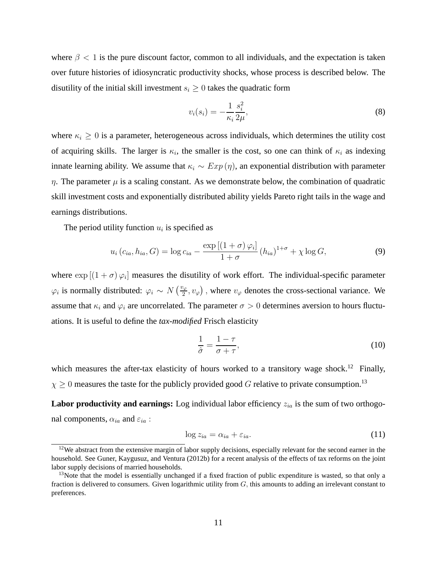where  $\beta$  < 1 is the pure discount factor, common to all individuals, and the expectation is taken over future histories of idiosyncratic productivity shocks, whose process is described below. The disutility of the initial skill investment  $s_i \geq 0$  takes the quadratic form

$$
v_i(s_i) = -\frac{1}{\kappa_i} \frac{s_i^2}{2\mu},\tag{8}
$$

where  $\kappa_i \geq 0$  is a parameter, heterogeneous across individuals, which determines the utility cost of acquiring skills. The larger is  $\kappa_i$ , the smaller is the cost, so one can think of  $\kappa_i$  as indexing innate learning ability. We assume that  $\kappa_i \sim Exp(\eta)$ , an exponential distribution with parameter  $\eta$ . The parameter  $\mu$  is a scaling constant. As we demonstrate below, the combination of quadratic skill investment costs and exponentially distributed ability yields Pareto right tails in the wage and earnings distributions.

The period utility function  $u_i$  is specified as

$$
u_i\left(c_{ia}, h_{ia}, G\right) = \log c_{ia} - \frac{\exp\left[\left(1+\sigma\right)\varphi_i\right]}{1+\sigma}\left(h_{ia}\right)^{1+\sigma} + \chi \log G,\tag{9}
$$

where  $\exp[(1+\sigma)\varphi_i]$  measures the disutility of work effort. The individual-specific parameter  $\varphi_i$  is normally distributed:  $\varphi_i \sim N\left(\frac{v_{\varphi}}{2}, v_{\varphi}\right)$ , where  $v_{\varphi}$  denotes the cross-sectional variance. We assume that  $\kappa_i$  and  $\varphi_i$  are uncorrelated. The parameter  $\sigma > 0$  determines aversion to hours fluctuations. It is useful to define the *tax-modified* Frisch elasticity

$$
\frac{1}{\hat{\sigma}} = \frac{1 - \tau}{\sigma + \tau},\tag{10}
$$

which measures the after-tax elasticity of hours worked to a transitory wage shock.<sup>12</sup> Finally,  $\chi \geq 0$  measures the taste for the publicly provided good G relative to private consumption.<sup>13</sup>

**Labor productivity and earnings:** Log individual labor efficiency  $z_{ia}$  is the sum of two orthogonal components,  $\alpha_{ia}$  and  $\varepsilon_{ia}$  :

$$
\log z_{ia} = \alpha_{ia} + \varepsilon_{ia}.\tag{11}
$$

 $12$ We abstract from the extensive margin of labor supply decisions, especially relevant for the second earner in the household. See Guner, Kaygusuz, and Ventura (2012b) for a recent analysis of the effects of tax reforms on the joint labor supply decisions of married households.

<sup>&</sup>lt;sup>13</sup>Note that the model is essentially unchanged if a fixed fraction of public expenditure is wasted, so that only a fraction is delivered to consumers. Given logarithmic utility from  $G$ , this amounts to adding an irrelevant constant to preferences.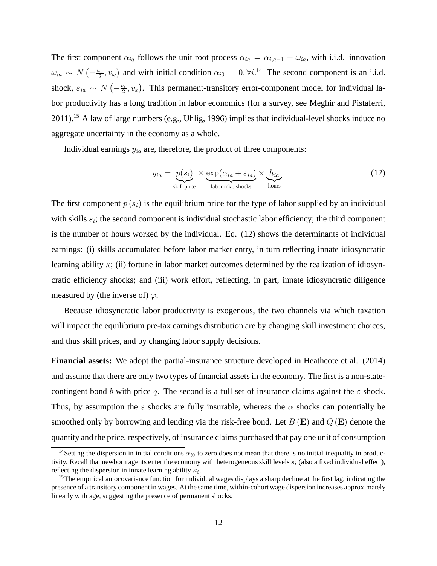The first component  $\alpha_{ia}$  follows the unit root process  $\alpha_{ia} = \alpha_{i,a-1} + \omega_{ia}$ , with i.i.d. innovation  $\omega_{ia} \sim N\left(-\frac{v_{\omega}}{2}\right)$  $(z_2, v_\omega)$  and with initial condition  $\alpha_{i0} = 0, \forall i$ .<sup>14</sup> The second component is an i.i.d. shock,  $\varepsilon_{ia} \sim N\left(-\frac{v_{\varepsilon}}{2}\right)$  $\mathbb{Z}_2^{\mathbb{Z}}$ ,  $v_{\varepsilon}$ ). This permanent-transitory error-component model for individual labor productivity has a long tradition in labor economics (for a survey, see Meghir and Pistaferri, 2011).<sup>15</sup> A law of large numbers (e.g., Uhlig, 1996) implies that individual-level shocks induce no aggregate uncertainty in the economy as a whole.

Individual earnings  $y_{ia}$  are, therefore, the product of three components:

$$
y_{ia} = \underbrace{p(s_i)}_{\text{skill price}} \times \underbrace{\exp(\alpha_{ia} + \varepsilon_{ia})}_{\text{labor mkt. shocks}} \times \underbrace{h_{ia}}_{\text{hours}}.
$$
 (12)

The first component  $p(s_i)$  is the equilibrium price for the type of labor supplied by an individual with skills  $s_i$ ; the second component is individual stochastic labor efficiency; the third component is the number of hours worked by the individual. Eq. (12) shows the determinants of individual earnings: (i) skills accumulated before labor market entry, in turn reflecting innate idiosyncratic learning ability  $\kappa$ ; (ii) fortune in labor market outcomes determined by the realization of idiosyncratic efficiency shocks; and (iii) work effort, reflecting, in part, innate idiosyncratic diligence measured by (the inverse of)  $\varphi$ .

Because idiosyncratic labor productivity is exogenous, the two channels via which taxation will impact the equilibrium pre-tax earnings distribution are by changing skill investment choices, and thus skill prices, and by changing labor supply decisions.

**Financial assets:** We adopt the partial-insurance structure developed in Heathcote et al. (2014) and assume that there are only two types of financial assets in the economy. The first is a non-statecontingent bond b with price q. The second is a full set of insurance claims against the  $\varepsilon$  shock. Thus, by assumption the  $\varepsilon$  shocks are fully insurable, whereas the  $\alpha$  shocks can potentially be smoothed only by borrowing and lending via the risk-free bond. Let  $B(E)$  and  $Q(E)$  denote the quantity and the price, respectively, of insurance claims purchased that pay one unit of consumption

<sup>&</sup>lt;sup>14</sup>Setting the dispersion in initial conditions  $\alpha_{i0}$  to zero does not mean that there is no initial inequality in productivity. Recall that newborn agents enter the economy with heterogeneous skill levels  $s_i$  (also a fixed individual effect), reflecting the dispersion in innate learning ability  $\kappa_i$ .

<sup>&</sup>lt;sup>15</sup>The empirical autocovariance function for individual wages displays a sharp decline at the first lag, indicating the presence of a transitory component in wages. At the same time, within-cohort wage dispersion increases approximately linearly with age, suggesting the presence of permanent shocks.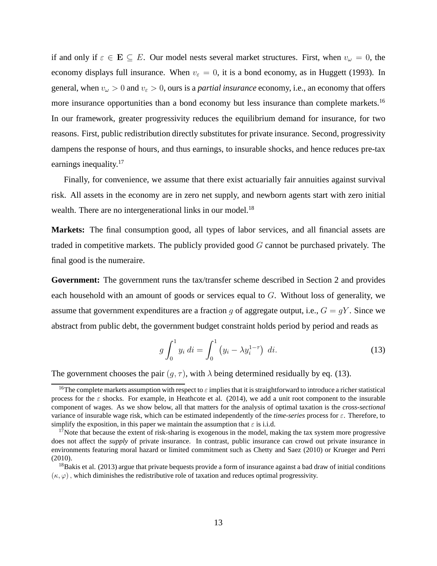if and only if  $\varepsilon \in \mathbf{E} \subseteq E$ . Our model nests several market structures. First, when  $v_\omega = 0$ , the economy displays full insurance. When  $v_{\varepsilon} = 0$ , it is a bond economy, as in Huggett (1993). In general, when  $v_\omega > 0$  and  $v_\varepsilon > 0$ , ours is a *partial insurance* economy, i.e., an economy that offers more insurance opportunities than a bond economy but less insurance than complete markets.<sup>16</sup> In our framework, greater progressivity reduces the equilibrium demand for insurance, for two reasons. First, public redistribution directly substitutes for private insurance. Second, progressivity dampens the response of hours, and thus earnings, to insurable shocks, and hence reduces pre-tax earnings inequality.<sup>17</sup>

Finally, for convenience, we assume that there exist actuarially fair annuities against survival risk. All assets in the economy are in zero net supply, and newborn agents start with zero initial wealth. There are no intergenerational links in our model.<sup>18</sup>

**Markets:** The final consumption good, all types of labor services, and all financial assets are traded in competitive markets. The publicly provided good  $G$  cannot be purchased privately. The final good is the numeraire.

**Government:** The government runs the tax/transfer scheme described in Section 2 and provides each household with an amount of goods or services equal to  $G$ . Without loss of generality, we assume that government expenditures are a fraction q of aggregate output, i.e.,  $G = qY$ . Since we abstract from public debt, the government budget constraint holds period by period and reads as

$$
g \int_0^1 y_i \, di = \int_0^1 \left( y_i - \lambda y_i^{1-\tau} \right) \, di. \tag{13}
$$

The government chooses the pair  $(q, \tau)$ , with  $\lambda$  being determined residually by eq. (13).

<sup>&</sup>lt;sup>16</sup>The complete markets assumption with respect to  $\varepsilon$  implies that it is straightforward to introduce a richer statistical process for the  $\varepsilon$  shocks. For example, in Heathcote et al. (2014), we add a unit root component to the insurable component of wages. As we show below, all that matters for the analysis of optimal taxation is the *cross-sectional* variance of insurable wage risk, which can be estimated independently of the *time-series* process for ε. Therefore, to simplify the exposition, in this paper we maintain the assumption that  $\varepsilon$  is i.i.d.

 $17$ Note that because the extent of risk-sharing is exogenous in the model, making the tax system more progressive does not affect the *supply* of private insurance. In contrast, public insurance can crowd out private insurance in environments featuring moral hazard or limited commitment such as Chetty and Saez (2010) or Krueger and Perri (2010).

 $18B$ akis et al. (2013) argue that private bequests provide a form of insurance against a bad draw of initial conditions  $(\kappa, \varphi)$ , which diminishes the redistributive role of taxation and reduces optimal progressivity.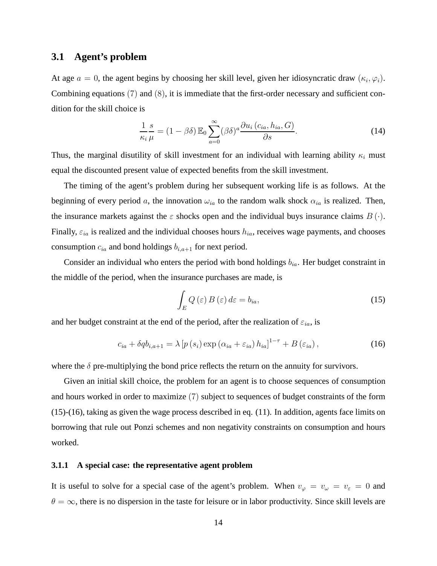## **3.1 Agent's problem**

At age  $a = 0$ , the agent begins by choosing her skill level, given her idiosyncratic draw  $(\kappa_i, \varphi_i)$ . Combining equations (7) and (8), it is immediate that the first-order necessary and sufficient condition for the skill choice is

$$
\frac{1}{\kappa_i} \frac{s}{\mu} = (1 - \beta \delta) \mathbb{E}_0 \sum_{a=0}^{\infty} (\beta \delta)^a \frac{\partial u_i (c_{ia}, h_{ia}, G)}{\partial s}.
$$
 (14)

Thus, the marginal disutility of skill investment for an individual with learning ability  $\kappa_i$  must equal the discounted present value of expected benefits from the skill investment.

The timing of the agent's problem during her subsequent working life is as follows. At the beginning of every period a, the innovation  $\omega_{ia}$  to the random walk shock  $\alpha_{ia}$  is realized. Then, the insurance markets against the  $\varepsilon$  shocks open and the individual buys insurance claims  $B(\cdot)$ . Finally,  $\varepsilon_{ia}$  is realized and the individual chooses hours  $h_{ia}$ , receives wage payments, and chooses consumption  $c_{ia}$  and bond holdings  $b_{i,a+1}$  for next period.

Consider an individual who enters the period with bond holdings  $b_{ia}$ . Her budget constraint in the middle of the period, when the insurance purchases are made, is

$$
\int_{E} Q\left(\varepsilon\right) B\left(\varepsilon\right) d\varepsilon = b_{ia},\tag{15}
$$

and her budget constraint at the end of the period, after the realization of  $\varepsilon_{ia}$ , is

$$
c_{ia} + \delta q b_{i,a+1} = \lambda \left[ p\left(s_i\right) \exp\left(\alpha_{ia} + \varepsilon_{ia}\right) h_{ia} \right]^{1-\tau} + B\left(\varepsilon_{ia}\right),\tag{16}
$$

where the  $\delta$  pre-multiplying the bond price reflects the return on the annuity for survivors.

Given an initial skill choice, the problem for an agent is to choose sequences of consumption and hours worked in order to maximize (7) subject to sequences of budget constraints of the form (15)-(16), taking as given the wage process described in eq. (11). In addition, agents face limits on borrowing that rule out Ponzi schemes and non negativity constraints on consumption and hours worked.

#### **3.1.1 A special case: the representative agent problem**

It is useful to solve for a special case of the agent's problem. When  $v_{\varphi} = v_{\varphi} = v_{\varepsilon} = 0$  and  $\theta = \infty$ , there is no dispersion in the taste for leisure or in labor productivity. Since skill levels are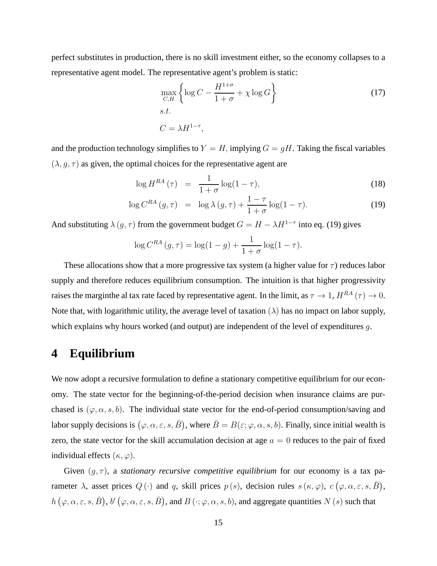perfect substitutes in production, there is no skill investment either, so the economy collapses to a representative agent model. The representative agent's problem is static:

$$
\max_{C,H} \left\{ \log C - \frac{H^{1+\sigma}}{1+\sigma} + \chi \log G \right\}
$$
\n
$$
s.t.
$$
\n
$$
C = \lambda H^{1-\tau},
$$
\n(17)

and the production technology simplifies to  $Y = H$ , implying  $G = gH$ . Taking the fiscal variables  $(\lambda, g, \tau)$  as given, the optimal choices for the representative agent are

$$
\log H^{RA}\left(\tau\right) = \frac{1}{1+\sigma}\log(1-\tau),\tag{18}
$$

$$
\log C^{RA} \left( g, \tau \right) = \log \lambda \left( g, \tau \right) + \frac{1 - \tau}{1 + \sigma} \log(1 - \tau). \tag{19}
$$

And substituting  $\lambda(g, \tau)$  from the government budget  $G = H - \lambda H^{1-\tau}$  into eq. (19) gives

$$
\log C^{RA} (g, \tau) = \log(1 - g) + \frac{1}{1 + \sigma} \log(1 - \tau).
$$

These allocations show that a more progressive tax system (a higher value for  $\tau$ ) reduces labor supply and therefore reduces equilibrium consumption. The intuition is that higher progressivity raises the marginthe al tax rate faced by representative agent. In the limit, as  $\tau \to 1$ ,  $H^{RA}(\tau) \to 0$ . Note that, with logarithmic utility, the average level of taxation  $(\lambda)$  has no impact on labor supply, which explains why hours worked (and output) are independent of the level of expenditures g.

## **4 Equilibrium**

We now adopt a recursive formulation to define a stationary competitive equilibrium for our economy. The state vector for the beginning-of-the-period decision when insurance claims are purchased is  $(\varphi, \alpha, s, b)$ . The individual state vector for the end-of-period consumption/saving and labor supply decisions is  $(\varphi, \alpha, \varepsilon, s, \bar{B})$ , where  $\bar{B} = B(\varepsilon; \varphi, \alpha, s, b)$ . Finally, since initial wealth is zero, the state vector for the skill accumulation decision at age  $a = 0$  reduces to the pair of fixed individual effects  $(\kappa, \varphi)$ .

Given  $(g, \tau)$ , a *stationary recursive competitive equilibrium* for our economy is a tax parameter  $\lambda$ , asset prices  $Q(\cdot)$  and q, skill prices  $p(s)$ , decision rules  $s(\kappa,\varphi)$ ,  $c(\varphi,\alpha,\varepsilon,s,\bar{B})$ ,  $h(\varphi,\alpha,\varepsilon,s,\bar{B}),$   $b'(\varphi,\alpha,\varepsilon,s,\bar{B})$ , and  $B(\cdot;\varphi,\alpha,s,b)$ , and aggregate quantities  $N(s)$  such that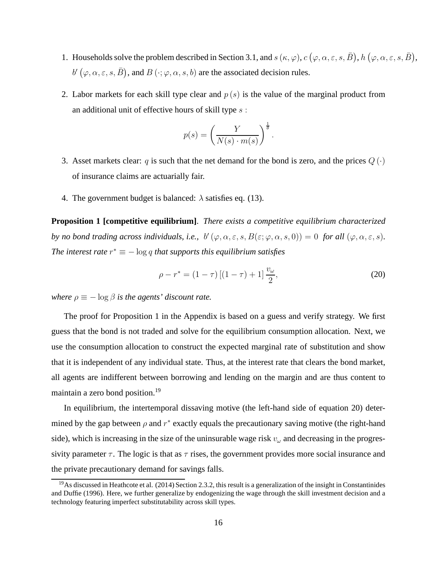- 1. Households solve the problem described in Section 3.1, and  $s(\kappa, \varphi)$ ,  $c(\varphi, \alpha, \varepsilon, s, \bar{B})$ ,  $h(\varphi, \alpha, \varepsilon, s, \bar{B})$ ,  $b'$   $(\varphi, \alpha, \varepsilon, s, \bar{B})$ , and  $B(\cdot; \varphi, \alpha, s, b)$  are the associated decision rules.
- 2. Labor markets for each skill type clear and  $p(s)$  is the value of the marginal product from an additional unit of effective hours of skill type  $s$ :

$$
p(s) = \left(\frac{Y}{N(s) \cdot m(s)}\right)^{\frac{1}{\theta}}
$$

- 3. Asset markets clear: q is such that the net demand for the bond is zero, and the prices  $Q(\cdot)$ of insurance claims are actuarially fair.
- 4. The government budget is balanced:  $\lambda$  satisfies eq. (13).

**Proposition 1 [competitive equilibrium]**. *There exists a competitive equilibrium characterized by no bond trading across individuals, i.e.,*  $b'(\varphi, \alpha, \varepsilon, s, B(\varepsilon; \varphi, \alpha, s, 0)) = 0$  *for all*  $(\varphi, \alpha, \varepsilon, s)$ *.* The interest rate  $r^* \equiv -\log q$  that supports this equilibrium satisfies

$$
\rho - r^* = (1 - \tau) \left[ (1 - \tau) + 1 \right] \frac{v_\omega}{2},\tag{20}
$$

.

*where*  $\rho \equiv -\log \beta$  *is the agents' discount rate.* 

The proof for Proposition 1 in the Appendix is based on a guess and verify strategy. We first guess that the bond is not traded and solve for the equilibrium consumption allocation. Next, we use the consumption allocation to construct the expected marginal rate of substitution and show that it is independent of any individual state. Thus, at the interest rate that clears the bond market, all agents are indifferent between borrowing and lending on the margin and are thus content to maintain a zero bond position.<sup>19</sup>

In equilibrium, the intertemporal dissaving motive (the left-hand side of equation 20) determined by the gap between  $\rho$  and  $r^*$  exactly equals the precautionary saving motive (the right-hand side), which is increasing in the size of the uninsurable wage risk  $v_\omega$  and decreasing in the progressivity parameter  $\tau$ . The logic is that as  $\tau$  rises, the government provides more social insurance and the private precautionary demand for savings falls.

 $19$ As discussed in Heathcote et al. (2014) Section 2.3.2, this result is a generalization of the insight in Constantinides and Duffie (1996). Here, we further generalize by endogenizing the wage through the skill investment decision and a technology featuring imperfect substitutability across skill types.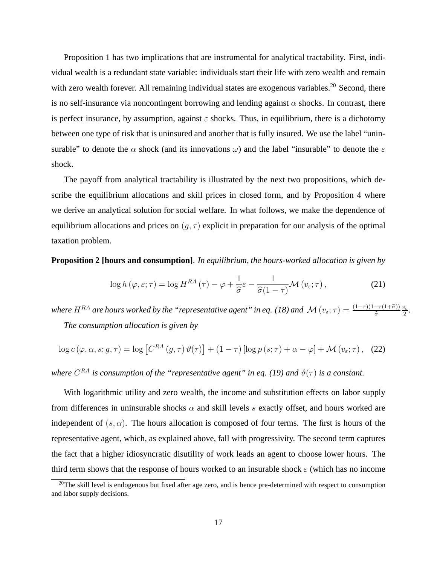Proposition 1 has two implications that are instrumental for analytical tractability. First, individual wealth is a redundant state variable: individuals start their life with zero wealth and remain with zero wealth forever. All remaining individual states are exogenous variables.<sup>20</sup> Second, there is no self-insurance via noncontingent borrowing and lending against  $\alpha$  shocks. In contrast, there is perfect insurance, by assumption, against  $\varepsilon$  shocks. Thus, in equilibrium, there is a dichotomy between one type of risk that is uninsured and another that is fully insured. We use the label "uninsurable" to denote the  $\alpha$  shock (and its innovations  $\omega$ ) and the label "insurable" to denote the  $\varepsilon$ shock.

The payoff from analytical tractability is illustrated by the next two propositions, which describe the equilibrium allocations and skill prices in closed form, and by Proposition 4 where we derive an analytical solution for social welfare. In what follows, we make the dependence of equilibrium allocations and prices on  $(q, \tau)$  explicit in preparation for our analysis of the optimal taxation problem.

**Proposition 2 [hours and consumption]**. *In equilibrium, the hours-worked allocation is given by*

$$
\log h(\varphi, \varepsilon; \tau) = \log H^{RA}(\tau) - \varphi + \frac{1}{\hat{\sigma}} \varepsilon - \frac{1}{\hat{\sigma}(1-\tau)} \mathcal{M}(v_{\varepsilon}; \tau), \tag{21}
$$

*where*  $H^{RA}$  are hours worked by the "representative agent" in eq. (18) and  $\mathcal{M}(v_\varepsilon;\tau) = \frac{(1-\tau)(1-\tau(1+\hat{\sigma}))}{\hat{\sigma}}\frac{v_\varepsilon}{2}$  $\frac{v_{\varepsilon}}{2}$ . *The consumption allocation is given by*

$$
\log c\left(\varphi,\alpha,s;g,\tau\right) = \log\left[C^{RA}\left(g,\tau\right)\vartheta(\tau)\right] + (1-\tau)\left[\log p\left(s;\tau\right) + \alpha - \varphi\right] + \mathcal{M}\left(v_{\varepsilon};\tau\right),\tag{22}
$$

where  $C^{RA}$  is consumption of the "representative agent" in eq. (19) and  $\vartheta(\tau)$  is a constant.

With logarithmic utility and zero wealth, the income and substitution effects on labor supply from differences in uninsurable shocks  $\alpha$  and skill levels s exactly offset, and hours worked are independent of  $(s, \alpha)$ . The hours allocation is composed of four terms. The first is hours of the representative agent, which, as explained above, fall with progressivity. The second term captures the fact that a higher idiosyncratic disutility of work leads an agent to choose lower hours. The third term shows that the response of hours worked to an insurable shock  $\varepsilon$  (which has no income

 $^{20}$ The skill level is endogenous but fixed after age zero, and is hence pre-determined with respect to consumption and labor supply decisions.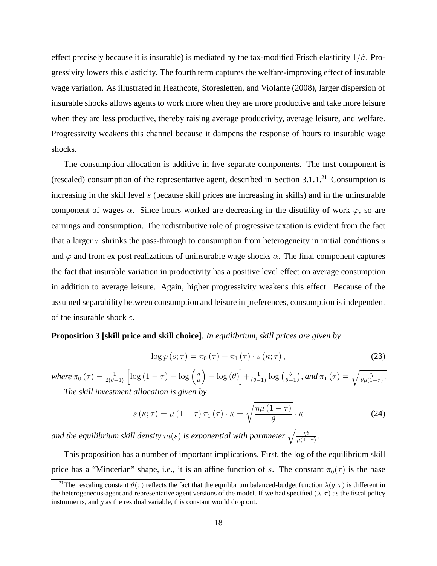effect precisely because it is insurable) is mediated by the tax-modified Frisch elasticity  $1/\hat{\sigma}$ . Progressivity lowers this elasticity. The fourth term captures the welfare-improving effect of insurable wage variation. As illustrated in Heathcote, Storesletten, and Violante (2008), larger dispersion of insurable shocks allows agents to work more when they are more productive and take more leisure when they are less productive, thereby raising average productivity, average leisure, and welfare. Progressivity weakens this channel because it dampens the response of hours to insurable wage shocks.

The consumption allocation is additive in five separate components. The first component is (rescaled) consumption of the representative agent, described in Section  $3.1.1$ <sup>21</sup> Consumption is increasing in the skill level s (because skill prices are increasing in skills) and in the uninsurable component of wages  $\alpha$ . Since hours worked are decreasing in the disutility of work  $\varphi$ , so are earnings and consumption. The redistributive role of progressive taxation is evident from the fact that a larger  $\tau$  shrinks the pass-through to consumption from heterogeneity in initial conditions s and  $\varphi$  and from ex post realizations of uninsurable wage shocks  $\alpha$ . The final component captures the fact that insurable variation in productivity has a positive level effect on average consumption in addition to average leisure. Again, higher progressivity weakens this effect. Because of the assumed separability between consumption and leisure in preferences, consumption is independent of the insurable shock  $\varepsilon$ .

#### **Proposition 3 [skill price and skill choice]**. *In equilibrium, skill prices are given by*

$$
\log p\left(s;\tau\right) = \pi_0\left(\tau\right) + \pi_1\left(\tau\right) \cdot s\left(\kappa;\tau\right),\tag{23}
$$

where  $\pi_0 \left( \tau \right) = \frac{1}{2(\theta - 1)} \left[ \log \left( 1 - \tau \right) - \log \left( \frac{\eta}{\mu} \right) \right]$  $\mu$  $\left(-\log(\theta)\right] + \frac{1}{(\theta-1)}\log\left(\frac{\theta}{\theta-1}\right)$  $\left(\frac{\theta}{\theta-1}\right)$ , and  $\pi_1(\tau) = \sqrt{\frac{\eta}{\theta\mu(1-\tau)}}$ . *The skill investment allocation is given by*

$$
s(\kappa;\tau) = \mu \left(1-\tau\right) \pi_1 \left(\tau\right) \cdot \kappa = \sqrt{\frac{\eta \mu \left(1-\tau\right)}{\theta}} \cdot \kappa \tag{24}
$$

and the equilibrium skill density  $m(s)$  is exponential with parameter  $\sqrt{\frac{\eta \theta}{\mu(1-\tau)}}.$ 

This proposition has a number of important implications. First, the log of the equilibrium skill price has a "Mincerian" shape, i.e., it is an affine function of s. The constant  $\pi_0(\tau)$  is the base

<sup>&</sup>lt;sup>21</sup>The rescaling constant  $\vartheta(\tau)$  reflects the fact that the equilibrium balanced-budget function  $\lambda(g, \tau)$  is different in the heterogeneous-agent and representative agent versions of the model. If we had specified  $(\lambda, \tau)$  as the fiscal policy instruments, and g as the residual variable, this constant would drop out.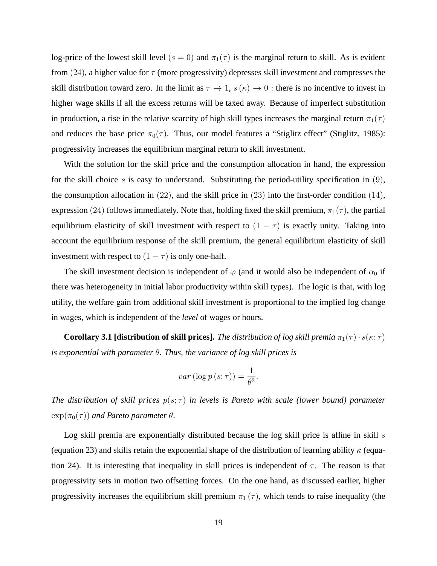log-price of the lowest skill level ( $s = 0$ ) and  $\pi_1(\tau)$  is the marginal return to skill. As is evident from (24), a higher value for  $\tau$  (more progressivity) depresses skill investment and compresses the skill distribution toward zero. In the limit as  $\tau \to 1$ ,  $s(\kappa) \to 0$ : there is no incentive to invest in higher wage skills if all the excess returns will be taxed away. Because of imperfect substitution in production, a rise in the relative scarcity of high skill types increases the marginal return  $\pi_1(\tau)$ and reduces the base price  $\pi_0(\tau)$ . Thus, our model features a "Stiglitz effect" (Stiglitz, 1985): progressivity increases the equilibrium marginal return to skill investment.

With the solution for the skill price and the consumption allocation in hand, the expression for the skill choice s is easy to understand. Substituting the period-utility specification in  $(9)$ , the consumption allocation in  $(22)$ , and the skill price in  $(23)$  into the first-order condition  $(14)$ , expression (24) follows immediately. Note that, holding fixed the skill premium,  $\pi_1(\tau)$ , the partial equilibrium elasticity of skill investment with respect to  $(1 - \tau)$  is exactly unity. Taking into account the equilibrium response of the skill premium, the general equilibrium elasticity of skill investment with respect to  $(1 - \tau)$  is only one-half.

The skill investment decision is independent of  $\varphi$  (and it would also be independent of  $\alpha_0$  if there was heterogeneity in initial labor productivity within skill types). The logic is that, with log utility, the welfare gain from additional skill investment is proportional to the implied log change in wages, which is independent of the *level* of wages or hours.

**Corollary 3.1 [distribution of skill prices].** *The distribution of log skill premia*  $\pi_1(\tau) \cdot s(\kappa; \tau)$ *is exponential with parameter* θ. *Thus, the variance of log skill prices is*

$$
var\left(\log p\left(s;\tau\right)\right) = \frac{1}{\theta^2}.
$$

*The distribution of skill prices*  $p(s; \tau)$  *in levels is Pareto with scale (lower bound) parameter*  $\exp(\pi_0(\tau))$  *and Pareto parameter*  $\theta$ .

Log skill premia are exponentially distributed because the log skill price is affine in skill  $s$ (equation 23) and skills retain the exponential shape of the distribution of learning ability  $\kappa$  (equation 24). It is interesting that inequality in skill prices is independent of  $\tau$ . The reason is that progressivity sets in motion two offsetting forces. On the one hand, as discussed earlier, higher progressivity increases the equilibrium skill premium  $\pi_1(\tau)$ , which tends to raise inequality (the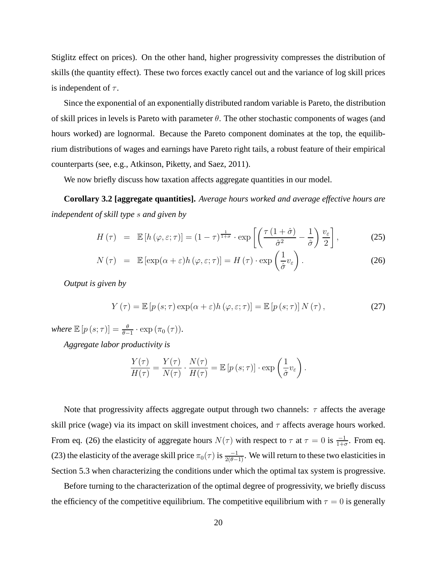Stiglitz effect on prices). On the other hand, higher progressivity compresses the distribution of skills (the quantity effect). These two forces exactly cancel out and the variance of log skill prices is independent of  $\tau$ .

Since the exponential of an exponentially distributed random variable is Pareto, the distribution of skill prices in levels is Pareto with parameter  $\theta$ . The other stochastic components of wages (and hours worked) are lognormal. Because the Pareto component dominates at the top, the equilibrium distributions of wages and earnings have Pareto right tails, a robust feature of their empirical counterparts (see, e.g., Atkinson, Piketty, and Saez, 2011).

We now briefly discuss how taxation affects aggregate quantities in our model.

**Corollary 3.2 [aggregate quantities].** *Average hours worked and average effective hours are independent of skill type* s *and given by*

$$
H(\tau) = \mathbb{E}\left[h\left(\varphi,\varepsilon;\tau\right)\right] = (1-\tau)^{\frac{1}{1+\sigma}} \cdot \exp\left[\left(\frac{\tau\left(1+\hat{\sigma}\right)}{\hat{\sigma}^2} - \frac{1}{\hat{\sigma}}\right)\frac{v_{\varepsilon}}{2}\right],\tag{25}
$$

$$
N(\tau) = \mathbb{E} \left[ \exp(\alpha + \varepsilon) h(\varphi, \varepsilon; \tau) \right] = H(\tau) \cdot \exp\left(\frac{1}{\hat{\sigma}} v_{\varepsilon}\right). \tag{26}
$$

*Output is given by*

$$
Y(\tau) = \mathbb{E}\left[p\left(s;\tau\right)\exp(\alpha+\varepsilon)h\left(\varphi,\varepsilon;\tau\right)\right] = \mathbb{E}\left[p\left(s;\tau\right)\right]N\left(\tau\right),\tag{27}
$$

where  $\mathbb{E}\left[p\left(s;\tau\right)\right]=\frac{\theta}{\theta-1}\cdot\exp\left(\pi_{0}\left(\tau\right)\right)$ .

*Aggregate labor productivity is*

$$
\frac{Y(\tau)}{H(\tau)} = \frac{Y(\tau)}{N(\tau)} \cdot \frac{N(\tau)}{H(\tau)} = \mathbb{E}\left[p\left(s; \tau\right)\right] \cdot \exp\left(\frac{1}{\hat{\sigma}}v_{\varepsilon}\right).
$$

Note that progressivity affects aggregate output through two channels:  $\tau$  affects the average skill price (wage) via its impact on skill investment choices, and  $\tau$  affects average hours worked. From eq. (26) the elasticity of aggregate hours  $N(\tau)$  with respect to  $\tau$  at  $\tau = 0$  is  $\frac{-1}{1+\sigma}$ . From eq. (23) the elasticity of the average skill price  $\pi_0(\tau)$  is  $\frac{-1}{2(\theta-1)}$ . We will return to these two elasticities in Section 5.3 when characterizing the conditions under which the optimal tax system is progressive.

Before turning to the characterization of the optimal degree of progressivity, we briefly discuss the efficiency of the competitive equilibrium. The competitive equilibrium with  $\tau = 0$  is generally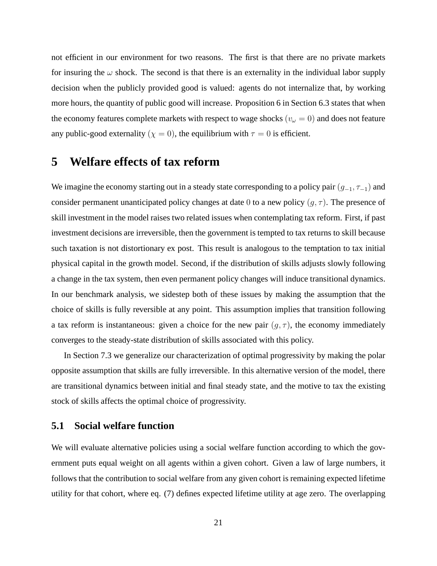not efficient in our environment for two reasons. The first is that there are no private markets for insuring the  $\omega$  shock. The second is that there is an externality in the individual labor supply decision when the publicly provided good is valued: agents do not internalize that, by working more hours, the quantity of public good will increase. Proposition 6 in Section 6.3 states that when the economy features complete markets with respect to wage shocks ( $v_\omega = 0$ ) and does not feature any public-good externality ( $\chi = 0$ ), the equilibrium with  $\tau = 0$  is efficient.

# **5 Welfare effects of tax reform**

We imagine the economy starting out in a steady state corresponding to a policy pair  $(g_{-1}, \tau_{-1})$  and consider permanent unanticipated policy changes at date 0 to a new policy  $(g, \tau)$ . The presence of skill investment in the model raises two related issues when contemplating tax reform. First, if past investment decisions are irreversible, then the government is tempted to tax returns to skill because such taxation is not distortionary ex post. This result is analogous to the temptation to tax initial physical capital in the growth model. Second, if the distribution of skills adjusts slowly following a change in the tax system, then even permanent policy changes will induce transitional dynamics. In our benchmark analysis, we sidestep both of these issues by making the assumption that the choice of skills is fully reversible at any point. This assumption implies that transition following a tax reform is instantaneous: given a choice for the new pair  $(g, \tau)$ , the economy immediately converges to the steady-state distribution of skills associated with this policy.

In Section 7.3 we generalize our characterization of optimal progressivity by making the polar opposite assumption that skills are fully irreversible. In this alternative version of the model, there are transitional dynamics between initial and final steady state, and the motive to tax the existing stock of skills affects the optimal choice of progressivity.

## **5.1 Social welfare function**

We will evaluate alternative policies using a social welfare function according to which the government puts equal weight on all agents within a given cohort. Given a law of large numbers, it follows that the contribution to social welfare from any given cohort is remaining expected lifetime utility for that cohort, where eq. (7) defines expected lifetime utility at age zero. The overlapping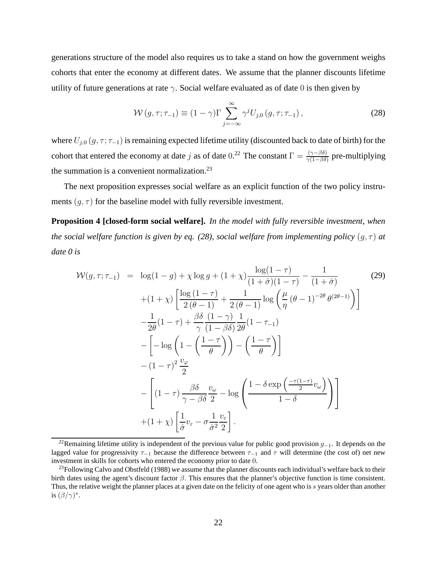generations structure of the model also requires us to take a stand on how the government weighs cohorts that enter the economy at different dates. We assume that the planner discounts lifetime utility of future generations at rate  $\gamma$ . Social welfare evaluated as of date 0 is then given by

$$
\mathcal{W}(g,\tau;\tau_{-1}) \equiv (1-\gamma)\Gamma \sum_{j=-\infty}^{\infty} \gamma^j U_{j,0}(g,\tau;\tau_{-1}), \qquad (28)
$$

where  $U_{j,0}(g, \tau; \tau_{-1})$  is remaining expected lifetime utility (discounted back to date of birth) for the cohort that entered the economy at date j as of date 0.<sup>22</sup> The constant  $\Gamma = \frac{(\gamma - \beta \delta)}{\gamma (1 - \beta \delta)}$  pre-multiplying the summation is a convenient normalization. $^{23}$ 

The next proposition expresses social welfare as an explicit function of the two policy instruments  $(q, \tau)$  for the baseline model with fully reversible investment.

**Proposition 4 [closed-form social welfare].** *In the model with fully reversible investment, when the social welfare function is given by eq.* (28), social welfare from implementing policy  $(g, \tau)$  at *date 0 is*

$$
\mathcal{W}(g,\tau;\tau_{-1}) = \log(1-g) + \chi \log g + (1+\chi) \frac{\log(1-\tau)}{(1+\hat{\sigma})(1-\tau)} - \frac{1}{(1+\hat{\sigma})}
$$
(29)  
+ 
$$
(1+\chi) \left[ \frac{\log(1-\tau)}{2(\theta-1)} + \frac{1}{2(\theta-1)} \log \left( \frac{\mu}{\eta} (\theta-1)^{-2\theta} \theta^{(2\theta-1)} \right) \right]
$$

$$
- \frac{1}{2\theta} (1-\tau) + \frac{\beta \delta}{\gamma} \frac{(1-\gamma)}{(1-\beta\delta)} \frac{1}{2\theta} (1-\tau_{-1})
$$

$$
- \left[ -\log \left( 1 - \left( \frac{1-\tau}{\theta} \right) \right) - \left( \frac{1-\tau}{\theta} \right) \right]
$$

$$
- (1-\tau)^2 \frac{v_{\varphi}}{2}
$$

$$
- \left[ (1-\tau) \frac{\beta \delta}{\gamma - \beta \delta} \frac{v_{\omega}}{2} - \log \left( \frac{1-\delta \exp \left( \frac{-\tau(1-\tau)}{2} v_{\omega} \right)}{1-\delta} \right) \right]
$$

$$
+ (1+\chi) \left[ \frac{1}{\hat{\sigma}} v_{\varepsilon} - \sigma \frac{1}{\hat{\sigma}^2} \frac{v_{\varepsilon}}{2} \right].
$$
(29)

<sup>&</sup>lt;sup>22</sup>Remaining lifetime utility is independent of the previous value for public good provision  $g_{-1}$ . It depends on the lagged value for progressivity  $\tau_{-1}$  because the difference between  $\tau_{-1}$  and  $\tau$  will determine (the cost of) net new investment in skills for cohorts who entered the economy prior to date 0.

<sup>&</sup>lt;sup>23</sup>Following Calvo and Obstfeld (1988) we assume that the planner discounts each individual's welfare back to their birth dates using the agent's discount factor  $\beta$ . This ensures that the planner's objective function is time consistent. Thus, the relative weight the planner places at a given date on the felicity of one agent who is s years older than another is  $(\beta/\gamma)^s$ .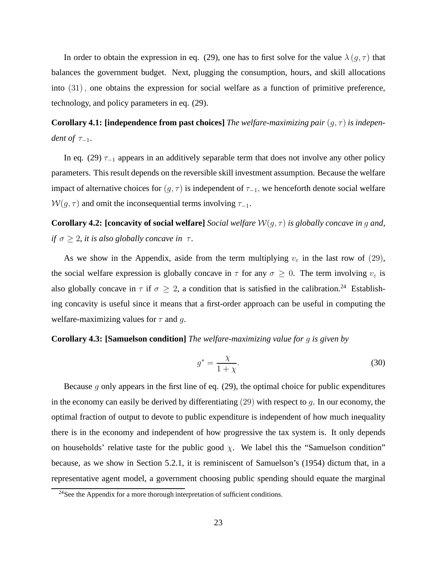In order to obtain the expression in eq. (29), one has to first solve for the value  $\lambda(g, \tau)$  that balances the government budget. Next, plugging the consumption, hours, and skill allocations into (31), one obtains the expression for social welfare as a function of primitive preference, technology, and policy parameters in eq. (29).

**Corollary 4.1: [independence from past choices]** *The welfare-maximizing pair*  $(q, \tau)$  *is independent of*  $\tau_{-1}$ .

In eq. (29)  $\tau_{-1}$  appears in an additively separable term that does not involve any other policy parameters. This result depends on the reversible skill investment assumption. Because the welfare impact of alternative choices for  $(g, \tau)$  is independent of  $\tau_{-1}$ , we henceforth denote social welfare  $W(g, \tau)$  and omit the inconsequential terms involving  $\tau_{-1}$ .

**Corollary 4.2: [concavity of social welfare]** *Social welfare*  $W(g, \tau)$  *is globally concave in g and, if*  $\sigma \geq 2$ , *it is also globally concave in*  $\tau$ .

As we show in the Appendix, aside from the term multiplying  $v_{\varepsilon}$  in the last row of (29), the social welfare expression is globally concave in  $\tau$  for any  $\sigma \geq 0$ . The term involving  $v_{\varepsilon}$  is also globally concave in  $\tau$  if  $\sigma \geq 2$ , a condition that is satisfied in the calibration.<sup>24</sup> Establishing concavity is useful since it means that a first-order approach can be useful in computing the welfare-maximizing values for  $\tau$  and g.

### **Corollary 4.3: [Samuelson condition]** *The welfare-maximizing value for* g *is given by*

$$
g^* = \frac{\chi}{1 + \chi}.\tag{30}
$$

Because g only appears in the first line of eq.  $(29)$ , the optimal choice for public expenditures in the economy can easily be derived by differentiating  $(29)$  with respect to q. In our economy, the optimal fraction of output to devote to public expenditure is independent of how much inequality there is in the economy and independent of how progressive the tax system is. It only depends on households' relative taste for the public good  $\chi$ . We label this the "Samuelson condition" because, as we show in Section 5.2.1, it is reminiscent of Samuelson's (1954) dictum that, in a representative agent model, a government choosing public spending should equate the marginal

<sup>&</sup>lt;sup>24</sup>See the Appendix for a more thorough interpretation of sufficient conditions.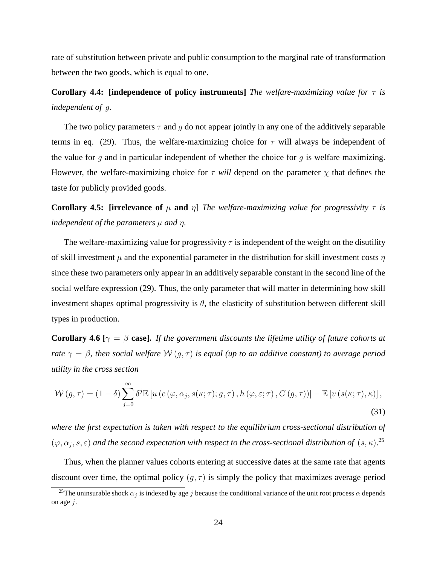rate of substitution between private and public consumption to the marginal rate of transformation between the two goods, which is equal to one.

**Corollary 4.4: [independence of policy instruments]** *The welfare-maximizing value for* τ *is independent of* g.

The two policy parameters  $\tau$  and q do not appear jointly in any one of the additively separable terms in eq. (29). Thus, the welfare-maximizing choice for  $\tau$  will always be independent of the value for q and in particular independent of whether the choice for q is welfare maximizing. However, the welfare-maximizing choice for  $\tau$  will depend on the parameter  $\chi$  that defines the taste for publicly provided goods.

**Corollary 4.5: [irrelevance of**  $\mu$  **and**  $\eta$ ] *The welfare-maximizing value for progressivity*  $\tau$  *is independent of the parameters*  $\mu$  *and*  $\eta$ *.* 

The welfare-maximizing value for progressivity  $\tau$  is independent of the weight on the disutility of skill investment  $\mu$  and the exponential parameter in the distribution for skill investment costs  $\eta$ since these two parameters only appear in an additively separable constant in the second line of the social welfare expression (29). Thus, the only parameter that will matter in determining how skill investment shapes optimal progressivity is  $\theta$ , the elasticity of substitution between different skill types in production.

**Corollary 4.6** [ $\gamma = \beta$  **case].** *If the government discounts the lifetime utility of future cohorts at rate*  $\gamma = \beta$ , then social welfare  $W(q, \tau)$  is equal (up to an additive constant) to average period *utility in the cross section*

$$
\mathcal{W}(g,\tau) = (1-\delta) \sum_{j=0}^{\infty} \delta^j \mathbb{E} \left[ u \left( c \left( \varphi, \alpha_j, s(\kappa; \tau); g, \tau \right), h \left( \varphi, \varepsilon; \tau \right), G \left( g, \tau \right) \right) \right] - \mathbb{E} \left[ v \left( s(\kappa; \tau), \kappa \right) \right],
$$
\n(31)

*where the first expectation is taken with respect to the equilibrium cross-sectional distribution of*  $(\varphi, \alpha_j, s, \varepsilon)$  and the second expectation with respect to the cross-sectional distribution of  $(s, \kappa)$ .<sup>25</sup>

Thus, when the planner values cohorts entering at successive dates at the same rate that agents discount over time, the optimal policy  $(g, \tau)$  is simply the policy that maximizes average period

<sup>&</sup>lt;sup>25</sup>The uninsurable shock  $\alpha_i$  is indexed by age j because the conditional variance of the unit root process  $\alpha$  depends on age  $j$ .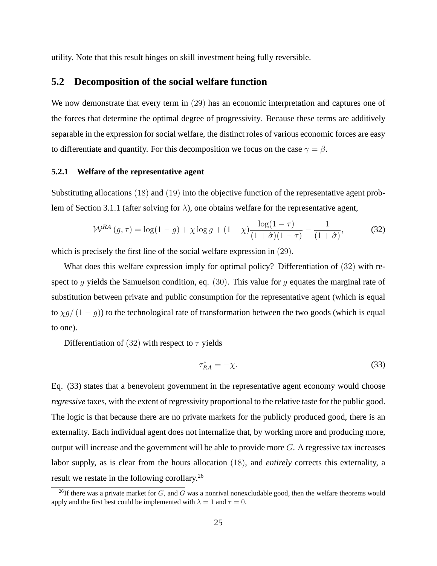utility. Note that this result hinges on skill investment being fully reversible.

### **5.2 Decomposition of the social welfare function**

We now demonstrate that every term in (29) has an economic interpretation and captures one of the forces that determine the optimal degree of progressivity. Because these terms are additively separable in the expression for social welfare, the distinct roles of various economic forces are easy to differentiate and quantify. For this decomposition we focus on the case  $\gamma = \beta$ .

#### **5.2.1 Welfare of the representative agent**

Substituting allocations (18) and (19) into the objective function of the representative agent problem of Section 3.1.1 (after solving for  $\lambda$ ), one obtains welfare for the representative agent,

$$
W^{RA}(g,\tau) = \log(1-g) + \chi \log g + (1+\chi) \frac{\log(1-\tau)}{(1+\hat{\sigma})(1-\tau)} - \frac{1}{(1+\hat{\sigma})},\tag{32}
$$

which is precisely the first line of the social welfare expression in (29).

What does this welfare expression imply for optimal policy? Differentiation of  $(32)$  with respect to g yields the Samuelson condition, eq. (30). This value for g equates the marginal rate of substitution between private and public consumption for the representative agent (which is equal to  $\chi g/(1-g)$ ) to the technological rate of transformation between the two goods (which is equal to one).

Differentiation of (32) with respect to  $\tau$  yields

$$
\tau_{RA}^* = -\chi. \tag{33}
$$

Eq. (33) states that a benevolent government in the representative agent economy would choose *regressive* taxes, with the extent of regressivity proportional to the relative taste for the public good. The logic is that because there are no private markets for the publicly produced good, there is an externality. Each individual agent does not internalize that, by working more and producing more, output will increase and the government will be able to provide more  $G$ . A regressive tax increases labor supply, as is clear from the hours allocation (18), and *entirely* corrects this externality, a result we restate in the following corollary.<sup>26</sup>

<sup>&</sup>lt;sup>26</sup>If there was a private market for  $G$ , and  $G$  was a nonrival nonexcludable good, then the welfare theorems would apply and the first best could be implemented with  $\lambda = 1$  and  $\tau = 0$ .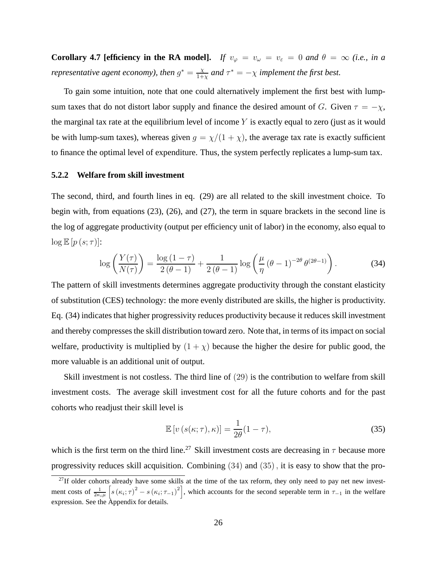**Corollary 4.7 [efficiency in the RA model].** *If*  $v_{\varphi} = v_{\omega} = v_{\varepsilon} = 0$  *and*  $\theta = \infty$  *(i.e., in a representative agent economy), then*  $g^* = \frac{\chi}{1+\chi}$  $\frac{\chi}{1+\chi}$  and  $\tau^* = -\chi$  *implement the first best.* 

To gain some intuition, note that one could alternatively implement the first best with lumpsum taxes that do not distort labor supply and finance the desired amount of G. Given  $\tau = -\chi$ , the marginal tax rate at the equilibrium level of income  $Y$  is exactly equal to zero (just as it would be with lump-sum taxes), whereas given  $g = \chi/(1 + \chi)$ , the average tax rate is exactly sufficient to finance the optimal level of expenditure. Thus, the system perfectly replicates a lump-sum tax.

#### **5.2.2 Welfare from skill investment**

The second, third, and fourth lines in eq. (29) are all related to the skill investment choice. To begin with, from equations (23), (26), and (27), the term in square brackets in the second line is the log of aggregate productivity (output per efficiency unit of labor) in the economy, also equal to  $\log \mathbb{E} [p(s; \tau)]$ :

$$
\log\left(\frac{Y(\tau)}{N(\tau)}\right) = \frac{\log(1-\tau)}{2(\theta-1)} + \frac{1}{2(\theta-1)}\log\left(\frac{\mu}{\eta}(\theta-1)^{-2\theta}\theta^{(2\theta-1)}\right). \tag{34}
$$

The pattern of skill investments determines aggregate productivity through the constant elasticity of substitution (CES) technology: the more evenly distributed are skills, the higher is productivity. Eq. (34) indicates that higher progressivity reduces productivity because it reduces skill investment and thereby compresses the skill distribution toward zero. Note that, in terms of its impact on social welfare, productivity is multiplied by  $(1 + \chi)$  because the higher the desire for public good, the more valuable is an additional unit of output.

Skill investment is not costless. The third line of (29) is the contribution to welfare from skill investment costs. The average skill investment cost for all the future cohorts and for the past cohorts who readjust their skill level is

$$
\mathbb{E}\left[v\left(s(\kappa;\tau),\kappa\right)\right] = \frac{1}{2\theta}(1-\tau),\tag{35}
$$

which is the first term on the third line.<sup>27</sup> Skill investment costs are decreasing in  $\tau$  because more progressivity reduces skill acquisition. Combining (34) and (35), it is easy to show that the pro-

 $^{27}$ If older cohorts already have some skills at the time of the tax reform, they only need to pay net new investment costs of  $\frac{1}{2\kappa_i \mu}$  $\left[s(\kappa_i;\tau)^2 - s(\kappa_i;\tau_{-1})^2\right]$ , which accounts for the second seperable term in  $\tau_{-1}$  in the welfare expression. See the Appendix for details.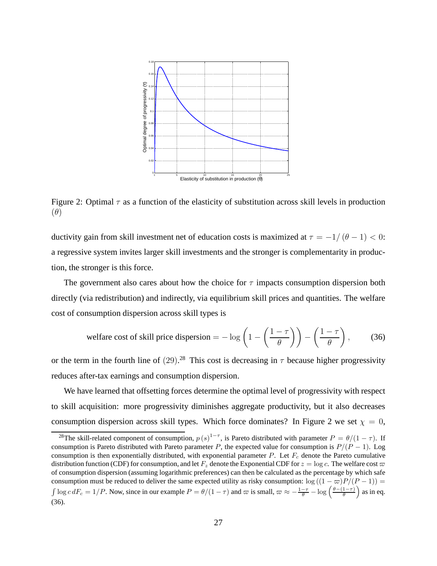

Figure 2: Optimal  $\tau$  as a function of the elasticity of substitution across skill levels in production  $(\theta)$ 

ductivity gain from skill investment net of education costs is maximized at  $\tau = -1/(\theta - 1) < 0$ : a regressive system invites larger skill investments and the stronger is complementarity in production, the stronger is this force.

The government also cares about how the choice for  $\tau$  impacts consumption dispersion both directly (via redistribution) and indirectly, via equilibrium skill prices and quantities. The welfare cost of consumption dispersion across skill types is

welfare cost of skill price dispersion = 
$$
-\log\left(1 - \left(\frac{1-\tau}{\theta}\right)\right) - \left(\frac{1-\tau}{\theta}\right)
$$
, (36)

or the term in the fourth line of  $(29)$ .<sup>28</sup> This cost is decreasing in  $\tau$  because higher progressivity reduces after-tax earnings and consumption dispersion.

We have learned that offsetting forces determine the optimal level of progressivity with respect to skill acquisition: more progressivity diminishes aggregate productivity, but it also decreases consumption dispersion across skill types. Which force dominates? In Figure 2 we set  $\chi = 0$ ,

<sup>&</sup>lt;sup>28</sup>The skill-related component of consumption,  $p(s)^{1-\tau}$ , is Pareto distributed with parameter  $P = \theta/(1-\tau)$ . If consumption is Pareto distributed with Pareto parameter P, the expected value for consumption is  $P/(P - 1)$ . Log consumption is then exponentially distributed, with exponential parameter  $P$ . Let  $F_c$  denote the Pareto cumulative distribution function (CDF) for consumption, and let  $F_z$  denote the Exponential CDF for  $z = \log c$ . The welfare cost  $\varpi$ of consumption dispersion (assuming logarithmic preferences) can then be calculated as the percentage by which safe consumption must be reduced to deliver the same expected utility as risky consumption:  $\log((1 - \varpi)P/(P - 1))$  =  $\int \log c \, dF_c = 1/P$ . Now, since in our example  $P = \theta/(1-\tau)$  and  $\varpi$  is small,  $\varpi \approx -\frac{1-\tau}{\theta} - \log \left( \frac{\theta-(1-\tau)}{\theta} \right)$ θ  $\int$  as in eq. (36).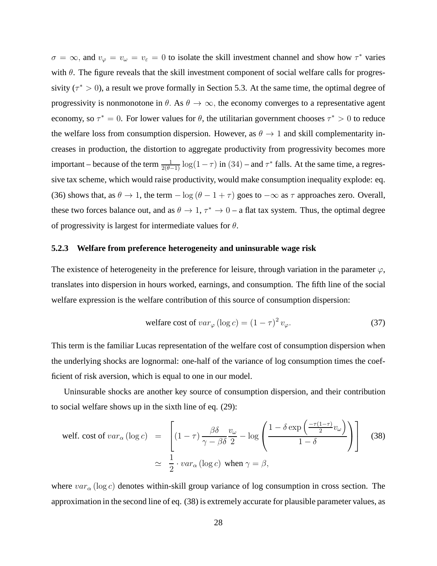$\sigma = \infty$ , and  $v_{\varphi} = v_{\varphi} = v_{\varepsilon} = 0$  to isolate the skill investment channel and show how  $\tau^*$  varies with  $\theta$ . The figure reveals that the skill investment component of social welfare calls for progressivity ( $\tau^* > 0$ ), a result we prove formally in Section 5.3. At the same time, the optimal degree of progressivity is nonmonotone in  $\theta$ . As  $\theta \to \infty$ , the economy converges to a representative agent economy, so  $\tau^* = 0$ . For lower values for  $\theta$ , the utilitarian government chooses  $\tau^* > 0$  to reduce the welfare loss from consumption dispersion. However, as  $\theta \rightarrow 1$  and skill complementarity increases in production, the distortion to aggregate productivity from progressivity becomes more important – because of the term  $\frac{1}{2(\theta-1)}\log(1-\tau)$  in  $(34)$  – and  $\tau^*$  falls. At the same time, a regressive tax scheme, which would raise productivity, would make consumption inequality explode: eq. (36) shows that, as  $\theta \to 1$ , the term  $-\log(\theta - 1 + \tau)$  goes to  $-\infty$  as  $\tau$  approaches zero. Overall, these two forces balance out, and as  $\theta \to 1$ ,  $\tau^* \to 0$  – a flat tax system. Thus, the optimal degree of progressivity is largest for intermediate values for  $\theta$ .

### **5.2.3 Welfare from preference heterogeneity and uninsurable wage risk**

The existence of heterogeneity in the preference for leisure, through variation in the parameter  $\varphi$ , translates into dispersion in hours worked, earnings, and consumption. The fifth line of the social welfare expression is the welfare contribution of this source of consumption dispersion:

$$
\text{welfare cost of } var_{\varphi} \left( \log c \right) = \left( 1 - \tau \right)^2 v_{\varphi}. \tag{37}
$$

This term is the familiar Lucas representation of the welfare cost of consumption dispersion when the underlying shocks are lognormal: one-half of the variance of log consumption times the coefficient of risk aversion, which is equal to one in our model.

Uninsurable shocks are another key source of consumption dispersion, and their contribution to social welfare shows up in the sixth line of eq. (29):

$$
\text{welf. cost of } var_{\alpha} \left( \log c \right) = \left[ (1 - \tau) \frac{\beta \delta}{\gamma - \beta \delta} \frac{v_{\omega}}{2} - \log \left( \frac{1 - \delta \exp \left( \frac{-\tau (1 - \tau)}{2} v_{\omega} \right)}{1 - \delta} \right) \right] \tag{38}
$$
\n
$$
\simeq \frac{1}{2} \cdot var_{\alpha} \left( \log c \right) \text{ when } \gamma = \beta,
$$

where  $var_\alpha(\log c)$  denotes within-skill group variance of log consumption in cross section. The approximation in the second line of eq. (38) is extremely accurate for plausible parameter values, as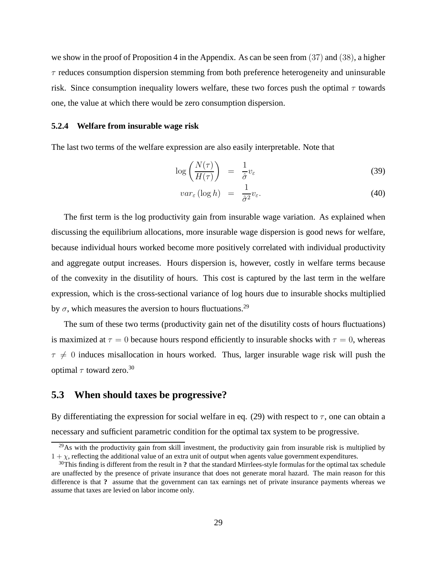we show in the proof of Proposition 4 in the Appendix. As can be seen from (37) and (38), a higher  $\tau$  reduces consumption dispersion stemming from both preference heterogeneity and uninsurable risk. Since consumption inequality lowers welfare, these two forces push the optimal  $\tau$  towards one, the value at which there would be zero consumption dispersion.

#### **5.2.4 Welfare from insurable wage risk**

The last two terms of the welfare expression are also easily interpretable. Note that

$$
\log\left(\frac{N(\tau)}{H(\tau)}\right) = \frac{1}{\hat{\sigma}}v_{\varepsilon} \tag{39}
$$

$$
var_{\varepsilon} (\log h) = \frac{1}{\hat{\sigma}^2} v_{\varepsilon}.
$$
 (40)

The first term is the log productivity gain from insurable wage variation. As explained when discussing the equilibrium allocations, more insurable wage dispersion is good news for welfare, because individual hours worked become more positively correlated with individual productivity and aggregate output increases. Hours dispersion is, however, costly in welfare terms because of the convexity in the disutility of hours. This cost is captured by the last term in the welfare expression, which is the cross-sectional variance of log hours due to insurable shocks multiplied by  $\sigma$ , which measures the aversion to hours fluctuations.<sup>29</sup>

The sum of these two terms (productivity gain net of the disutility costs of hours fluctuations) is maximized at  $\tau = 0$  because hours respond efficiently to insurable shocks with  $\tau = 0$ , whereas  $\tau \neq 0$  induces misallocation in hours worked. Thus, larger insurable wage risk will push the optimal  $\tau$  toward zero.<sup>30</sup>

### **5.3 When should taxes be progressive?**

By differentiating the expression for social welfare in eq. (29) with respect to  $\tau$ , one can obtain a necessary and sufficient parametric condition for the optimal tax system to be progressive.

<sup>&</sup>lt;sup>29</sup>As with the productivity gain from skill investment, the productivity gain from insurable risk is multiplied by  $1 + \chi$ , reflecting the additional value of an extra unit of output when agents value government expenditures.

<sup>30</sup>This finding is different from the result in **?** that the standard Mirrlees-style formulas for the optimal tax schedule are unaffected by the presence of private insurance that does not generate moral hazard. The main reason for this difference is that **?** assume that the government can tax earnings net of private insurance payments whereas we assume that taxes are levied on labor income only.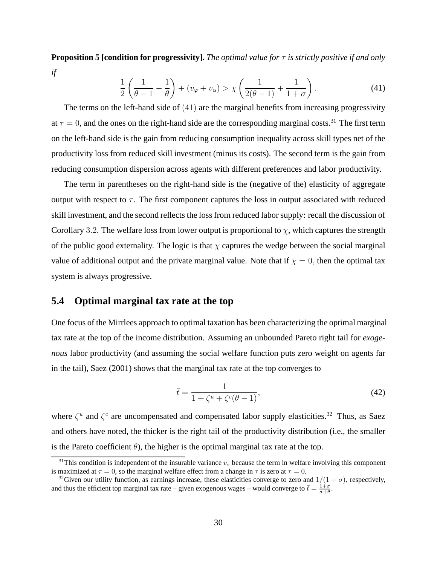**Proposition 5 [condition for progressivity].** *The optimal value for* τ *is strictly positive if and only if*

$$
\frac{1}{2}\left(\frac{1}{\theta-1}-\frac{1}{\theta}\right)+(v_{\varphi}+v_{\alpha})>\chi\left(\frac{1}{2(\theta-1)}+\frac{1}{1+\sigma}\right).
$$
\n(41)

The terms on the left-hand side of (41) are the marginal benefits from increasing progressivity at  $\tau = 0$ , and the ones on the right-hand side are the corresponding marginal costs.<sup>31</sup> The first term on the left-hand side is the gain from reducing consumption inequality across skill types net of the productivity loss from reduced skill investment (minus its costs). The second term is the gain from reducing consumption dispersion across agents with different preferences and labor productivity.

The term in parentheses on the right-hand side is the (negative of the) elasticity of aggregate output with respect to  $\tau$ . The first component captures the loss in output associated with reduced skill investment, and the second reflects the loss from reduced labor supply: recall the discussion of Corollary 3.2. The welfare loss from lower output is proportional to  $\chi$ , which captures the strength of the public good externality. The logic is that  $\chi$  captures the wedge between the social marginal value of additional output and the private marginal value. Note that if  $\chi = 0$ , then the optimal tax system is always progressive.

## **5.4 Optimal marginal tax rate at the top**

One focus of the Mirrlees approach to optimal taxation has been characterizing the optimal marginal tax rate at the top of the income distribution. Assuming an unbounded Pareto right tail for *exogenous* labor productivity (and assuming the social welfare function puts zero weight on agents far in the tail), Saez (2001) shows that the marginal tax rate at the top converges to

$$
\bar{t} = \frac{1}{1 + \zeta^u + \zeta^c (\theta - 1)},
$$
\n(42)

where  $\zeta^u$  and  $\zeta^c$  are uncompensated and compensated labor supply elasticities.<sup>32</sup> Thus, as Saez and others have noted, the thicker is the right tail of the productivity distribution (i.e., the smaller is the Pareto coefficient  $\theta$ ), the higher is the optimal marginal tax rate at the top.

<sup>&</sup>lt;sup>31</sup>This condition is independent of the insurable variance  $v_{\varepsilon}$  because the term in welfare involving this component is maximized at  $\tau = 0$ , so the marginal welfare effect from a change in  $\tau$  is zero at  $\tau = 0$ .

<sup>&</sup>lt;sup>32</sup>Given our utility function, as earnings increase, these elasticities converge to zero and  $1/(1 + \sigma)$ , respectively, and thus the efficient top marginal tax rate – given exogenous wages – would converge to  $\bar{t} = \frac{1+\sigma}{\sigma+\theta}$ .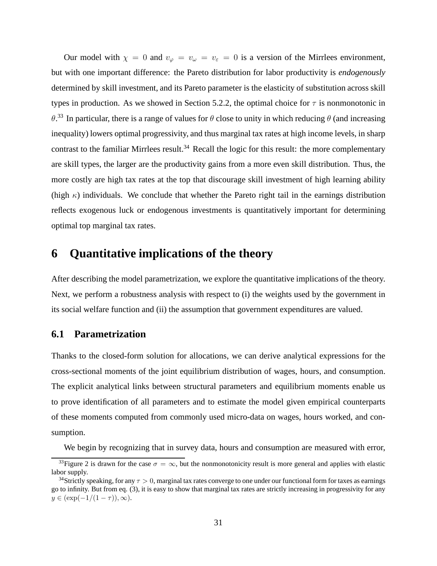Our model with  $\chi = 0$  and  $v_{\varphi} = v_{\varphi} = v_{\varepsilon} = 0$  is a version of the Mirrlees environment, but with one important difference: the Pareto distribution for labor productivity is *endogenously* determined by skill investment, and its Pareto parameter is the elasticity of substitution across skill types in production. As we showed in Section 5.2.2, the optimal choice for  $\tau$  is nonmonotonic in  $\theta$ .<sup>33</sup> In particular, there is a range of values for  $\theta$  close to unity in which reducing  $\theta$  (and increasing inequality) lowers optimal progressivity, and thus marginal tax rates at high income levels, in sharp contrast to the familiar Mirrlees result.<sup>34</sup> Recall the logic for this result: the more complementary are skill types, the larger are the productivity gains from a more even skill distribution. Thus, the more costly are high tax rates at the top that discourage skill investment of high learning ability (high  $\kappa$ ) individuals. We conclude that whether the Pareto right tail in the earnings distribution reflects exogenous luck or endogenous investments is quantitatively important for determining optimal top marginal tax rates.

## **6 Quantitative implications of the theory**

After describing the model parametrization, we explore the quantitative implications of the theory. Next, we perform a robustness analysis with respect to (i) the weights used by the government in its social welfare function and (ii) the assumption that government expenditures are valued.

## **6.1 Parametrization**

Thanks to the closed-form solution for allocations, we can derive analytical expressions for the cross-sectional moments of the joint equilibrium distribution of wages, hours, and consumption. The explicit analytical links between structural parameters and equilibrium moments enable us to prove identification of all parameters and to estimate the model given empirical counterparts of these moments computed from commonly used micro-data on wages, hours worked, and consumption.

We begin by recognizing that in survey data, hours and consumption are measured with error,

<sup>&</sup>lt;sup>33</sup>Figure 2 is drawn for the case  $\sigma = \infty$ , but the nonmonotonicity result is more general and applies with elastic labor supply.

<sup>&</sup>lt;sup>34</sup>Strictly speaking, for any  $\tau > 0$ , marginal tax rates converge to one under our functional form for taxes as earnings go to infinity. But from eq. (3), it is easy to show that marginal tax rates are strictly increasing in progressivity for any  $y \in (\exp(-1/(1 - \tau)), \infty).$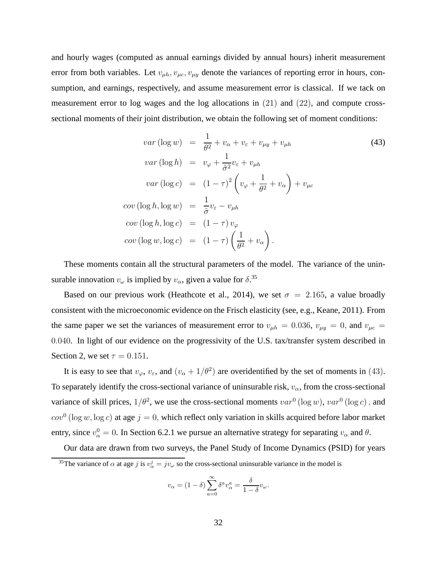and hourly wages (computed as annual earnings divided by annual hours) inherit measurement error from both variables. Let  $v_{\mu h}$ ,  $v_{\mu c}$ ,  $v_{\mu y}$  denote the variances of reporting error in hours, consumption, and earnings, respectively, and assume measurement error is classical. If we tack on measurement error to log wages and the log allocations in  $(21)$  and  $(22)$ , and compute crosssectional moments of their joint distribution, we obtain the following set of moment conditions:

$$
var(\log w) = \frac{1}{\theta^2} + v_\alpha + v_\varepsilon + v_{\mu y} + v_{\mu h}
$$
\n
$$
var(\log h) = v_\varphi + \frac{1}{\hat{\sigma}^2} v_\varepsilon + v_{\mu h}
$$
\n
$$
var(\log c) = (1 - \tau)^2 \left( v_\varphi + \frac{1}{\theta^2} + v_\alpha \right) + v_{\mu c}
$$
\n
$$
cov(\log h, \log w) = \frac{1}{\hat{\sigma}} v_\varepsilon - v_{\mu h}
$$
\n
$$
cov(\log h, \log c) = (1 - \tau) v_\varphi
$$
\n
$$
cov(\log w, \log c) = (1 - \tau) \left( \frac{1}{\theta^2} + v_\alpha \right).
$$
\n(43)

These moments contain all the structural parameters of the model. The variance of the uninsurable innovation  $v_{\omega}$  is implied by  $v_{\alpha}$ , given a value for  $\delta$ .<sup>35</sup>

Based on our previous work (Heathcote et al., 2014), we set  $\sigma = 2.165$ , a value broadly consistent with the microeconomic evidence on the Frisch elasticity (see, e.g., Keane, 2011). From the same paper we set the variances of measurement error to  $v_{\mu h} = 0.036$ ,  $v_{\mu y} = 0$ , and  $v_{\mu c} =$ 0.040. In light of our evidence on the progressivity of the U.S. tax/transfer system described in Section 2, we set  $\tau = 0.151$ .

It is easy to see that  $v_{\varphi}$ ,  $v_{\varepsilon}$ , and  $(v_{\alpha} + 1/\theta^2)$  are overidentified by the set of moments in (43). To separately identify the cross-sectional variance of uninsurable risk,  $v_{\alpha}$ , from the cross-sectional variance of skill prices,  $1/\theta^2$ , we use the cross-sectional moments  $var^0$  (log w),  $var^0$  (log c), and  $cov^0$  (log w, log c) at age  $j = 0$ , which reflect only variation in skills acquired before labor market entry, since  $v_{\alpha}^0 = 0$ . In Section 6.2.1 we pursue an alternative strategy for separating  $v_{\alpha}$  and  $\theta$ .

Our data are drawn from two surveys, the Panel Study of Income Dynamics (PSID) for years <sup>35</sup>The variance of  $\alpha$  at age j is  $v^j_\alpha = jv_\omega$  so the cross-sectional uninsurable variance in the model is

$$
v_{\alpha} = (1 - \delta) \sum_{a=0}^{\infty} \delta^a v_{\alpha}^a = \frac{\delta}{1 - \delta} v_{\omega}.
$$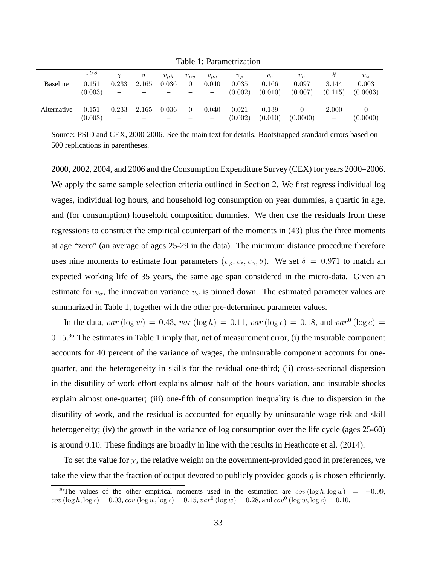Table 1: Parametrization

|                 | $\tau$ US |       | $\sigma$ | $v_{\mu h}$ | $v_{\mu y}$ | $v_{\mu c}$ | $v_{\varphi}$ | $v_{\varepsilon}$ | $v_{\alpha}$ |                          | $v_{\omega}$ |
|-----------------|-----------|-------|----------|-------------|-------------|-------------|---------------|-------------------|--------------|--------------------------|--------------|
| <b>Baseline</b> | 0.151     | 0.233 | 2.165    | 0.036       | $\Omega$    | 0.040       | 0.035         | 0.166             | 0.097        | 3.144                    | 0.003        |
|                 | (0.003)   | -     |          |             |             |             | (0.002)       | (0.010)           | (0.007)      | (0.115)                  | (0.0003)     |
|                 |           |       |          |             |             |             |               |                   |              |                          |              |
| Alternative     | 0.151     | 0.233 | 2.165    | 0.036       | $\Omega$    | 0.040       | 0.021         | 0.139             |              | 2.000                    |              |
|                 | (0.003)   |       |          |             |             |             | (0.002)       | (0.010)           | (0.0000)     | $\overline{\phantom{0}}$ | (0.0000)     |

Source: PSID and CEX, 2000-2006. See the main text for details. Bootstrapped standard errors based on 500 replications in parentheses.

2000, 2002, 2004, and 2006 and the Consumption Expenditure Survey (CEX) for years 2000–2006. We apply the same sample selection criteria outlined in Section 2. We first regress individual log wages, individual log hours, and household log consumption on year dummies, a quartic in age, and (for consumption) household composition dummies. We then use the residuals from these regressions to construct the empirical counterpart of the moments in (43) plus the three moments at age "zero" (an average of ages 25-29 in the data). The minimum distance procedure therefore uses nine moments to estimate four parameters  $(v_{\varphi}, v_{\varepsilon}, v_{\alpha}, \theta)$ . We set  $\delta = 0.971$  to match an expected working life of 35 years, the same age span considered in the micro-data. Given an estimate for  $v_{\alpha}$ , the innovation variance  $v_{\omega}$  is pinned down. The estimated parameter values are summarized in Table 1, together with the other pre-determined parameter values.

In the data,  $var(\log w) = 0.43$ ,  $var(\log h) = 0.11$ ,  $var(\log c) = 0.18$ , and  $var^0(\log c) = 0$  $0.15<sup>36</sup>$  The estimates in Table 1 imply that, net of measurement error, (i) the insurable component accounts for 40 percent of the variance of wages, the uninsurable component accounts for onequarter, and the heterogeneity in skills for the residual one-third; (ii) cross-sectional dispersion in the disutility of work effort explains almost half of the hours variation, and insurable shocks explain almost one-quarter; (iii) one-fifth of consumption inequality is due to dispersion in the disutility of work, and the residual is accounted for equally by uninsurable wage risk and skill heterogeneity; (iv) the growth in the variance of log consumption over the life cycle (ages 25-60) is around 0.10. These findings are broadly in line with the results in Heathcote et al. (2014).

To set the value for  $\chi$ , the relative weight on the government-provided good in preferences, we take the view that the fraction of output devoted to publicly provided goods  $q$  is chosen efficiently.

<sup>&</sup>lt;sup>36</sup>The values of the other empirical moments used in the estimation are  $cov(\log h, \log w) = -0.09$ ,  $cov(\log h, \log c) = 0.03, cov(\log w, \log c) = 0.15, var^0(\log w) = 0.28, and cov^0(\log w, \log c) = 0.10.$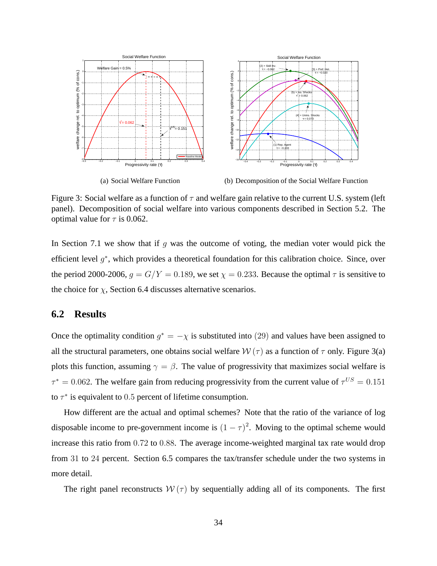

Figure 3: Social welfare as a function of  $\tau$  and welfare gain relative to the current U.S. system (left panel). Decomposition of social welfare into various components described in Section 5.2. The optimal value for  $\tau$  is 0.062.

In Section 7.1 we show that if  $g$  was the outcome of voting, the median voter would pick the efficient level  $g^*$ , which provides a theoretical foundation for this calibration choice. Since, over the period 2000-2006,  $g = G/Y = 0.189$ , we set  $\chi = 0.233$ . Because the optimal  $\tau$  is sensitive to the choice for  $\chi$ , Section 6.4 discusses alternative scenarios.

## **6.2 Results**

Once the optimality condition  $g^* = -\chi$  is substituted into (29) and values have been assigned to all the structural parameters, one obtains social welfare  $W(\tau)$  as a function of  $\tau$  only. Figure 3(a) plots this function, assuming  $\gamma = \beta$ . The value of progressivity that maximizes social welfare is  $\tau^* = 0.062$ . The welfare gain from reducing progressivity from the current value of  $\tau^{US} = 0.151$ to  $\tau^*$  is equivalent to 0.5 percent of lifetime consumption.

How different are the actual and optimal schemes? Note that the ratio of the variance of log disposable income to pre-government income is  $(1 - \tau)^2$ . Moving to the optimal scheme would increase this ratio from 0.72 to 0.88. The average income-weighted marginal tax rate would drop from 31 to 24 percent. Section 6.5 compares the tax/transfer schedule under the two systems in more detail.

The right panel reconstructs  $W(\tau)$  by sequentially adding all of its components. The first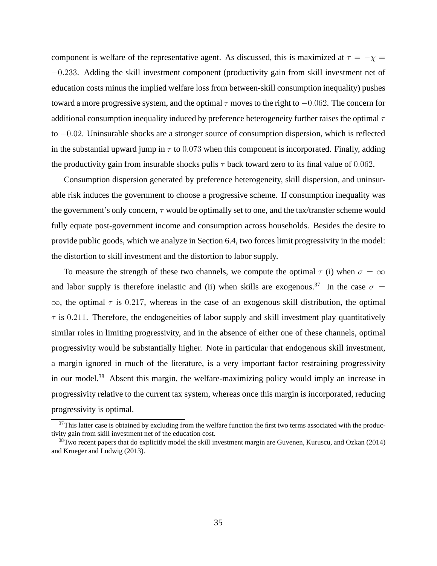component is welfare of the representative agent. As discussed, this is maximized at  $\tau = -\chi$  = −0.233. Adding the skill investment component (productivity gain from skill investment net of education costs minus the implied welfare loss from between-skill consumption inequality) pushes toward a more progressive system, and the optimal  $\tau$  moves to the right to  $-0.062$ . The concern for additional consumption inequality induced by preference heterogeneity further raises the optimal  $\tau$ to −0.02. Uninsurable shocks are a stronger source of consumption dispersion, which is reflected in the substantial upward jump in  $\tau$  to 0.073 when this component is incorporated. Finally, adding the productivity gain from insurable shocks pulls  $\tau$  back toward zero to its final value of 0.062.

Consumption dispersion generated by preference heterogeneity, skill dispersion, and uninsurable risk induces the government to choose a progressive scheme. If consumption inequality was the government's only concern,  $\tau$  would be optimally set to one, and the tax/transfer scheme would fully equate post-government income and consumption across households. Besides the desire to provide public goods, which we analyze in Section 6.4, two forces limit progressivity in the model: the distortion to skill investment and the distortion to labor supply.

To measure the strength of these two channels, we compute the optimal  $\tau$  (i) when  $\sigma = \infty$ and labor supply is therefore inelastic and (ii) when skills are exogenous.<sup>37</sup> In the case  $\sigma$  =  $\infty$ , the optimal  $\tau$  is 0.217, whereas in the case of an exogenous skill distribution, the optimal  $\tau$  is 0.211. Therefore, the endogeneities of labor supply and skill investment play quantitatively similar roles in limiting progressivity, and in the absence of either one of these channels, optimal progressivity would be substantially higher. Note in particular that endogenous skill investment, a margin ignored in much of the literature, is a very important factor restraining progressivity in our model.<sup>38</sup> Absent this margin, the welfare-maximizing policy would imply an increase in progressivity relative to the current tax system, whereas once this margin is incorporated, reducing progressivity is optimal.

 $37$ This latter case is obtained by excluding from the welfare function the first two terms associated with the productivity gain from skill investment net of the education cost.

<sup>38</sup>Two recent papers that do explicitly model the skill investment margin are Guvenen, Kuruscu, and Ozkan (2014) and Krueger and Ludwig (2013).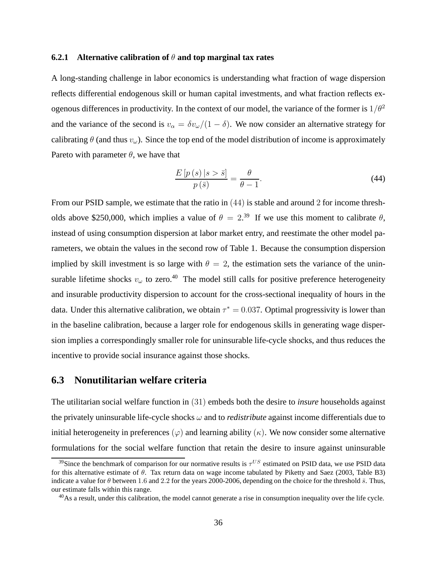#### **6.2.1 Alternative calibration of** θ **and top marginal tax rates**

A long-standing challenge in labor economics is understanding what fraction of wage dispersion reflects differential endogenous skill or human capital investments, and what fraction reflects exogenous differences in productivity. In the context of our model, the variance of the former is  $1/\theta^2$ and the variance of the second is  $v_{\alpha} = \delta v_{\alpha}/(1 - \delta)$ . We now consider an alternative strategy for calibrating  $\theta$  (and thus  $v_{\omega}$ ). Since the top end of the model distribution of income is approximately Pareto with parameter  $\theta$ , we have that

$$
\frac{E\left[p\left(s\right)|s>\bar{s}\right]}{p\left(\bar{s}\right)} = \frac{\theta}{\theta - 1}.\tag{44}
$$

From our PSID sample, we estimate that the ratio in (44) is stable and around 2 for income thresholds above \$250,000, which implies a value of  $\theta = 2^{39}$  If we use this moment to calibrate  $\theta$ , instead of using consumption dispersion at labor market entry, and reestimate the other model parameters, we obtain the values in the second row of Table 1. Because the consumption dispersion implied by skill investment is so large with  $\theta = 2$ , the estimation sets the variance of the uninsurable lifetime shocks  $v_\omega$  to zero.<sup>40</sup> The model still calls for positive preference heterogeneity and insurable productivity dispersion to account for the cross-sectional inequality of hours in the data. Under this alternative calibration, we obtain  $\tau^* = 0.037$ . Optimal progressivity is lower than in the baseline calibration, because a larger role for endogenous skills in generating wage dispersion implies a correspondingly smaller role for uninsurable life-cycle shocks, and thus reduces the incentive to provide social insurance against those shocks.

#### **6.3 Nonutilitarian welfare criteria**

The utilitarian social welfare function in (31) embeds both the desire to *insure* households against the privately uninsurable life-cycle shocks ω and to *redistribute* against income differentials due to initial heterogeneity in preferences  $(\varphi)$  and learning ability  $(\kappa)$ . We now consider some alternative formulations for the social welfare function that retain the desire to insure against uninsurable

<sup>&</sup>lt;sup>39</sup>Since the benchmark of comparison for our normative results is  $\tau^{US}$  estimated on PSID data, we use PSID data for this alternative estimate of  $\theta$ . Tax return data on wage income tabulated by Piketty and Saez (2003, Table B3) indicate a value for  $\theta$  between 1.6 and 2.2 for the years 2000-2006, depending on the choice for the threshold  $\bar{s}$ . Thus, our estimate falls within this range.

<sup>&</sup>lt;sup>40</sup>As a result, under this calibration, the model cannot generate a rise in consumption inequality over the life cycle.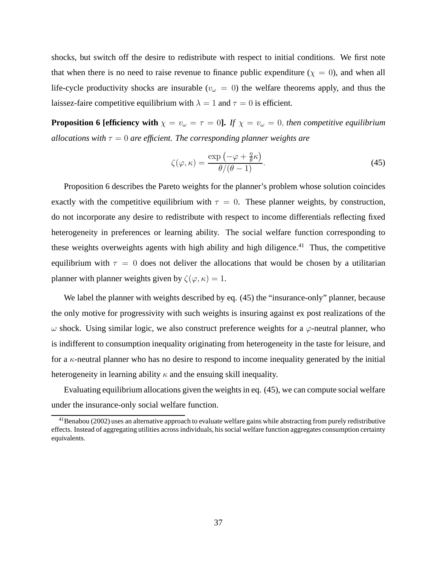shocks, but switch off the desire to redistribute with respect to initial conditions. We first note that when there is no need to raise revenue to finance public expenditure ( $\chi = 0$ ), and when all life-cycle productivity shocks are insurable ( $v_\omega = 0$ ) the welfare theorems apply, and thus the laissez-faire competitive equilibrium with  $\lambda = 1$  and  $\tau = 0$  is efficient.

**Proposition 6 [efficiency with**  $\chi = v_\omega = \tau = 0$ ]. If  $\chi = v_\omega = 0$ , then competitive equilibrium *allocations with*  $\tau = 0$  *are efficient. The corresponding planner weights are* 

$$
\zeta(\varphi,\kappa) = \frac{\exp\left(-\varphi + \frac{\eta}{\theta}\kappa\right)}{\theta/(\theta - 1)}.
$$
\n(45)

Proposition 6 describes the Pareto weights for the planner's problem whose solution coincides exactly with the competitive equilibrium with  $\tau = 0$ . These planner weights, by construction, do not incorporate any desire to redistribute with respect to income differentials reflecting fixed heterogeneity in preferences or learning ability. The social welfare function corresponding to these weights overweights agents with high ability and high diligence. $41$  Thus, the competitive equilibrium with  $\tau = 0$  does not deliver the allocations that would be chosen by a utilitarian planner with planner weights given by  $\zeta(\varphi, \kappa) = 1$ .

We label the planner with weights described by eq. (45) the "insurance-only" planner, because the only motive for progressivity with such weights is insuring against ex post realizations of the  $\omega$  shock. Using similar logic, we also construct preference weights for a  $\varphi$ -neutral planner, who is indifferent to consumption inequality originating from heterogeneity in the taste for leisure, and for a  $\kappa$ -neutral planner who has no desire to respond to income inequality generated by the initial heterogeneity in learning ability  $\kappa$  and the ensuing skill inequality.

Evaluating equilibrium allocations given the weights in eq. (45), we can compute social welfare under the insurance-only social welfare function.

 $41$ Benabou (2002) uses an alternative approach to evaluate welfare gains while abstracting from purely redistributive effects. Instead of aggregating utilities across individuals, his social welfare function aggregates consumption certainty equivalents.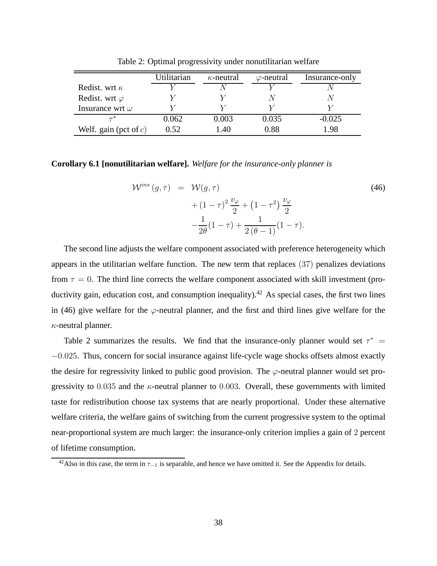|                          | Utilitarian | $\kappa$ -neutral | $\varphi$ -neutral | Insurance-only |  |
|--------------------------|-------------|-------------------|--------------------|----------------|--|
| Redist. wrt $\kappa$     |             |                   |                    |                |  |
| Redist. wrt $\varphi$    |             |                   |                    |                |  |
| Insurance wrt $\omega$   |             |                   |                    |                |  |
| $\tau^*$                 | 0.062       | 0.003             | 0.035              | $-0.025$       |  |
| Welf. gain (pct of $c$ ) | 0.52        | 1.40              | 0.88               | 1.98           |  |

Table 2: Optimal progressivity under nonutilitarian welfare

#### **Corollary 6.1 [nonutilitarian welfare].** *Welfare for the insurance-only planner is*

$$
\mathcal{W}^{ins}(g,\tau) = \mathcal{W}(g,\tau) \n+ (1-\tau)^2 \frac{v_{\varphi}}{2} + (1-\tau^2) \frac{v_{\varphi}}{2} \n- \frac{1}{2\theta}(1-\tau) + \frac{1}{2(\theta-1)}(1-\tau).
$$
\n(46)

The second line adjusts the welfare component associated with preference heterogeneity which appears in the utilitarian welfare function. The new term that replaces (37) penalizes deviations from  $\tau = 0$ . The third line corrects the welfare component associated with skill investment (productivity gain, education cost, and consumption inequality).<sup>42</sup> As special cases, the first two lines in (46) give welfare for the  $\varphi$ -neutral planner, and the first and third lines give welfare for the  $\kappa$ -neutral planner.

Table 2 summarizes the results. We find that the insurance-only planner would set  $\tau^*$ −0.025. Thus, concern for social insurance against life-cycle wage shocks offsets almost exactly the desire for regressivity linked to public good provision. The  $\varphi$ -neutral planner would set progressivity to  $0.035$  and the  $\kappa$ -neutral planner to 0.003. Overall, these governments with limited taste for redistribution choose tax systems that are nearly proportional. Under these alternative welfare criteria, the welfare gains of switching from the current progressive system to the optimal near-proportional system are much larger: the insurance-only criterion implies a gain of 2 percent of lifetime consumption.

<sup>&</sup>lt;sup>42</sup>Also in this case, the term in  $\tau_{-1}$  is separable, and hence we have omitted it. See the Appendix for details.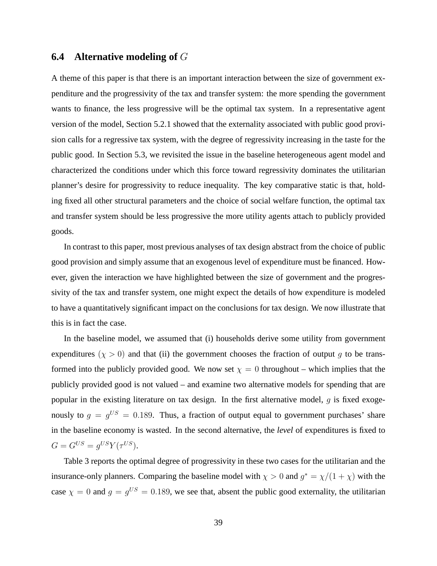## **6.4 Alternative modeling of** G

A theme of this paper is that there is an important interaction between the size of government expenditure and the progressivity of the tax and transfer system: the more spending the government wants to finance, the less progressive will be the optimal tax system. In a representative agent version of the model, Section 5.2.1 showed that the externality associated with public good provision calls for a regressive tax system, with the degree of regressivity increasing in the taste for the public good. In Section 5.3, we revisited the issue in the baseline heterogeneous agent model and characterized the conditions under which this force toward regressivity dominates the utilitarian planner's desire for progressivity to reduce inequality. The key comparative static is that, holding fixed all other structural parameters and the choice of social welfare function, the optimal tax and transfer system should be less progressive the more utility agents attach to publicly provided goods.

In contrast to this paper, most previous analyses of tax design abstract from the choice of public good provision and simply assume that an exogenous level of expenditure must be financed. However, given the interaction we have highlighted between the size of government and the progressivity of the tax and transfer system, one might expect the details of how expenditure is modeled to have a quantitatively significant impact on the conclusions for tax design. We now illustrate that this is in fact the case.

In the baseline model, we assumed that (i) households derive some utility from government expenditures ( $\chi > 0$ ) and that (ii) the government chooses the fraction of output g to be transformed into the publicly provided good. We now set  $\chi = 0$  throughout – which implies that the publicly provided good is not valued – and examine two alternative models for spending that are popular in the existing literature on tax design. In the first alternative model,  $q$  is fixed exogenously to  $g = g^{US} = 0.189$ . Thus, a fraction of output equal to government purchases' share in the baseline economy is wasted. In the second alternative, the *level* of expenditures is fixed to  $G = G^{US} = g^{US} Y(\tau^{US}).$ 

Table 3 reports the optimal degree of progressivity in these two cases for the utilitarian and the insurance-only planners. Comparing the baseline model with  $\chi > 0$  and  $g^* = \chi/(1 + \chi)$  with the case  $\chi = 0$  and  $g = g^{US} = 0.189$ , we see that, absent the public good externality, the utilitarian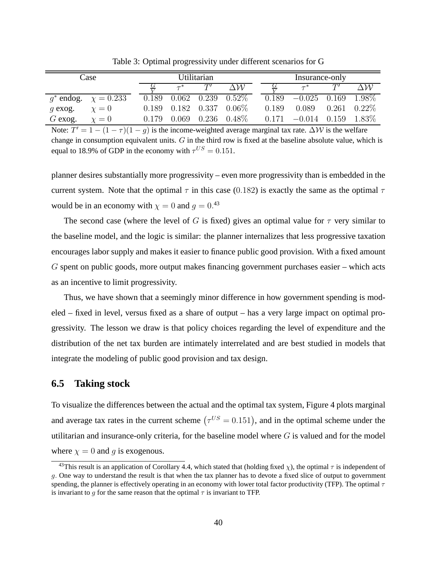| Case      |                             | Utilitarian |       |       | Insurance-only |       |          |       |          |
|-----------|-----------------------------|-------------|-------|-------|----------------|-------|----------|-------|----------|
|           |                             |             | $-*$  | T'    | \W             |       |          |       | ЛW       |
|           | $q^*$ endog. $\chi = 0.233$ | 0.189       | 0.062 | 0.239 | $0.52\%$       | 0.189 | $-0.025$ | 0.169 | 1.98\%   |
| $q$ exog. | $\chi=0$                    | 0.189       | 0.182 | 0.337 | $0.06\%$       | 0.189 | 0.089    | 0.261 | $0.22\%$ |
| $G$ exog. | $\gamma=0$                  | 0.179       | 0.069 | 0.236 | $0.48\%$       | 0.171 | $-0.014$ | 0.159 | - 1.83%  |

Table 3: Optimal progressivity under different scenarios for G

Note:  $T' = 1 - (1 - \tau)(1 - g)$  is the income-weighted average marginal tax rate.  $\Delta W$  is the welfare change in consumption equivalent units. G in the third row is fixed at the baseline absolute value, which is equal to 18.9% of GDP in the economy with  $\tau^{US} = 0.151$ .

planner desires substantially more progressivity – even more progressivity than is embedded in the current system. Note that the optimal  $\tau$  in this case (0.182) is exactly the same as the optimal  $\tau$ would be in an economy with  $\chi = 0$  and  $g = 0.^{43}$ 

The second case (where the level of G is fixed) gives an optimal value for  $\tau$  very similar to the baseline model, and the logic is similar: the planner internalizes that less progressive taxation encourages labor supply and makes it easier to finance public good provision. With a fixed amount G spent on public goods, more output makes financing government purchases easier – which acts as an incentive to limit progressivity.

Thus, we have shown that a seemingly minor difference in how government spending is modeled – fixed in level, versus fixed as a share of output – has a very large impact on optimal progressivity. The lesson we draw is that policy choices regarding the level of expenditure and the distribution of the net tax burden are intimately interrelated and are best studied in models that integrate the modeling of public good provision and tax design.

### **6.5 Taking stock**

To visualize the differences between the actual and the optimal tax system, Figure 4 plots marginal and average tax rates in the current scheme  $(\tau^{US} = 0.151)$ , and in the optimal scheme under the utilitarian and insurance-only criteria, for the baseline model where  $G$  is valued and for the model where  $\chi = 0$  and g is exogenous.

<sup>&</sup>lt;sup>43</sup>This result is an application of Corollary 4.4, which stated that (holding fixed  $\chi$ ), the optimal  $\tau$  is independent of g. One way to understand the result is that when the tax planner has to devote a fixed slice of output to government spending, the planner is effectively operating in an economy with lower total factor productivity (TFP). The optimal  $\tau$ is invariant to q for the same reason that the optimal  $\tau$  is invariant to TFP.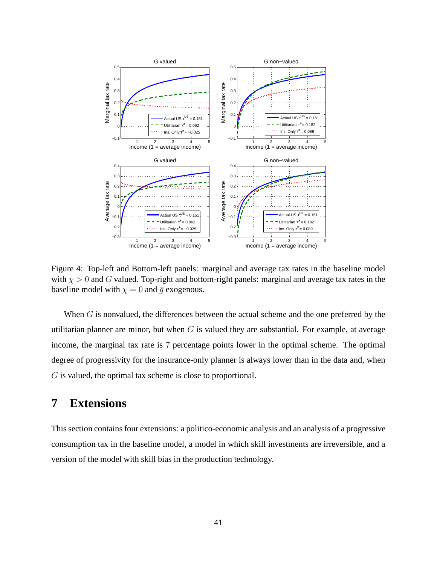

Figure 4: Top-left and Bottom-left panels: marginal and average tax rates in the baseline model with  $\chi > 0$  and G valued. Top-right and bottom-right panels: marginal and average tax rates in the baseline model with  $\chi = 0$  and  $\bar{g}$  exogenous.

When  $G$  is nonvalued, the differences between the actual scheme and the one preferred by the utilitarian planner are minor, but when  $G$  is valued they are substantial. For example, at average income, the marginal tax rate is 7 percentage points lower in the optimal scheme. The optimal degree of progressivity for the insurance-only planner is always lower than in the data and, when G is valued, the optimal tax scheme is close to proportional.

# **7 Extensions**

This section contains four extensions: a politico-economic analysis and an analysis of a progressive consumption tax in the baseline model, a model in which skill investments are irreversible, and a version of the model with skill bias in the production technology.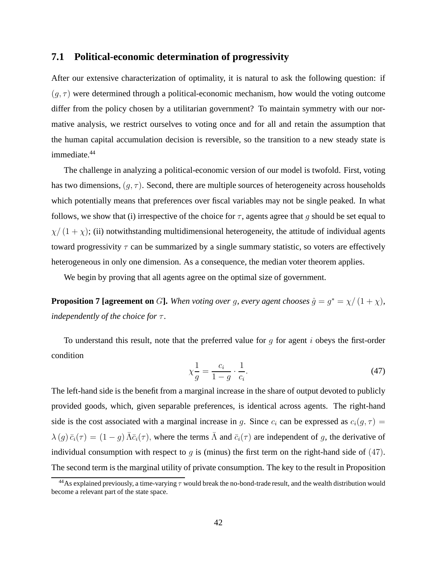#### **7.1 Political-economic determination of progressivity**

After our extensive characterization of optimality, it is natural to ask the following question: if  $(q, \tau)$  were determined through a political-economic mechanism, how would the voting outcome differ from the policy chosen by a utilitarian government? To maintain symmetry with our normative analysis, we restrict ourselves to voting once and for all and retain the assumption that the human capital accumulation decision is reversible, so the transition to a new steady state is immediate.<sup>44</sup>

The challenge in analyzing a political-economic version of our model is twofold. First, voting has two dimensions,  $(q, \tau)$ . Second, there are multiple sources of heterogeneity across households which potentially means that preferences over fiscal variables may not be single peaked. In what follows, we show that (i) irrespective of the choice for  $\tau$ , agents agree that q should be set equal to  $\chi/(1+\chi)$ ; (ii) notwithstanding multidimensional heterogeneity, the attitude of individual agents toward progressivity  $\tau$  can be summarized by a single summary statistic, so voters are effectively heterogeneous in only one dimension. As a consequence, the median voter theorem applies.

We begin by proving that all agents agree on the optimal size of government.

**Proposition 7 [agreement on** G]. When voting over g, every agent chooses  $\hat{g} = g^* = \chi/(1 + \chi)$ , *independently of the choice for*  $\tau$ .

To understand this result, note that the preferred value for g for agent i obeys the first-order condition

$$
\chi \frac{1}{g} = \frac{c_i}{1 - g} \cdot \frac{1}{c_i}.\tag{47}
$$

The left-hand side is the benefit from a marginal increase in the share of output devoted to publicly provided goods, which, given separable preferences, is identical across agents. The right-hand side is the cost associated with a marginal increase in g. Since  $c_i$  can be expressed as  $c_i(g, \tau)$  =  $\lambda(g)\bar{c}_i(\tau) = (1-g)\bar{\Lambda}\bar{c}_i(\tau)$ , where the terms  $\bar{\Lambda}$  and  $\bar{c}_i(\tau)$  are independent of g, the derivative of individual consumption with respect to q is (minus) the first term on the right-hand side of  $(47)$ . The second term is the marginal utility of private consumption. The key to the result in Proposition

<sup>&</sup>lt;sup>44</sup>As explained previously, a time-varying  $\tau$  would break the no-bond-trade result, and the wealth distribution would become a relevant part of the state space.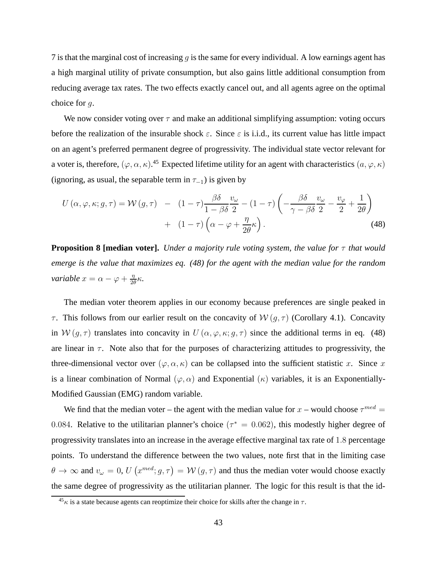7 is that the marginal cost of increasing  $q$  is the same for every individual. A low earnings agent has a high marginal utility of private consumption, but also gains little additional consumption from reducing average tax rates. The two effects exactly cancel out, and all agents agree on the optimal choice for  $q$ .

We now consider voting over  $\tau$  and make an additional simplifying assumption: voting occurs before the realization of the insurable shock  $\varepsilon$ . Since  $\varepsilon$  is i.i.d., its current value has little impact on an agent's preferred permanent degree of progressivity. The individual state vector relevant for a voter is, therefore,  $(\varphi, \alpha, \kappa)$ .<sup>45</sup> Expected lifetime utility for an agent with characteristics  $(a, \varphi, \kappa)$ (ignoring, as usual, the separable term in  $\tau_{-1}$ ) is given by

$$
U(\alpha, \varphi, \kappa; g, \tau) = \mathcal{W}(g, \tau) - (1 - \tau) \frac{\beta \delta}{1 - \beta \delta} \frac{v_{\omega}}{2} - (1 - \tau) \left( -\frac{\beta \delta}{\gamma - \beta \delta} \frac{v_{\omega}}{2} - \frac{v_{\varphi}}{2} + \frac{1}{2\theta} \right) + (1 - \tau) \left( \alpha - \varphi + \frac{\eta}{2\theta} \kappa \right).
$$
(48)

**Proposition 8 [median voter].** *Under a majority rule voting system, the value for* τ *that would emerge is the value that maximizes eq. (48) for the agent with the median value for the random variable*  $x = \alpha - \varphi + \frac{\eta}{2\theta}$  $rac{\eta}{2\theta}\kappa$ .

The median voter theorem applies in our economy because preferences are single peaked in τ. This follows from our earlier result on the concavity of  $W(g, τ)$  (Corollary 4.1). Concavity in  $W(g, \tau)$  translates into concavity in  $U(\alpha, \varphi, \kappa; g, \tau)$  since the additional terms in eq. (48) are linear in  $\tau$ . Note also that for the purposes of characterizing attitudes to progressivity, the three-dimensional vector over  $(\varphi, \alpha, \kappa)$  can be collapsed into the sufficient statistic x. Since x is a linear combination of Normal  $(\varphi, \alpha)$  and Exponential  $(\kappa)$  variables, it is an Exponentially-Modified Gaussian (EMG) random variable.

We find that the median voter – the agent with the median value for  $x$  – would choose  $\tau^{med}$  = 0.084. Relative to the utilitarian planner's choice ( $\tau^* = 0.062$ ), this modestly higher degree of progressivity translates into an increase in the average effective marginal tax rate of 1.8 percentage points. To understand the difference between the two values, note first that in the limiting case  $\theta \to \infty$  and  $v_\omega = 0$ ,  $U(x^{med}; g, \tau) = W(g, \tau)$  and thus the median voter would choose exactly the same degree of progressivity as the utilitarian planner. The logic for this result is that the id-

 $^{45}\kappa$  is a state because agents can reoptimize their choice for skills after the change in  $\tau$ .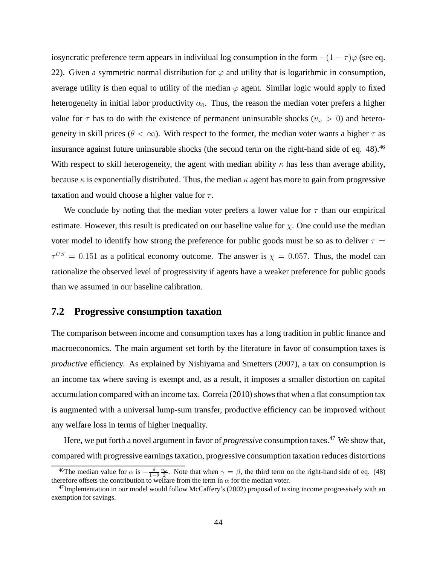iosyncratic preference term appears in individual log consumption in the form  $-(1 - \tau)\varphi$  (see eq. 22). Given a symmetric normal distribution for  $\varphi$  and utility that is logarithmic in consumption, average utility is then equal to utility of the median  $\varphi$  agent. Similar logic would apply to fixed heterogeneity in initial labor productivity  $\alpha_0$ . Thus, the reason the median voter prefers a higher value for  $\tau$  has to do with the existence of permanent uninsurable shocks ( $v_\omega > 0$ ) and heterogeneity in skill prices ( $\theta < \infty$ ). With respect to the former, the median voter wants a higher  $\tau$  as insurance against future uninsurable shocks (the second term on the right-hand side of eq. 48).<sup>46</sup> With respect to skill heterogeneity, the agent with median ability  $\kappa$  has less than average ability, because  $\kappa$  is exponentially distributed. Thus, the median  $\kappa$  agent has more to gain from progressive taxation and would choose a higher value for  $\tau$ .

We conclude by noting that the median voter prefers a lower value for  $\tau$  than our empirical estimate. However, this result is predicated on our baseline value for  $\chi$ . One could use the median voter model to identify how strong the preference for public goods must be so as to deliver  $\tau =$  $\tau^{US} = 0.151$  as a political economy outcome. The answer is  $\chi = 0.057$ . Thus, the model can rationalize the observed level of progressivity if agents have a weaker preference for public goods than we assumed in our baseline calibration.

#### **7.2 Progressive consumption taxation**

The comparison between income and consumption taxes has a long tradition in public finance and macroeconomics. The main argument set forth by the literature in favor of consumption taxes is *productive* efficiency. As explained by Nishiyama and Smetters (2007), a tax on consumption is an income tax where saving is exempt and, as a result, it imposes a smaller distortion on capital accumulation compared with an income tax. Correia (2010) shows that when a flat consumption tax is augmented with a universal lump-sum transfer, productive efficiency can be improved without any welfare loss in terms of higher inequality.

Here, we put forth a novel argument in favor of *progressive* consumption taxes.<sup>47</sup> We show that, compared with progressive earnings taxation, progressive consumption taxation reduces distortions

<sup>&</sup>lt;sup>46</sup>The median value for  $\alpha$  is  $-\frac{\delta}{1-\delta} \frac{v_{\omega}}{2}$ . Note that when  $\gamma = \beta$ , the third term on the right-hand side of eq. (48) therefore offsets the contribution to welfare from the term in  $\alpha$  for the median voter.

 $47$ Implementation in our model would follow McCaffery's (2002) proposal of taxing income progressively with an exemption for savings.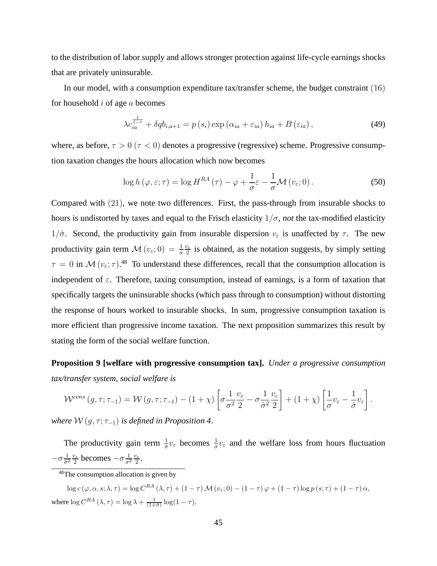to the distribution of labor supply and allows stronger protection against life-cycle earnings shocks that are privately uninsurable.

In our model, with a consumption expenditure tax/transfer scheme, the budget constraint (16) for household  $i$  of age  $a$  becomes

$$
\lambda c_{ia}^{\frac{1}{1-\tau}} + \delta q b_{i,a+1} = p(s_i) \exp\left(\alpha_{ia} + \varepsilon_{ia}\right) h_{ia} + B\left(\varepsilon_{ia}\right),\tag{49}
$$

where, as before,  $\tau > 0$  ( $\tau < 0$ ) denotes a progressive (regressive) scheme. Progressive consumption taxation changes the hours allocation which now becomes

$$
\log h(\varphi, \varepsilon; \tau) = \log H^{RA}(\tau) - \varphi + \frac{1}{\sigma} \varepsilon - \frac{1}{\sigma} \mathcal{M} (v_{\varepsilon}; 0). \tag{50}
$$

Compared with (21), we note two differences. First, the pass-through from insurable shocks to hours is undistorted by taxes and equal to the Frisch elasticity  $1/\sigma$ , *not* the tax-modified elasticity  $1/\hat{\sigma}$ . Second, the productivity gain from insurable dispersion  $v_{\varepsilon}$  is unaffected by  $\tau$ . The new productivity gain term  $\mathcal{M}(v_{\varepsilon};0) = \frac{1}{\sigma}$  $v_{\varepsilon}$  $\frac{v_{\varepsilon}}{2}$  is obtained, as the notation suggests, by simply setting  $\tau = 0$  in  $\mathcal{M}(v_{\varepsilon}; \tau)$ .<sup>48</sup> To understand these differences, recall that the consumption allocation is independent of  $\varepsilon$ . Therefore, taxing consumption, instead of earnings, is a form of taxation that specifically targets the uninsurable shocks (which pass through to consumption) without distorting the response of hours worked to insurable shocks. In sum, progressive consumption taxation is more efficient than progressive income taxation. The next proposition summarizes this result by stating the form of the social welfare function.

**Proposition 9 [welfare with progressive consumption tax].** *Under a progressive consumption tax/transfer system, social welfare is*

$$
\mathcal{W}^{cons}\left(g,\tau;\tau_{-1}\right) = \mathcal{W}\left(g,\tau;\tau_{-1}\right) - \left(1+\chi\right)\left[\sigma\frac{1}{\sigma^2}\frac{v_{\varepsilon}}{2} - \sigma\frac{1}{\hat{\sigma}^2}\frac{v_{\varepsilon}}{2}\right] + \left(1+\chi\right)\left[\frac{1}{\sigma}v_{\varepsilon} - \frac{1}{\hat{\sigma}}v_{\varepsilon}\right].
$$

*where*  $W(g, \tau; \tau_{-1})$  *is defined in Proposition 4.* 

The productivity gain term  $\frac{1}{\hat{\sigma}}v_{\varepsilon}$  becomes  $\frac{1}{\sigma}v_{\varepsilon}$  and the welfare loss from hours fluctuation  $-\sigma \frac{1}{\hat{\sigma}^2}$  $rac{1}{\hat{\sigma}^2} \frac{v_{\varepsilon}}{2}$  $rac{v_{\varepsilon}}{2}$  becomes  $-\sigma \frac{1}{\sigma^2} \frac{v_{\varepsilon}}{2}$  $\frac{2}{2}$ .

<sup>48</sup>The consumption allocation is given by

 $\log c (\varphi, \alpha, s; \lambda, \tau) = \log C^{RA} (\lambda, \tau) + (1 - \tau) \mathcal{M} (v_{\varepsilon}; 0) - (1 - \tau) \varphi + (1 - \tau) \log p (s; \tau) + (1 - \tau) \alpha,$ where  $\log C^{RA}(\lambda, \tau) = \log \lambda + \frac{1}{(1+\hat{\sigma})} \log(1-\tau)$ .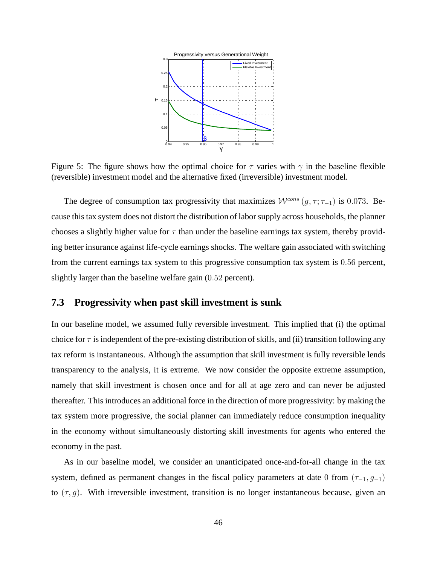

Figure 5: The figure shows how the optimal choice for  $\tau$  varies with  $\gamma$  in the baseline flexible (reversible) investment model and the alternative fixed (irreversible) investment model.

The degree of consumption tax progressivity that maximizes  $W^{cons} (g, \tau; \tau_{-1})$  is 0.073. Because this tax system does not distort the distribution of labor supply across households, the planner chooses a slightly higher value for  $\tau$  than under the baseline earnings tax system, thereby providing better insurance against life-cycle earnings shocks. The welfare gain associated with switching from the current earnings tax system to this progressive consumption tax system is 0.56 percent, slightly larger than the baseline welfare gain (0.52 percent).

## **7.3 Progressivity when past skill investment is sunk**

In our baseline model, we assumed fully reversible investment. This implied that (i) the optimal choice for  $\tau$  is independent of the pre-existing distribution of skills, and (ii) transition following any tax reform is instantaneous. Although the assumption that skill investment is fully reversible lends transparency to the analysis, it is extreme. We now consider the opposite extreme assumption, namely that skill investment is chosen once and for all at age zero and can never be adjusted thereafter. This introduces an additional force in the direction of more progressivity: by making the tax system more progressive, the social planner can immediately reduce consumption inequality in the economy without simultaneously distorting skill investments for agents who entered the economy in the past.

As in our baseline model, we consider an unanticipated once-and-for-all change in the tax system, defined as permanent changes in the fiscal policy parameters at date 0 from  $(\tau_{-1}, g_{-1})$ to  $(\tau, g)$ . With irreversible investment, transition is no longer instantaneous because, given an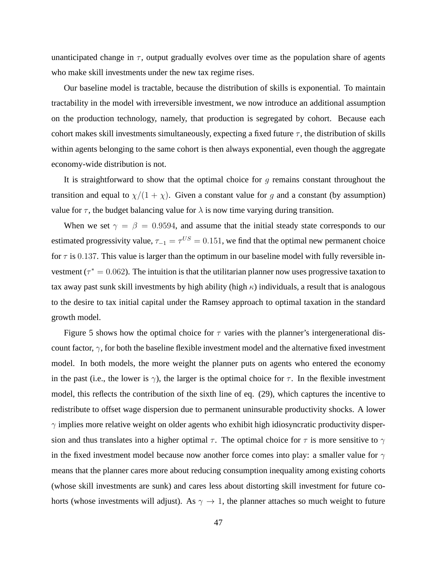unanticipated change in  $\tau$ , output gradually evolves over time as the population share of agents who make skill investments under the new tax regime rises.

Our baseline model is tractable, because the distribution of skills is exponential. To maintain tractability in the model with irreversible investment, we now introduce an additional assumption on the production technology, namely, that production is segregated by cohort. Because each cohort makes skill investments simultaneously, expecting a fixed future  $\tau$ , the distribution of skills within agents belonging to the same cohort is then always exponential, even though the aggregate economy-wide distribution is not.

It is straightforward to show that the optimal choice for q remains constant throughout the transition and equal to  $\chi/(1 + \chi)$ . Given a constant value for g and a constant (by assumption) value for  $\tau$ , the budget balancing value for  $\lambda$  is now time varying during transition.

When we set  $\gamma = \beta = 0.9594$ , and assume that the initial steady state corresponds to our estimated progressivity value,  $\tau_{-1} = \tau^{US} = 0.151$ , we find that the optimal new permanent choice for  $\tau$  is 0.137. This value is larger than the optimum in our baseline model with fully reversible investment ( $\tau^* = 0.062$ ). The intuition is that the utilitarian planner now uses progressive taxation to tax away past sunk skill investments by high ability (high  $\kappa$ ) individuals, a result that is analogous to the desire to tax initial capital under the Ramsey approach to optimal taxation in the standard growth model.

Figure 5 shows how the optimal choice for  $\tau$  varies with the planner's intergenerational discount factor,  $\gamma$ , for both the baseline flexible investment model and the alternative fixed investment model. In both models, the more weight the planner puts on agents who entered the economy in the past (i.e., the lower is  $\gamma$ ), the larger is the optimal choice for  $\tau$ . In the flexible investment model, this reflects the contribution of the sixth line of eq. (29), which captures the incentive to redistribute to offset wage dispersion due to permanent uninsurable productivity shocks. A lower  $\gamma$  implies more relative weight on older agents who exhibit high idiosyncratic productivity dispersion and thus translates into a higher optimal  $\tau$ . The optimal choice for  $\tau$  is more sensitive to  $\gamma$ in the fixed investment model because now another force comes into play: a smaller value for  $\gamma$ means that the planner cares more about reducing consumption inequality among existing cohorts (whose skill investments are sunk) and cares less about distorting skill investment for future cohorts (whose investments will adjust). As  $\gamma \to 1$ , the planner attaches so much weight to future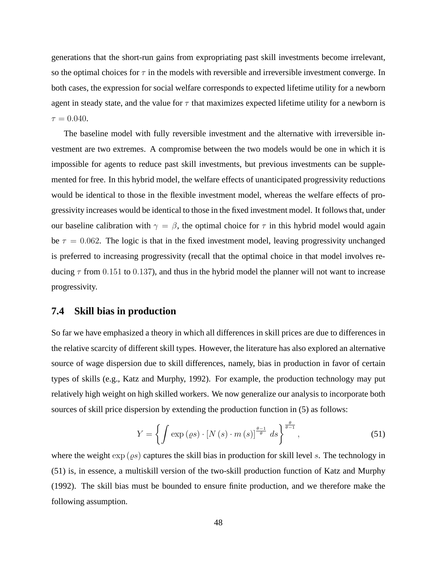generations that the short-run gains from expropriating past skill investments become irrelevant, so the optimal choices for  $\tau$  in the models with reversible and irreversible investment converge. In both cases, the expression for social welfare corresponds to expected lifetime utility for a newborn agent in steady state, and the value for  $\tau$  that maximizes expected lifetime utility for a newborn is  $\tau = 0.040$ .

The baseline model with fully reversible investment and the alternative with irreversible investment are two extremes. A compromise between the two models would be one in which it is impossible for agents to reduce past skill investments, but previous investments can be supplemented for free. In this hybrid model, the welfare effects of unanticipated progressivity reductions would be identical to those in the flexible investment model, whereas the welfare effects of progressivity increases would be identical to those in the fixed investment model. It follows that, under our baseline calibration with  $\gamma = \beta$ , the optimal choice for  $\tau$  in this hybrid model would again be  $\tau = 0.062$ . The logic is that in the fixed investment model, leaving progressivity unchanged is preferred to increasing progressivity (recall that the optimal choice in that model involves reducing  $\tau$  from 0.151 to 0.137), and thus in the hybrid model the planner will not want to increase progressivity.

#### **7.4 Skill bias in production**

So far we have emphasized a theory in which all differences in skill prices are due to differences in the relative scarcity of different skill types. However, the literature has also explored an alternative source of wage dispersion due to skill differences, namely, bias in production in favor of certain types of skills (e.g., Katz and Murphy, 1992). For example, the production technology may put relatively high weight on high skilled workers. We now generalize our analysis to incorporate both sources of skill price dispersion by extending the production function in (5) as follows:

$$
Y = \left\{ \int \exp\left(\varrho s\right) \cdot \left[N\left(s\right) \cdot m\left(s\right)\right]^{\frac{\theta - 1}{\theta}} ds \right\}^{\frac{\theta}{\theta - 1}},\tag{51}
$$

where the weight  $\exp(\rho s)$  captures the skill bias in production for skill level s. The technology in (51) is, in essence, a multiskill version of the two-skill production function of Katz and Murphy (1992). The skill bias must be bounded to ensure finite production, and we therefore make the following assumption.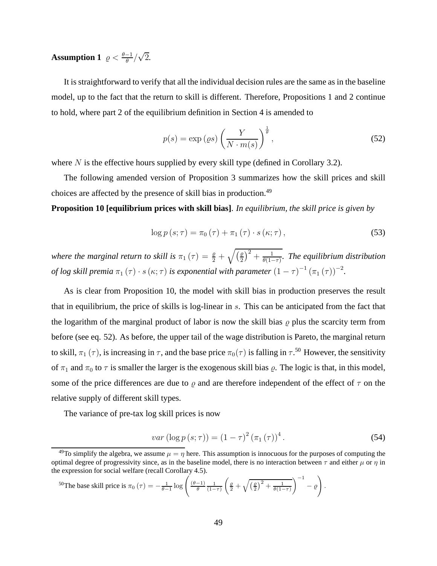# **Assumption 1**  $\varrho < \frac{\theta - 1}{\theta} / \sqrt{2}$ .

It is straightforward to verify that all the individual decision rules are the same as in the baseline model, up to the fact that the return to skill is different. Therefore, Propositions 1 and 2 continue to hold, where part 2 of the equilibrium definition in Section 4 is amended to

$$
p(s) = \exp\left(\varrho s\right) \left(\frac{Y}{N \cdot m(s)}\right)^{\frac{1}{\theta}},\tag{52}
$$

where  $N$  is the effective hours supplied by every skill type (defined in Corollary 3.2).

The following amended version of Proposition 3 summarizes how the skill prices and skill choices are affected by the presence of skill bias in production.<sup>49</sup>

**Proposition 10 [equilibrium prices with skill bias]**. *In equilibrium, the skill price is given by*

$$
\log p\left(s;\tau\right) = \pi_0\left(\tau\right) + \pi_1\left(\tau\right) \cdot s\left(\kappa;\tau\right),\tag{53}
$$

where the marginal return to skill is  $\pi_1(\tau) = \frac{\varrho}{2} + \sqrt{(\frac{\varrho}{2})^2}$  $(\frac{\varrho}{2})^2 + \frac{1}{\theta(1-\varrho)}$ θ(1−τ) *. The equilibrium distribution of log skill premia*  $\pi_1(\tau) \cdot s(\kappa; \tau)$  *is exponential with parameter*  $(1 - \tau)^{-1} (\pi_1(\tau))^{-2}$ *.* 

As is clear from Proposition 10, the model with skill bias in production preserves the result that in equilibrium, the price of skills is log-linear in s. This can be anticipated from the fact that the logarithm of the marginal product of labor is now the skill bias  $\rho$  plus the scarcity term from before (see eq. 52). As before, the upper tail of the wage distribution is Pareto, the marginal return to skill,  $\pi_1(\tau)$ , is increasing in  $\tau$ , and the base price  $\pi_0(\tau)$  is falling in  $\tau$ .<sup>50</sup> However, the sensitivity of  $\pi_1$  and  $\pi_0$  to  $\tau$  is smaller the larger is the exogenous skill bias  $\varrho$ . The logic is that, in this model, some of the price differences are due to  $\varrho$  and are therefore independent of the effect of  $\tau$  on the relative supply of different skill types.

The variance of pre-tax log skill prices is now

$$
var\left(\log p\left(s;\tau\right)\right) = \left(1-\tau\right)^2 \left(\pi_1\left(\tau\right)\right)^4. \tag{54}
$$

$$
^{50}\text{The base skill price is } \pi_0\left(\tau\right) = -\frac{1}{\theta - 1}\log\left(\frac{\left(\theta - 1\right)}{\theta}\frac{1}{\left(1 - \tau\right)}\left(\frac{\varrho}{2} + \sqrt{\left(\frac{\varrho}{2}\right)^2 + \frac{1}{\theta(1 - \tau)}}\right)^{-1} - \varrho\right).
$$

<sup>&</sup>lt;sup>49</sup>To simplify the algebra, we assume  $\mu = \eta$  here. This assumption is innocuous for the purposes of computing the optimal degree of progressivity since, as in the baseline model, there is no interaction between  $\tau$  and either  $\mu$  or  $\eta$  in the expression for social welfare (recall Corollary 4.5).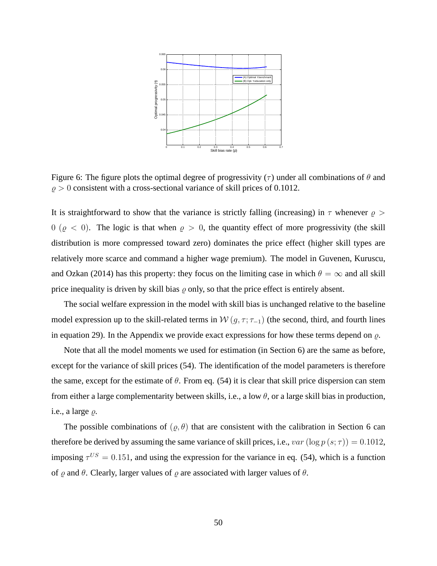

Figure 6: The figure plots the optimal degree of progressivity ( $\tau$ ) under all combinations of  $\theta$  and  $\rho > 0$  consistent with a cross-sectional variance of skill prices of 0.1012.

It is straightforward to show that the variance is strictly falling (increasing) in  $\tau$  whenever  $\rho$ 0 ( $\varrho$  < 0). The logic is that when  $\varrho > 0$ , the quantity effect of more progressivity (the skill distribution is more compressed toward zero) dominates the price effect (higher skill types are relatively more scarce and command a higher wage premium). The model in Guvenen, Kuruscu, and Ozkan (2014) has this property: they focus on the limiting case in which  $\theta = \infty$  and all skill price inequality is driven by skill bias  $\rho$  only, so that the price effect is entirely absent.

The social welfare expression in the model with skill bias is unchanged relative to the baseline model expression up to the skill-related terms in  $W(g, \tau; \tau_{-1})$  (the second, third, and fourth lines in equation 29). In the Appendix we provide exact expressions for how these terms depend on  $\rho$ .

Note that all the model moments we used for estimation (in Section 6) are the same as before, except for the variance of skill prices (54). The identification of the model parameters is therefore the same, except for the estimate of  $\theta$ . From eq. (54) it is clear that skill price dispersion can stem from either a large complementarity between skills, i.e., a low  $\theta$ , or a large skill bias in production, i.e., a large  $\rho$ .

The possible combinations of  $(\varrho, \theta)$  that are consistent with the calibration in Section 6 can therefore be derived by assuming the same variance of skill prices, i.e.,  $var(\log p(s; \tau)) = 0.1012$ , imposing  $\tau^{US} = 0.151$ , and using the expression for the variance in eq. (54), which is a function of  $\varrho$  and  $\theta$ . Clearly, larger values of  $\varrho$  are associated with larger values of  $\theta$ .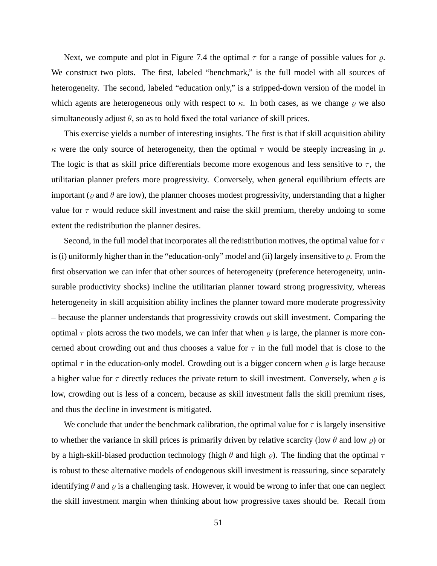Next, we compute and plot in Figure 7.4 the optimal  $\tau$  for a range of possible values for  $\rho$ . We construct two plots. The first, labeled "benchmark," is the full model with all sources of heterogeneity. The second, labeled "education only," is a stripped-down version of the model in which agents are heterogeneous only with respect to  $\kappa$ . In both cases, as we change  $\rho$  we also simultaneously adjust  $\theta$ , so as to hold fixed the total variance of skill prices.

This exercise yields a number of interesting insights. The first is that if skill acquisition ability κ were the only source of heterogeneity, then the optimal  $τ$  would be steeply increasing in  $ρ$ . The logic is that as skill price differentials become more exogenous and less sensitive to  $\tau$ , the utilitarian planner prefers more progressivity. Conversely, when general equilibrium effects are important ( $\varrho$  and  $\theta$  are low), the planner chooses modest progressivity, understanding that a higher value for  $\tau$  would reduce skill investment and raise the skill premium, thereby undoing to some extent the redistribution the planner desires.

Second, in the full model that incorporates all the redistribution motives, the optimal value for  $\tau$ is (i) uniformly higher than in the "education-only" model and (ii) largely insensitive to  $\rho$ . From the first observation we can infer that other sources of heterogeneity (preference heterogeneity, uninsurable productivity shocks) incline the utilitarian planner toward strong progressivity, whereas heterogeneity in skill acquisition ability inclines the planner toward more moderate progressivity – because the planner understands that progressivity crowds out skill investment. Comparing the optimal  $\tau$  plots across the two models, we can infer that when  $\rho$  is large, the planner is more concerned about crowding out and thus chooses a value for  $\tau$  in the full model that is close to the optimal  $\tau$  in the education-only model. Crowding out is a bigger concern when  $\rho$  is large because a higher value for  $\tau$  directly reduces the private return to skill investment. Conversely, when  $\rho$  is low, crowding out is less of a concern, because as skill investment falls the skill premium rises, and thus the decline in investment is mitigated.

We conclude that under the benchmark calibration, the optimal value for  $\tau$  is largely insensitive to whether the variance in skill prices is primarily driven by relative scarcity (low  $\theta$  and low  $\rho$ ) or by a high-skill-biased production technology (high  $\theta$  and high  $\rho$ ). The finding that the optimal  $\tau$ is robust to these alternative models of endogenous skill investment is reassuring, since separately identifying  $\theta$  and  $\rho$  is a challenging task. However, it would be wrong to infer that one can neglect the skill investment margin when thinking about how progressive taxes should be. Recall from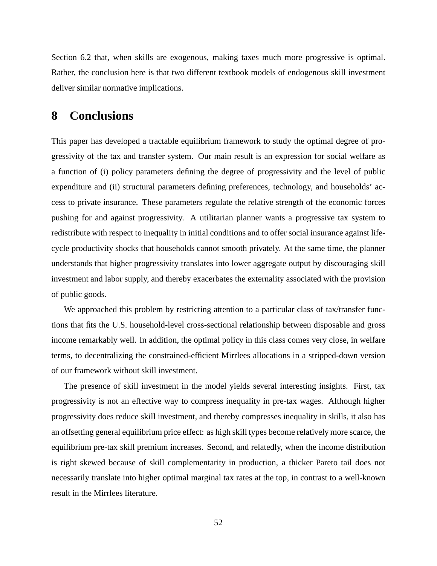Section 6.2 that, when skills are exogenous, making taxes much more progressive is optimal. Rather, the conclusion here is that two different textbook models of endogenous skill investment deliver similar normative implications.

## **8 Conclusions**

This paper has developed a tractable equilibrium framework to study the optimal degree of progressivity of the tax and transfer system. Our main result is an expression for social welfare as a function of (i) policy parameters defining the degree of progressivity and the level of public expenditure and (ii) structural parameters defining preferences, technology, and households' access to private insurance. These parameters regulate the relative strength of the economic forces pushing for and against progressivity. A utilitarian planner wants a progressive tax system to redistribute with respect to inequality in initial conditions and to offer social insurance against lifecycle productivity shocks that households cannot smooth privately. At the same time, the planner understands that higher progressivity translates into lower aggregate output by discouraging skill investment and labor supply, and thereby exacerbates the externality associated with the provision of public goods.

We approached this problem by restricting attention to a particular class of tax/transfer functions that fits the U.S. household-level cross-sectional relationship between disposable and gross income remarkably well. In addition, the optimal policy in this class comes very close, in welfare terms, to decentralizing the constrained-efficient Mirrlees allocations in a stripped-down version of our framework without skill investment.

The presence of skill investment in the model yields several interesting insights. First, tax progressivity is not an effective way to compress inequality in pre-tax wages. Although higher progressivity does reduce skill investment, and thereby compresses inequality in skills, it also has an offsetting general equilibrium price effect: as high skill types become relatively more scarce, the equilibrium pre-tax skill premium increases. Second, and relatedly, when the income distribution is right skewed because of skill complementarity in production, a thicker Pareto tail does not necessarily translate into higher optimal marginal tax rates at the top, in contrast to a well-known result in the Mirrlees literature.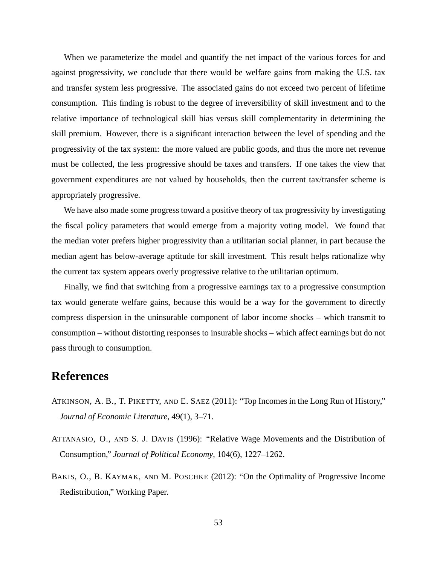When we parameterize the model and quantify the net impact of the various forces for and against progressivity, we conclude that there would be welfare gains from making the U.S. tax and transfer system less progressive. The associated gains do not exceed two percent of lifetime consumption. This finding is robust to the degree of irreversibility of skill investment and to the relative importance of technological skill bias versus skill complementarity in determining the skill premium. However, there is a significant interaction between the level of spending and the progressivity of the tax system: the more valued are public goods, and thus the more net revenue must be collected, the less progressive should be taxes and transfers. If one takes the view that government expenditures are not valued by households, then the current tax/transfer scheme is appropriately progressive.

We have also made some progress toward a positive theory of tax progressivity by investigating the fiscal policy parameters that would emerge from a majority voting model. We found that the median voter prefers higher progressivity than a utilitarian social planner, in part because the median agent has below-average aptitude for skill investment. This result helps rationalize why the current tax system appears overly progressive relative to the utilitarian optimum.

Finally, we find that switching from a progressive earnings tax to a progressive consumption tax would generate welfare gains, because this would be a way for the government to directly compress dispersion in the uninsurable component of labor income shocks – which transmit to consumption – without distorting responses to insurable shocks – which affect earnings but do not pass through to consumption.

## **References**

- ATKINSON, A. B., T. PIKETTY, AND E. SAEZ (2011): "Top Incomes in the Long Run of History," *Journal of Economic Literature*, 49(1), 3–71.
- ATTANASIO, O., AND S. J. DAVIS (1996): "Relative Wage Movements and the Distribution of Consumption," *Journal of Political Economy*, 104(6), 1227–1262.
- BAKIS, O., B. KAYMAK, AND M. POSCHKE (2012): "On the Optimality of Progressive Income Redistribution," Working Paper.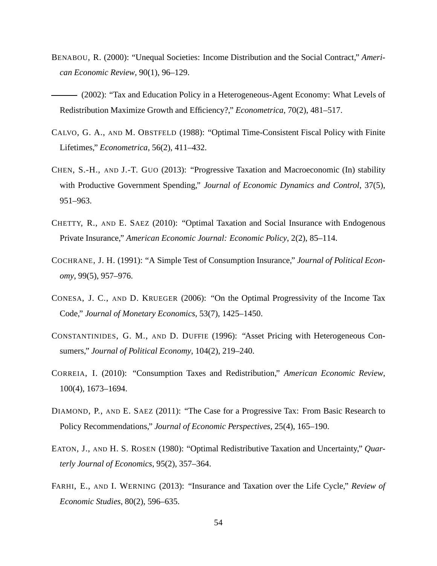- BENABOU, R. (2000): "Unequal Societies: Income Distribution and the Social Contract," *American Economic Review*, 90(1), 96–129.
- (2002): "Tax and Education Policy in a Heterogeneous-Agent Economy: What Levels of Redistribution Maximize Growth and Efficiency?," *Econometrica*, 70(2), 481–517.
- CALVO, G. A., AND M. OBSTFELD (1988): "Optimal Time-Consistent Fiscal Policy with Finite Lifetimes," *Econometrica*, 56(2), 411–432.
- CHEN, S.-H., AND J.-T. GUO (2013): "Progressive Taxation and Macroeconomic (In) stability with Productive Government Spending," *Journal of Economic Dynamics and Control*, 37(5), 951–963.
- CHETTY, R., AND E. SAEZ (2010): "Optimal Taxation and Social Insurance with Endogenous Private Insurance," *American Economic Journal: Economic Policy*, 2(2), 85–114.
- COCHRANE, J. H. (1991): "A Simple Test of Consumption Insurance," *Journal of Political Economy*, 99(5), 957–976.
- CONESA, J. C., AND D. KRUEGER (2006): "On the Optimal Progressivity of the Income Tax Code," *Journal of Monetary Economics*, 53(7), 1425–1450.
- CONSTANTINIDES, G. M., AND D. DUFFIE (1996): "Asset Pricing with Heterogeneous Consumers," *Journal of Political Economy*, 104(2), 219–240.
- CORREIA, I. (2010): "Consumption Taxes and Redistribution," *American Economic Review*, 100(4), 1673–1694.
- DIAMOND, P., AND E. SAEZ (2011): "The Case for a Progressive Tax: From Basic Research to Policy Recommendations," *Journal of Economic Perspectives*, 25(4), 165–190.
- EATON, J., AND H. S. ROSEN (1980): "Optimal Redistributive Taxation and Uncertainty," *Quarterly Journal of Economics*, 95(2), 357–364.
- FARHI, E., AND I. WERNING (2013): "Insurance and Taxation over the Life Cycle," *Review of Economic Studies*, 80(2), 596–635.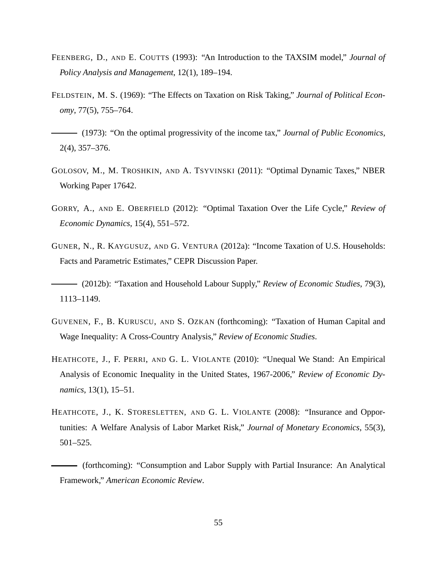- FEENBERG, D., AND E. COUTTS (1993): "An Introduction to the TAXSIM model," *Journal of Policy Analysis and Management*, 12(1), 189–194.
- FELDSTEIN, M. S. (1969): "The Effects on Taxation on Risk Taking," *Journal of Political Economy*, 77(5), 755–764.
- (1973): "On the optimal progressivity of the income tax," *Journal of Public Economics*, 2(4), 357–376.
- GOLOSOV, M., M. TROSHKIN, AND A. TSYVINSKI (2011): "Optimal Dynamic Taxes," NBER Working Paper 17642.
- GORRY, A., AND E. OBERFIELD (2012): "Optimal Taxation Over the Life Cycle," *Review of Economic Dynamics*, 15(4), 551–572.
- GUNER, N., R. KAYGUSUZ, AND G. VENTURA (2012a): "Income Taxation of U.S. Households: Facts and Parametric Estimates," CEPR Discussion Paper.
- (2012b): "Taxation and Household Labour Supply," *Review of Economic Studies*, 79(3), 1113–1149.
- GUVENEN, F., B. KURUSCU, AND S. OZKAN (forthcoming): "Taxation of Human Capital and Wage Inequality: A Cross-Country Analysis," *Review of Economic Studies*.
- HEATHCOTE, J., F. PERRI, AND G. L. VIOLANTE (2010): "Unequal We Stand: An Empirical Analysis of Economic Inequality in the United States, 1967-2006," *Review of Economic Dynamics*, 13(1), 15–51.
- HEATHCOTE, J., K. STORESLETTEN, AND G. L. VIOLANTE (2008): "Insurance and Opportunities: A Welfare Analysis of Labor Market Risk," *Journal of Monetary Economics*, 55(3), 501–525.
- (forthcoming): "Consumption and Labor Supply with Partial Insurance: An Analytical Framework," *American Economic Review*.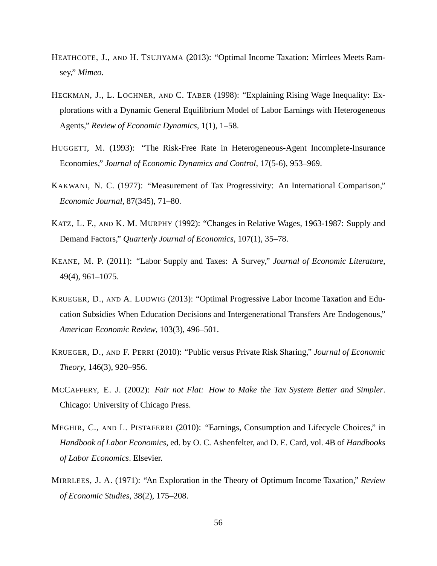- HEATHCOTE, J., AND H. TSUJIYAMA (2013): "Optimal Income Taxation: Mirrlees Meets Ramsey," *Mimeo*.
- HECKMAN, J., L. LOCHNER, AND C. TABER (1998): "Explaining Rising Wage Inequality: Explorations with a Dynamic General Equilibrium Model of Labor Earnings with Heterogeneous Agents," *Review of Economic Dynamics*, 1(1), 1–58.
- HUGGETT, M. (1993): "The Risk-Free Rate in Heterogeneous-Agent Incomplete-Insurance Economies," *Journal of Economic Dynamics and Control*, 17(5-6), 953–969.
- KAKWANI, N. C. (1977): "Measurement of Tax Progressivity: An International Comparison," *Economic Journal*, 87(345), 71–80.
- KATZ, L. F., AND K. M. MURPHY (1992): "Changes in Relative Wages, 1963-1987: Supply and Demand Factors," *Quarterly Journal of Economics*, 107(1), 35–78.
- KEANE, M. P. (2011): "Labor Supply and Taxes: A Survey," *Journal of Economic Literature*, 49(4), 961–1075.
- KRUEGER, D., AND A. LUDWIG (2013): "Optimal Progressive Labor Income Taxation and Education Subsidies When Education Decisions and Intergenerational Transfers Are Endogenous," *American Economic Review*, 103(3), 496–501.
- KRUEGER, D., AND F. PERRI (2010): "Public versus Private Risk Sharing," *Journal of Economic Theory*, 146(3), 920–956.
- MCCAFFERY, E. J. (2002): *Fair not Flat: How to Make the Tax System Better and Simpler*. Chicago: University of Chicago Press.
- MEGHIR, C., AND L. PISTAFERRI (2010): "Earnings, Consumption and Lifecycle Choices," in *Handbook of Labor Economics*, ed. by O. C. Ashenfelter, and D. E. Card, vol. 4B of *Handbooks of Labor Economics*. Elsevier.
- MIRRLEES, J. A. (1971): "An Exploration in the Theory of Optimum Income Taxation," *Review of Economic Studies*, 38(2), 175–208.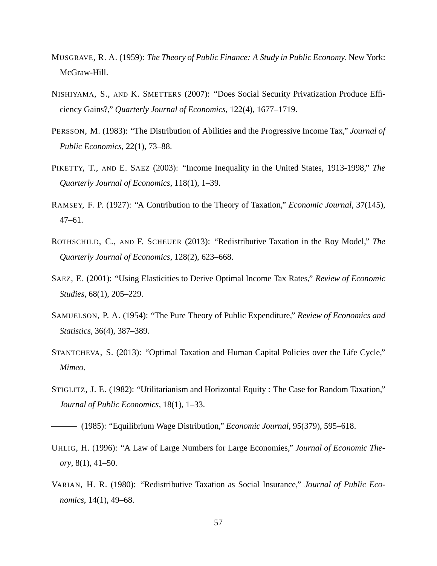- MUSGRAVE, R. A. (1959): *The Theory of Public Finance: A Study in Public Economy*. New York: McGraw-Hill.
- NISHIYAMA, S., AND K. SMETTERS (2007): "Does Social Security Privatization Produce Efficiency Gains?," *Quarterly Journal of Economics*, 122(4), 1677–1719.
- PERSSON, M. (1983): "The Distribution of Abilities and the Progressive Income Tax," *Journal of Public Economics*, 22(1), 73–88.
- PIKETTY, T., AND E. SAEZ (2003): "Income Inequality in the United States, 1913-1998," *The Quarterly Journal of Economics*, 118(1), 1–39.
- RAMSEY, F. P. (1927): "A Contribution to the Theory of Taxation," *Economic Journal*, 37(145), 47–61.
- ROTHSCHILD, C., AND F. SCHEUER (2013): "Redistributive Taxation in the Roy Model," *The Quarterly Journal of Economics*, 128(2), 623–668.
- SAEZ, E. (2001): "Using Elasticities to Derive Optimal Income Tax Rates," *Review of Economic Studies*, 68(1), 205–229.
- SAMUELSON, P. A. (1954): "The Pure Theory of Public Expenditure," *Review of Economics and Statistics*, 36(4), 387–389.
- STANTCHEVA, S. (2013): "Optimal Taxation and Human Capital Policies over the Life Cycle," *Mimeo*.
- STIGLITZ, J. E. (1982): "Utilitarianism and Horizontal Equity : The Case for Random Taxation," *Journal of Public Economics*, 18(1), 1–33.

(1985): "Equilibrium Wage Distribution," *Economic Journal*, 95(379), 595–618.

- UHLIG, H. (1996): "A Law of Large Numbers for Large Economies," *Journal of Economic Theory*, 8(1), 41–50.
- VARIAN, H. R. (1980): "Redistributive Taxation as Social Insurance," *Journal of Public Economics*, 14(1), 49–68.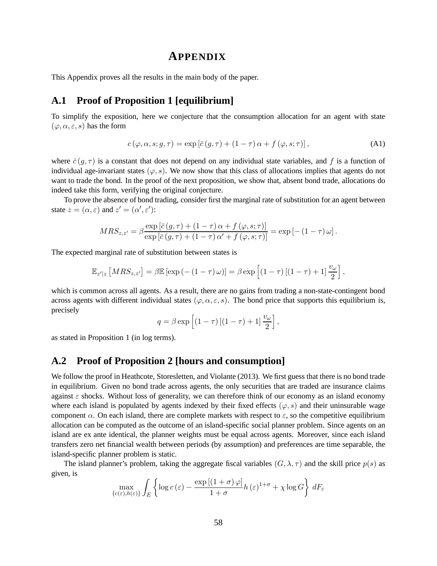## **APPENDIX**

This Appendix proves all the results in the main body of the paper.

## **A.1 Proof of Proposition 1 [equilibrium]**

To simplify the exposition, here we conjecture that the consumption allocation for an agent with state  $(\varphi, \alpha, \varepsilon, s)$  has the form

$$
c(\varphi, \alpha, s; g, \tau) = \exp\left[\bar{c}(g, \tau) + (1 - \tau)\alpha + f(\varphi, s; \tau)\right],\tag{A1}
$$

where  $\bar{c}(g, \tau)$  is a constant that does not depend on any individual state variables, and f is a function of individual age-invariant states  $(\varphi, s)$ . We now show that this class of allocations implies that agents do not want to trade the bond. In the proof of the next proposition, we show that, absent bond trade, allocations do indeed take this form, verifying the original conjecture.

To prove the absence of bond trading, consider first the marginal rate of substitution for an agent between state  $z = (\alpha, \varepsilon)$  and  $z' = (\alpha', \varepsilon')$ :

$$
MRS_{z,z'} = \beta \frac{\exp\left[\bar{c}\left(g,\tau\right) + \left(1-\tau\right)\alpha + f\left(\varphi, s; \tau\right)\right]}{\exp\left[\bar{c}\left(g,\tau\right) + \left(1-\tau\right)\alpha' + f\left(\varphi, s; \tau\right)\right]} = \exp\left[-\left(1-\tau\right)\omega\right].
$$

The expected marginal rate of substitution between states is

$$
\mathbb{E}_{z'|z} \left[ MRS_{z,z'} \right] = \beta \mathbb{E} \left[ \exp \left( - \left( 1 - \tau \right) \omega \right) \right] = \beta \exp \left[ \left( 1 - \tau \right) \left[ \left( 1 - \tau \right) + 1 \right] \frac{v_{\omega}}{2} \right],
$$

which is common across all agents. As a result, there are no gains from trading a non-state-contingent bond across agents with different individual states ( $\varphi, \alpha, \varepsilon, s$ ). The bond price that supports this equilibrium is, precisely

$$
q = \beta \exp\left[ (1 - \tau) \left[ (1 - \tau) + 1 \right] \frac{v_{\omega}}{2} \right],
$$

as stated in Proposition 1 (in log terms).

#### **A.2 Proof of Proposition 2 [hours and consumption]**

We follow the proof in Heathcote, Storesletten, and Violante (2013). We first guess that there is no bond trade in equilibrium. Given no bond trade across agents, the only securities that are traded are insurance claims against  $\varepsilon$  shocks. Without loss of generality, we can therefore think of our economy as an island economy where each island is populated by agents indexed by their fixed effects  $(\varphi, s)$  and their uninsurable wage component  $\alpha$ . On each island, there are complete markets with respect to  $\varepsilon$ , so the competitive equilibrium allocation can be computed as the outcome of an island-specific social planner problem. Since agents on an island are ex ante identical, the planner weights must be equal across agents. Moreover, since each island transfers zero net financial wealth between periods (by assumption) and preferences are time separable, the island-specific planner problem is static.

The island planner's problem, taking the aggregate fiscal variables  $(G, \lambda, \tau)$  and the skill price  $p(s)$  as given, is

$$
\max_{\{c(\varepsilon), h(\varepsilon)\}} \int_{E} \left\{ \log c\left(\varepsilon\right) - \frac{\exp\left[\left(1+\sigma\right)\varphi\right]}{1+\sigma} h\left(\varepsilon\right)^{1+\sigma} + \chi \log G \right\} dF_{\varepsilon}
$$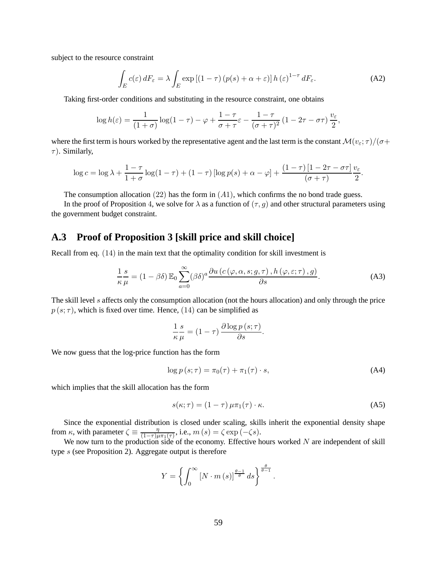subject to the resource constraint

$$
\int_{E} c(\varepsilon) dF_{\varepsilon} = \lambda \int_{E} \exp\left[ (1-\tau) \left( p(s) + \alpha + \varepsilon \right) \right] h(\varepsilon)^{1-\tau} dF_{\varepsilon}.
$$
\n(A2)

Taking first-order conditions and substituting in the resource constraint, one obtains

$$
\log h(\varepsilon) = \frac{1}{(1+\sigma)} \log(1-\tau) - \varphi + \frac{1-\tau}{\sigma+\tau} \varepsilon - \frac{1-\tau}{(\sigma+\tau)^2} (1-2\tau-\sigma\tau) \frac{v_{\varepsilon}}{2},
$$

where the first term is hours worked by the representative agent and the last term is the constant  $\mathcal{M}(v_{\varepsilon};\tau)/(\sigma +$  $\tau$ ). Similarly,

$$
\log c = \log \lambda + \frac{1-\tau}{1+\sigma} \log(1-\tau) + (1-\tau) \left[ \log p(s) + \alpha - \varphi \right] + \frac{(1-\tau) \left[ 1 - 2\tau - \sigma \tau \right] \nu_{\varepsilon}}{(\sigma + \tau)}.
$$

The consumption allocation  $(22)$  has the form in  $(A1)$ , which confirms the no bond trade guess.

In the proof of Proposition 4, we solve for  $\lambda$  as a function of  $(\tau, g)$  and other structural parameters using the government budget constraint.

## **A.3 Proof of Proposition 3 [skill price and skill choice]**

Recall from eq. (14) in the main text that the optimality condition for skill investment is

$$
\frac{1}{\kappa} \frac{s}{\mu} = (1 - \beta \delta) \mathbb{E}_0 \sum_{a=0}^{\infty} (\beta \delta)^a \frac{\partial u \left( c \left( \varphi, \alpha, s; g, \tau \right), h \left( \varphi, \varepsilon; \tau \right), g \right)}{\partial s}.
$$
 (A3)

The skill level s affects only the consumption allocation (not the hours allocation) and only through the price  $p(s; \tau)$ , which is fixed over time. Hence, (14) can be simplified as

$$
\frac{1}{\kappa} \frac{s}{\mu} = (1 - \tau) \frac{\partial \log p(s; \tau)}{\partial s}.
$$

We now guess that the log-price function has the form

$$
\log p(s; \tau) = \pi_0(\tau) + \pi_1(\tau) \cdot s,\tag{A4}
$$

which implies that the skill allocation has the form

$$
s(\kappa;\tau) = (1-\tau)\,\mu\pi_1(\tau)\cdot\kappa.\tag{A5}
$$

.

Since the exponential distribution is closed under scaling, skills inherit the exponential density shape from  $\kappa$ , with parameter  $\zeta \equiv \frac{\eta}{(1-\tau)\mu}$  $\frac{\eta}{(1-\tau)\mu\pi_1(\tau)}$ , i.e.,  $m(s) = \zeta \exp(-\zeta s)$ .

We now turn to the production side of the economy. Effective hours worked  $N$  are independent of skill type s (see Proposition 2). Aggregate output is therefore

$$
Y = \left\{ \int_0^\infty \left[ N \cdot m\left( s \right) \right]^{\frac{\theta - 1}{\theta}} ds \right\}^{\frac{\theta}{\theta - 1}}
$$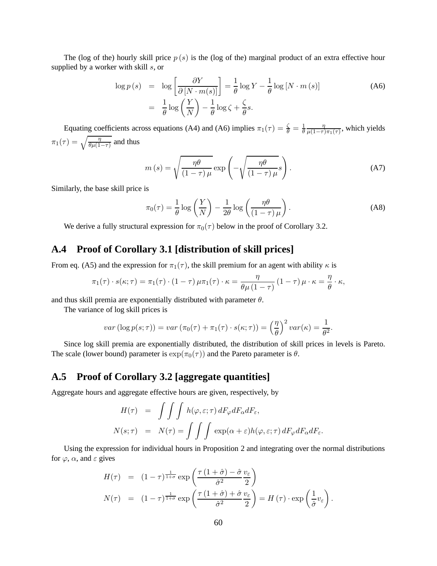The (log of the) hourly skill price  $p(s)$  is the (log of the) marginal product of an extra effective hour supplied by a worker with skill  $s$ , or

$$
\log p(s) = \log \left[ \frac{\partial Y}{\partial [N \cdot m(s)]} \right] = \frac{1}{\theta} \log Y - \frac{1}{\theta} \log [N \cdot m(s)]
$$
\n
$$
= \frac{1}{\theta} \log \left( \frac{Y}{N} \right) - \frac{1}{\theta} \log \zeta + \frac{\zeta}{\theta} s.
$$
\n(A6)

Equating coefficients across equations (A4) and (A6) implies  $\pi_1(\tau) = \frac{\zeta}{\theta} = \frac{1}{\theta}$ η  $\frac{\eta}{\mu(1-\tau)\pi_1(\tau)}$ , which yields  $\pi_1(\tau) = \sqrt{\frac{\eta}{\theta \mu(1-\tau)}}$  and thus

$$
m(s) = \sqrt{\frac{\eta \theta}{(1-\tau)\mu}} \exp\left(-\sqrt{\frac{\eta \theta}{(1-\tau)\mu}}s\right).
$$
 (A7)

Similarly, the base skill price is

$$
\pi_0(\tau) = \frac{1}{\theta} \log \left( \frac{Y}{N} \right) - \frac{1}{2\theta} \log \left( \frac{\eta \theta}{(1 - \tau) \mu} \right).
$$
 (A8)

We derive a fully structural expression for  $\pi_0(\tau)$  below in the proof of Corollary 3.2.

## **A.4 Proof of Corollary 3.1 [distribution of skill prices]**

From eq. (A5) and the expression for  $\pi_1(\tau)$ , the skill premium for an agent with ability  $\kappa$  is

$$
\pi_1(\tau) \cdot s(\kappa; \tau) = \pi_1(\tau) \cdot (1 - \tau) \mu \pi_1(\tau) \cdot \kappa = \frac{\eta}{\theta \mu (1 - \tau)} (1 - \tau) \mu \cdot \kappa = \frac{\eta}{\theta} \cdot \kappa,
$$

and thus skill premia are exponentially distributed with parameter  $\theta$ .

The variance of log skill prices is

$$
var\left(\log p(s;\tau)\right) = var\left(\pi_0(\tau) + \pi_1(\tau) \cdot s(\kappa;\tau)\right) = \left(\frac{\eta}{\theta}\right)^2 var(\kappa) = \frac{1}{\theta^2}.
$$

Since log skill premia are exponentially distributed, the distribution of skill prices in levels is Pareto. The scale (lower bound) parameter is  $\exp(\pi_0(\tau))$  and the Pareto parameter is  $\theta$ .

### **A.5 Proof of Corollary 3.2 [aggregate quantities]**

Aggregate hours and aggregate effective hours are given, respectively, by

$$
H(\tau) = \int \int \int h(\varphi, \varepsilon; \tau) dF_{\varphi} dF_{\alpha} dF_{\varepsilon},
$$
  

$$
N(s; \tau) = N(\tau) = \int \int \int \exp(\alpha + \varepsilon) h(\varphi, \varepsilon; \tau) dF_{\varphi} dF_{\alpha} dF_{\varepsilon}.
$$

Using the expression for individual hours in Proposition 2 and integrating over the normal distributions for  $\varphi$ ,  $\alpha$ , and  $\varepsilon$  gives

$$
H(\tau) = (1 - \tau)^{\frac{1}{1 + \sigma}} \exp\left(\frac{\tau (1 + \hat{\sigma}) - \hat{\sigma}}{\hat{\sigma}^2} \frac{v_{\varepsilon}}{2}\right)
$$
  

$$
N(\tau) = (1 - \tau)^{\frac{1}{1 + \sigma}} \exp\left(\frac{\tau (1 + \hat{\sigma}) + \hat{\sigma}}{\hat{\sigma}^2} \frac{v_{\varepsilon}}{2}\right) = H(\tau) \cdot \exp\left(\frac{1}{\hat{\sigma}} v_{\varepsilon}\right).
$$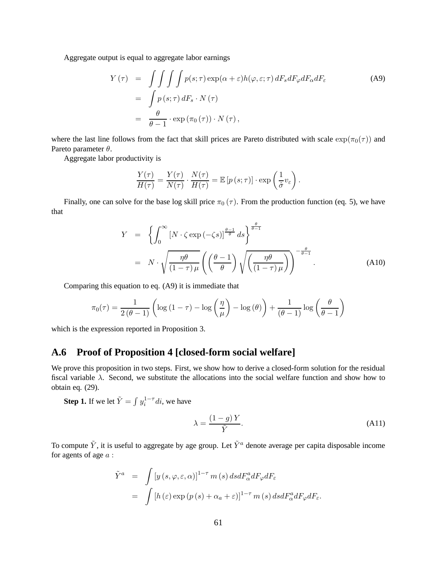Aggregate output is equal to aggregate labor earnings

$$
Y(\tau) = \int \int \int \int p(s;\tau) \exp(\alpha + \varepsilon) h(\varphi, \varepsilon; \tau) dF_s dF_{\varphi} dF_{\alpha} dF_{\varepsilon}
$$
\n
$$
= \int p(s;\tau) dF_s \cdot N(\tau)
$$
\n
$$
= \frac{\theta}{\theta - 1} \cdot \exp(\pi_0(\tau)) \cdot N(\tau),
$$
\n(A9)

where the last line follows from the fact that skill prices are Pareto distributed with scale  $\exp(\pi_0(\tau))$  and Pareto parameter  $\theta$ .

Aggregate labor productivity is

$$
\frac{Y(\tau)}{H(\tau)} = \frac{Y(\tau)}{N(\tau)} \cdot \frac{N(\tau)}{H(\tau)} = \mathbb{E}\left[p\left(s; \tau\right)\right] \cdot \exp\left(\frac{1}{\hat{\sigma}}v_{\varepsilon}\right).
$$

Finally, one can solve for the base log skill price  $\pi_0(\tau)$ . From the production function (eq. 5), we have that

$$
Y = \left\{ \int_0^\infty \left[ N \cdot \zeta \exp(-\zeta s) \right]^{\frac{\theta - 1}{\theta}} ds \right\}^{\frac{\theta}{\theta - 1}}
$$
  
=  $N \cdot \sqrt{\frac{\eta \theta}{(1 - \tau)\mu}} \left( \left( \frac{\theta - 1}{\theta} \right) \sqrt{\left( \frac{\eta \theta}{(1 - \tau)\mu} \right)} \right)^{-\frac{\theta}{\theta - 1}}.$  (A10)

Comparing this equation to eq. (A9) it is immediate that

$$
\pi_0(\tau) = \frac{1}{2(\theta - 1)} \left( \log \left( 1 - \tau \right) - \log \left( \frac{\eta}{\mu} \right) - \log (\theta) \right) + \frac{1}{(\theta - 1)} \log \left( \frac{\theta}{\theta - 1} \right)
$$

which is the expression reported in Proposition 3.

## **A.6 Proof of Proposition 4 [closed-form social welfare]**

We prove this proposition in two steps. First, we show how to derive a closed-form solution for the residual fiscal variable  $\lambda$ . Second, we substitute the allocations into the social welfare function and show how to obtain eq. (29).

**Step 1.** If we let  $\tilde{Y} = \int y_i^{1-\tau} di$ , we have

$$
\lambda = \frac{(1 - g)Y}{\tilde{Y}}.\tag{A11}
$$

To compute  $\tilde{Y}$ , it is useful to aggregate by age group. Let  $\tilde{Y}^a$  denote average per capita disposable income for agents of age a :

$$
\tilde{Y}^{a} = \int \left[ y \left( s, \varphi, \varepsilon, \alpha \right) \right]^{1-\tau} m \left( s \right) ds dF_{\alpha}^{a} dF_{\varphi} dF_{\varepsilon}
$$
\n
$$
= \int \left[ h \left( \varepsilon \right) \exp \left( p \left( s \right) + \alpha_{a} + \varepsilon \right) \right]^{1-\tau} m \left( s \right) ds dF_{\alpha}^{a} dF_{\varphi} dF_{\varepsilon}.
$$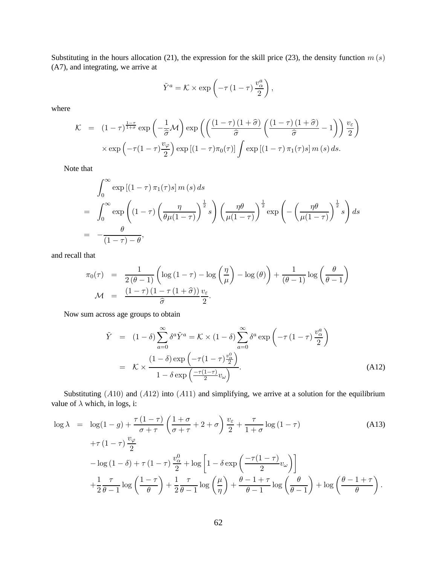Substituting in the hours allocation (21), the expression for the skill price (23), the density function  $m(s)$ (A7), and integrating, we arrive at

$$
\tilde{Y}^a = \mathcal{K} \times \exp\left(-\tau \left(1-\tau\right) \frac{v_\alpha^a}{2}\right),\,
$$

where

$$
\mathcal{K} = (1 - \tau)^{\frac{1 - \tau}{1 + \sigma}} \exp\left(-\frac{1}{\hat{\sigma}}\mathcal{M}\right) \exp\left(\left(\frac{(1 - \tau)(1 + \hat{\sigma})}{\hat{\sigma}}\left(\frac{(1 - \tau)(1 + \hat{\sigma})}{\hat{\sigma}} - 1\right)\right) \frac{v_{\varepsilon}}{2}\right)
$$

$$
\times \exp\left(-\tau(1 - \tau)\frac{v_{\varphi}}{2}\right) \exp\left[(1 - \tau)\pi_0(\tau)\right] \int \exp\left[(1 - \tau)\pi_1(\tau)s\right] m(s) ds.
$$

Note that

$$
\int_0^\infty \exp\left[(1-\tau)\,\pi_1(\tau)s\right] m\,(s)\,ds
$$
\n
$$
= \int_0^\infty \exp\left((1-\tau)\left(\frac{\eta}{\theta\mu(1-\tau)}\right)^{\frac{1}{2}}s\right) \left(\frac{\eta\theta}{\mu(1-\tau)}\right)^{\frac{1}{2}} \exp\left(-\left(\frac{\eta\theta}{\mu(1-\tau)}\right)^{\frac{1}{2}}s\right)ds
$$
\n
$$
= -\frac{\theta}{(1-\tau)-\theta},
$$

and recall that

$$
\pi_0(\tau) = \frac{1}{2(\theta - 1)} \left( \log (1 - \tau) - \log \left( \frac{\eta}{\mu} \right) - \log (\theta) \right) + \frac{1}{(\theta - 1)} \log \left( \frac{\theta}{\theta - 1} \right)
$$

$$
\mathcal{M} = \frac{(1 - \tau)(1 - \tau(1 + \hat{\sigma}))}{\hat{\sigma}} \frac{v_{\varepsilon}}{2}.
$$

Now sum across age groups to obtain

$$
\tilde{Y} = (1 - \delta) \sum_{a=0}^{\infty} \delta^a \tilde{Y}^a = \mathcal{K} \times (1 - \delta) \sum_{a=0}^{\infty} \delta^a \exp\left(-\tau (1 - \tau) \frac{v_\alpha^a}{2}\right)
$$
\n
$$
= \mathcal{K} \times \frac{(1 - \delta) \exp\left(-\tau (1 - \tau) \frac{v_\alpha^0}{2}\right)}{1 - \delta \exp\left(\frac{-\tau (1 - \tau)}{2} v_\omega\right)}.
$$
\n(A12)

Substituting  $(A10)$  and  $(A12)$  into  $(A11)$  and simplifying, we arrive at a solution for the equilibrium value of  $\lambda$  which, in logs, i:

$$
\log \lambda = \log(1 - g) + \frac{\tau (1 - \tau)}{\sigma + \tau} \left( \frac{1 + \sigma}{\sigma + \tau} + 2 + \sigma \right) \frac{v_{\varepsilon}}{2} + \frac{\tau}{1 + \sigma} \log(1 - \tau) \tag{A13}
$$
\n
$$
+ \tau (1 - \tau) \frac{v_{\varphi}}{2}
$$
\n
$$
- \log(1 - \delta) + \tau (1 - \tau) \frac{v_{\alpha}^{0}}{2} + \log \left[ 1 - \delta \exp\left( \frac{-\tau (1 - \tau)}{2} v_{\omega} \right) \right]
$$
\n
$$
+ \frac{1}{2} \frac{\tau}{\theta - 1} \log \left( \frac{1 - \tau}{\theta} \right) + \frac{1}{2} \frac{\tau}{\theta - 1} \log \left( \frac{\mu}{\eta} \right) + \frac{\theta - 1 + \tau}{\theta - 1} \log \left( \frac{\theta}{\theta - 1} \right) + \log \left( \frac{\theta - 1 + \tau}{\theta} \right).
$$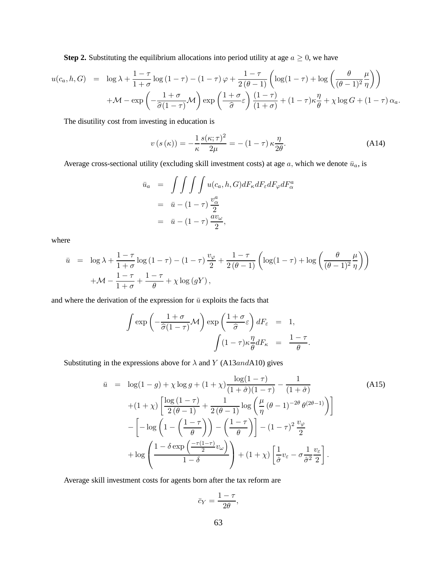**Step 2.** Substituting the equilibrium allocations into period utility at age  $a \ge 0$ , we have

$$
u(c_a, h, G) = \log \lambda + \frac{1-\tau}{1+\sigma} \log (1-\tau) - (1-\tau) \varphi + \frac{1-\tau}{2(\theta-1)} \left( \log(1-\tau) + \log \left( \frac{\theta}{(\theta-1)^2} \frac{\mu}{\eta} \right) \right)
$$

$$
+ \mathcal{M} - \exp \left( -\frac{1+\sigma}{\hat{\sigma}(1-\tau)} \mathcal{M} \right) \exp \left( \frac{1+\sigma}{\hat{\sigma}} \varepsilon \right) \frac{(1-\tau)}{(1+\sigma)} + (1-\tau) \kappa \frac{\eta}{\theta} + \chi \log G + (1-\tau) \alpha_a.
$$

The disutility cost from investing in education is

$$
v(s(\kappa)) = -\frac{1}{\kappa} \frac{s(\kappa;\tau)^2}{2\mu} = -(1-\tau)\kappa \frac{\eta}{2\theta}.
$$
 (A14)

Average cross-sectional utility (excluding skill investment costs) at age a, which we denote  $\bar{u}_a$ , is

$$
\bar{u}_a = \int \int \int \int u(c_a, h, G) dF_{\kappa} dF_{\epsilon} dF_{\varphi} dF_a^a
$$
  
=  $\bar{u} - (1 - \tau) \frac{v_\alpha^a}{2}$   
=  $\bar{u} - (1 - \tau) \frac{av_\omega}{2}$ ,

where

$$
\bar{u} = \log \lambda + \frac{1-\tau}{1+\sigma} \log (1-\tau) - (1-\tau) \frac{v_{\varphi}}{2} + \frac{1-\tau}{2(\theta-1)} \left( \log(1-\tau) + \log \left( \frac{\theta}{(\theta-1)^2} \frac{\mu}{\eta} \right) \right)
$$

$$
+ \mathcal{M} - \frac{1-\tau}{1+\sigma} + \frac{1-\tau}{\theta} + \chi \log (gY),
$$

and where the derivation of the expression for  $\bar{u}$  exploits the facts that

$$
\int \exp\left(-\frac{1+\sigma}{\hat{\sigma}(1-\tau)}\mathcal{M}\right) \exp\left(\frac{1+\sigma}{\hat{\sigma}}\varepsilon\right) dF_{\varepsilon} = 1,
$$

$$
\int (1-\tau)\kappa \frac{\eta}{\theta} dF_{\kappa} = \frac{1-\tau}{\theta}.
$$

Substituting in the expressions above for  $\lambda$  and Y (A13andA10) gives

$$
\bar{u} = \log(1-g) + \chi \log g + (1+\chi) \frac{\log(1-\tau)}{(1+\hat{\sigma})(1-\tau)} - \frac{1}{(1+\hat{\sigma})}
$$
(A15)  
+(1+\chi)  $\left[ \frac{\log(1-\tau)}{2(\theta-1)} + \frac{1}{2(\theta-1)} \log \left( \frac{\mu}{\eta} (\theta-1)^{-2\theta} \theta^{(2\theta-1)} \right) \right]$   

$$
- \left[ -\log \left( 1 - \left( \frac{1-\tau}{\theta} \right) \right) - \left( \frac{1-\tau}{\theta} \right) \right] - (1-\tau)^2 \frac{v_{\varphi}}{2}
$$
  
+ 
$$
\log \left( \frac{1-\delta \exp \left( \frac{-\tau(1-\tau)}{2} v_{\omega} \right)}{1-\delta} \right) + (1+\chi) \left[ \frac{1}{\hat{\sigma}} v_{\varepsilon} - \sigma \frac{1}{\hat{\sigma}^2} \frac{v_{\varepsilon}}{2} \right].
$$

Average skill investment costs for agents born after the tax reform are

$$
\bar{c}_Y = \frac{1-\tau}{2\theta},
$$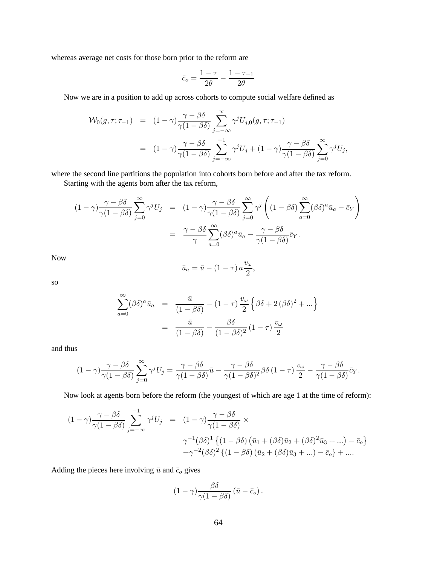whereas average net costs for those born prior to the reform are

$$
\bar{c}_o = \frac{1-\tau}{2\theta} - \frac{1-\tau_{-1}}{2\theta}
$$

Now we are in a position to add up across cohorts to compute social welfare defined as

$$
\mathcal{W}_0(g,\tau;\tau_{-1}) = (1-\gamma) \frac{\gamma - \beta \delta}{\gamma (1-\beta \delta)} \sum_{j=-\infty}^{\infty} \gamma^j U_{j,0}(g,\tau;\tau_{-1})
$$
  
= 
$$
(1-\gamma) \frac{\gamma - \beta \delta}{\gamma (1-\beta \delta)} \sum_{j=-\infty}^{-1} \gamma^j U_j + (1-\gamma) \frac{\gamma - \beta \delta}{\gamma (1-\beta \delta)} \sum_{j=0}^{\infty} \gamma^j U_j,
$$

where the second line partitions the population into cohorts born before and after the tax reform.

Starting with the agents born after the tax reform,

$$
(1 - \gamma) \frac{\gamma - \beta \delta}{\gamma (1 - \beta \delta)} \sum_{j=0}^{\infty} \gamma^j U_j = (1 - \gamma) \frac{\gamma - \beta \delta}{\gamma (1 - \beta \delta)} \sum_{j=0}^{\infty} \gamma^j \left( (1 - \beta \delta) \sum_{a=0}^{\infty} (\beta \delta)^a \bar{u}_a - \bar{c}_Y \right)
$$

$$
= \frac{\gamma - \beta \delta}{\gamma} \sum_{a=0}^{\infty} (\beta \delta)^a \bar{u}_a - \frac{\gamma - \beta \delta}{\gamma (1 - \beta \delta)} \bar{c}_Y.
$$

Now

$$
\bar{u}_a = \bar{u} - (1 - \tau) a \frac{v_\omega}{2},
$$

so

$$
\sum_{a=0}^{\infty} (\beta \delta)^a \bar{u}_a = \frac{\bar{u}}{(1 - \beta \delta)} - (1 - \tau) \frac{v_\omega}{2} \left\{ \beta \delta + 2 (\beta \delta)^2 + \dots \right\}
$$

$$
= \frac{\bar{u}}{(1 - \beta \delta)} - \frac{\beta \delta}{(1 - \beta \delta)^2} (1 - \tau) \frac{v_\omega}{2}
$$

and thus

$$
(1 - \gamma) \frac{\gamma - \beta \delta}{\gamma (1 - \beta \delta)} \sum_{j=0}^{\infty} \gamma^j U_j = \frac{\gamma - \beta \delta}{\gamma (1 - \beta \delta)} \bar{u} - \frac{\gamma - \beta \delta}{\gamma (1 - \beta \delta)^2} \beta \delta (1 - \tau) \frac{v_{\omega}}{2} - \frac{\gamma - \beta \delta}{\gamma (1 - \beta \delta)} \bar{c}_Y.
$$

Now look at agents born before the reform (the youngest of which are age 1 at the time of reform):

$$
(1 - \gamma) \frac{\gamma - \beta \delta}{\gamma (1 - \beta \delta)} \sum_{j = -\infty}^{-1} \gamma^j U_j = (1 - \gamma) \frac{\gamma - \beta \delta}{\gamma (1 - \beta \delta)} \times \n\gamma^{-1} (\beta \delta)^1 \{ (1 - \beta \delta) (\bar{u}_1 + (\beta \delta) \bar{u}_2 + (\beta \delta)^2 \bar{u}_3 + \ldots) - \bar{c}_o \} \n+ \gamma^{-2} (\beta \delta)^2 \{ (1 - \beta \delta) (\bar{u}_2 + (\beta \delta) \bar{u}_3 + \ldots) - \bar{c}_o \} + \ldots
$$

Adding the pieces here involving  $\bar{u}$  and  $\bar{c}_o$  gives

$$
(1 - \gamma) \frac{\beta \delta}{\gamma (1 - \beta \delta)} (\bar{u} - \bar{c}_o) .
$$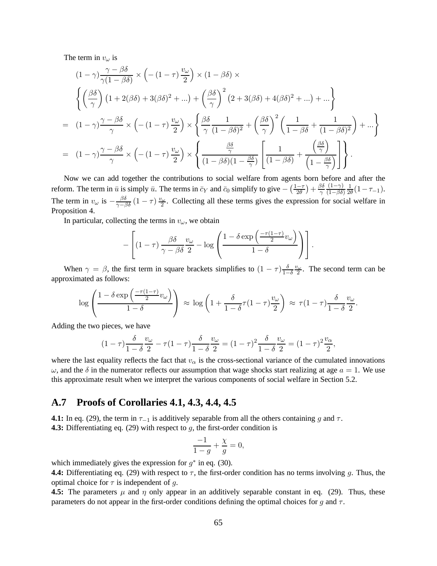The term in  $v_\omega$  is

$$
(1 - \gamma) \frac{\gamma - \beta \delta}{\gamma (1 - \beta \delta)} \times \left( -(1 - \tau) \frac{v_{\omega}}{2} \right) \times (1 - \beta \delta) \times
$$
\n
$$
\left\{ \left( \frac{\beta \delta}{\gamma} \right) (1 + 2(\beta \delta) + 3(\beta \delta)^2 + \dots) + \left( \frac{\beta \delta}{\gamma} \right)^2 (2 + 3(\beta \delta) + 4(\beta \delta)^2 + \dots) + \dots \right\}
$$
\n
$$
= (1 - \gamma) \frac{\gamma - \beta \delta}{\gamma} \times \left( -(1 - \tau) \frac{v_{\omega}}{2} \right) \times \left\{ \frac{\beta \delta}{\gamma} \frac{1}{(1 - \beta \delta)^2} + \left( \frac{\beta \delta}{\gamma} \right)^2 \left( \frac{1}{1 - \beta \delta} + \frac{1}{(1 - \beta \delta)^2} \right) + \dots \right\}
$$
\n
$$
= (1 - \gamma) \frac{\gamma - \beta \delta}{\gamma} \times \left( -(1 - \tau) \frac{v_{\omega}}{2} \right) \times \left\{ \frac{\frac{\beta \delta}{\gamma}}{(1 - \beta \delta)(1 - \frac{\beta \delta}{\gamma})} \left[ \frac{1}{(1 - \beta \delta)} + \frac{\left( \frac{\beta \delta}{\gamma} \right)}{\left( 1 - \frac{\beta \delta}{\gamma} \right)} \right] \right\}.
$$

Now we can add together the contributions to social welfare from agents born before and after the reform. The term in  $\bar{u}$  is simply  $\bar{u}$ . The terms in  $\bar{c}_Y$  and  $\bar{c}_0$  simplify to give  $-\left(\frac{1-\tau}{2\theta}\right)$  $\frac{(-\tau)}{2\theta}$  +  $\frac{\beta\delta}{\gamma}$ γ  $(1-\gamma)$  $(1-\beta\delta)$  $\frac{1}{2\theta}(1-\tau_{-1}).$ The term in  $v_\omega$  is  $-\frac{\beta \delta}{\gamma - \beta \delta} (1 - \tau) \frac{v_\omega}{2}$ . Collecting all these terms gives the expression for social welfare in Proposition 4.

In particular, collecting the terms in  $v_\omega$ , we obtain

$$
-\left[ (1-\tau) \frac{\beta \delta}{\gamma-\beta \delta} \frac{v_{\omega}}{2} - \log \left( \frac{1-\delta \exp\left(\frac{-\tau(1-\tau)}{2}v_{\omega}\right)}{1-\delta} \right) \right].
$$

When  $\gamma = \beta$ , the first term in square brackets simplifies to  $(1 - \tau) \frac{\delta}{1 - \tau}$  $\frac{\delta}{1-\delta} \frac{v_\omega}{2}$ . The second term can be approximated as follows:

$$
\log\left(\frac{1-\delta\exp\left(\frac{-\tau(1-\tau)}{2}v_{\omega}\right)}{1-\delta}\right) \approx \log\left(1+\frac{\delta}{1-\delta}\tau(1-\tau)\frac{v_{\omega}}{2}\right) \approx \tau(1-\tau)\frac{\delta}{1-\delta}\frac{v_{\omega}}{2}.
$$

Adding the two pieces, we have

$$
(1 - \tau) \frac{\delta}{1 - \delta} \frac{v_{\omega}}{2} - \tau (1 - \tau) \frac{\delta}{1 - \delta} \frac{v_{\omega}}{2} = (1 - \tau)^2 \frac{\delta}{1 - \delta} \frac{v_{\omega}}{2} = (1 - \tau)^2 \frac{v_{\alpha}}{2},
$$

where the last equality reflects the fact that  $v_\alpha$  is the cross-sectional variance of the cumulated innovations  $\omega$ , and the  $\delta$  in the numerator reflects our assumption that wage shocks start realizing at age  $a = 1$ . We use this approximate result when we interpret the various components of social welfare in Section 5.2.

## **A.7 Proofs of Corollaries 4.1, 4.3, 4.4, 4.5**

**4.1:** In eq. (29), the term in  $\tau_{-1}$  is additively separable from all the others containing g and  $\tau$ . **4.3:** Differentiating eq. (29) with respect to g, the first-order condition is

$$
\frac{-1}{1-g} + \frac{\chi}{g} = 0,
$$

which immediately gives the expression for  $g^*$  in eq. (30).

**4.4:** Differentiating eq. (29) with respect to  $\tau$ , the first-order condition has no terms involving g. Thus, the optimal choice for  $\tau$  is independent of g.

**4.5:** The parameters  $\mu$  and  $\eta$  only appear in an additively separable constant in eq. (29). Thus, these parameters do not appear in the first-order conditions defining the optimal choices for g and  $\tau$ .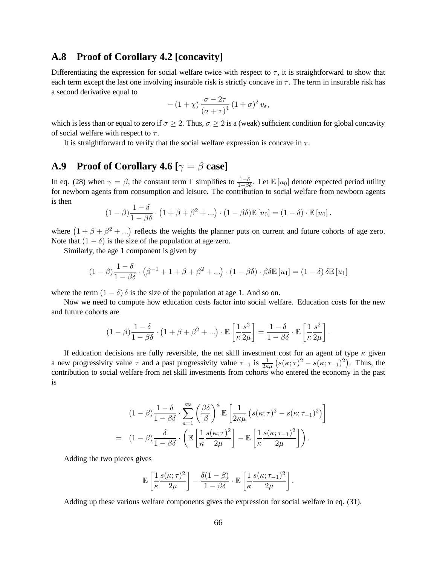## **A.8 Proof of Corollary 4.2 [concavity]**

Differentiating the expression for social welfare twice with respect to  $\tau$ , it is straightforward to show that each term except the last one involving insurable risk is strictly concave in  $\tau$ . The term in insurable risk has a second derivative equal to

$$
-(1+\chi)\frac{\sigma-2\tau}{\left(\sigma+\tau\right)^{4}}\left(1+\sigma\right)^{2}v_{\varepsilon},
$$

which is less than or equal to zero if  $\sigma \geq 2$ . Thus,  $\sigma \geq 2$  is a (weak) sufficient condition for global concavity of social welfare with respect to  $\tau$ .

It is straightforward to verify that the social welfare expression is concave in  $\tau$ .

## **A.9** Proof of Corollary 4.6  $[\gamma = \beta \text{ case}]$

In eq. (28) when  $\gamma = \beta$ , the constant term  $\Gamma$  simplifies to  $\frac{1-\delta}{1-\beta\delta}$ . Let  $\mathbb{E}[u_0]$  denote expected period utility for newborn agents from consumption and leisure. The contribution to social welfare from newborn agents is then

$$
(1 - \beta) \frac{1 - \delta}{1 - \beta \delta} \cdot (1 + \beta + \beta^2 + \ldots) \cdot (1 - \beta \delta) \mathbb{E} [u_0] = (1 - \delta) \cdot \mathbb{E} [u_0].
$$

where  $(1 + \beta + \beta^2 + ...)$  reflects the weights the planner puts on current and future cohorts of age zero. Note that  $(1 - \delta)$  is the size of the population at age zero.

Similarly, the age 1 component is given by

$$
(1 - \beta) \frac{1 - \delta}{1 - \beta \delta} \cdot (\beta^{-1} + 1 + \beta + \beta^2 + \ldots) \cdot (1 - \beta \delta) \cdot \beta \delta \mathbb{E} [u_1] = (1 - \delta) \delta \mathbb{E} [u_1]
$$

where the term  $(1 - \delta)$   $\delta$  is the size of the population at age 1. And so on.

Now we need to compute how education costs factor into social welfare. Education costs for the new and future cohorts are

$$
(1 - \beta) \frac{1 - \delta}{1 - \beta \delta} \cdot (1 + \beta + \beta^2 + \ldots) \cdot \mathbb{E}\left[\frac{1}{\kappa} \frac{s^2}{2\mu}\right] = \frac{1 - \delta}{1 - \beta \delta} \cdot \mathbb{E}\left[\frac{1}{\kappa} \frac{s^2}{2\mu}\right].
$$

If education decisions are fully reversible, the net skill investment cost for an agent of type  $\kappa$  given a new progressivity value  $\tau$  and a past progressivity value  $\tau_{-1}$  is  $\frac{1}{2\kappa\mu}\left(s(\kappa;\tau)^2 - s(\kappa;\tau_{-1})^2\right)$ . Thus, the contribution to social welfare from net skill investments from cohorts who entered the economy in the past is

$$
(1 - \beta) \frac{1 - \delta}{1 - \beta \delta} \cdot \sum_{a=1}^{\infty} \left( \frac{\beta \delta}{\beta} \right)^a \mathbb{E} \left[ \frac{1}{2\kappa \mu} \left( s(\kappa; \tau)^2 - s(\kappa; \tau_{-1})^2 \right) \right]
$$
  
= 
$$
(1 - \beta) \frac{\delta}{1 - \beta \delta} \cdot \left( \mathbb{E} \left[ \frac{1}{\kappa} \frac{s(\kappa; \tau)^2}{2\mu} \right] - \mathbb{E} \left[ \frac{1}{\kappa} \frac{s(\kappa; \tau_{-1})^2}{2\mu} \right] \right).
$$

Adding the two pieces gives

$$
\mathbb{E}\left[\frac{1}{\kappa}\frac{s(\kappa;\tau)^2}{2\mu}\right] - \frac{\delta(1-\beta)}{1-\beta\delta} \cdot \mathbb{E}\left[\frac{1}{\kappa}\frac{s(\kappa;\tau_{-1})^2}{2\mu}\right].
$$

Adding up these various welfare components gives the expression for social welfare in eq. (31).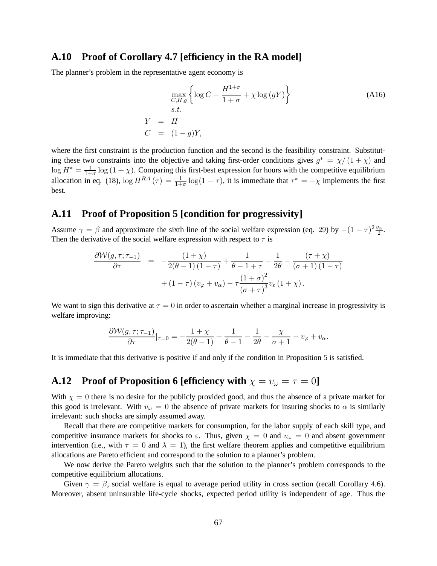## **A.10 Proof of Corollary 4.7 [efficiency in the RA model]**

The planner's problem in the representative agent economy is

$$
\max_{\substack{C,H,g \\ G,H,g}} \left\{ \log C - \frac{H^{1+\sigma}}{1+\sigma} + \chi \log (gY) \right\}
$$
\n
$$
s.t.
$$
\n
$$
Y = H
$$
\n
$$
C = (1-g)Y,
$$
\n(A16)

where the first constraint is the production function and the second is the feasibility constraint. Substituting these two constraints into the objective and taking first-order conditions gives  $g^* = \chi/(1+\chi)$  and  $\log H^* = \frac{1}{1+\sigma} \log(1+\chi)$ . Comparing this first-best expression for hours with the competitive equilibrium allocation in eq. (18),  $\log H^{RA}(\tau) = \frac{1}{1+\sigma} \log(1-\tau)$ , it is immediate that  $\tau^* = -\chi$  implements the first best.

#### **A.11 Proof of Proposition 5 [condition for progressivity]**

Assume  $\gamma = \beta$  and approximate the sixth line of the social welfare expression (eq. 29) by  $-(1 - \tau)^2 \frac{v_{\alpha}}{2}$ . Then the derivative of the social welfare expression with respect to  $\tau$  is

$$
\frac{\partial \mathcal{W}(g,\tau;\tau_{-1})}{\partial \tau} = -\frac{(1+\chi)}{2(\theta-1)(1-\tau)} + \frac{1}{\theta-1+\tau} - \frac{1}{2\theta} - \frac{(\tau+\chi)}{(\sigma+1)(1-\tau)} + (1-\tau)(v_{\varphi}+v_{\alpha}) - \tau \frac{(1+\sigma)^2}{(\sigma+\tau)^3} v_{\varepsilon} (1+\chi).
$$

We want to sign this derivative at  $\tau = 0$  in order to ascertain whether a marginal increase in progressivity is welfare improving:

$$
\frac{\partial \mathcal{W}(g,\tau;\tau_{-1})}{\partial \tau}|_{\tau=0} = -\frac{1+\chi}{2(\theta-1)} + \frac{1}{\theta-1} - \frac{1}{2\theta} - \frac{\chi}{\sigma+1} + v_{\varphi} + v_{\alpha}.
$$

It is immediate that this derivative is positive if and only if the condition in Proposition 5 is satisfied.

## **A.12 Proof of Proposition 6 [efficiency with**  $\chi = v_\omega = \tau = 0$ ]

With  $\chi = 0$  there is no desire for the publicly provided good, and thus the absence of a private market for this good is irrelevant. With  $v_\omega = 0$  the absence of private markets for insuring shocks to  $\alpha$  is similarly irrelevant: such shocks are simply assumed away.

Recall that there are competitive markets for consumption, for the labor supply of each skill type, and competitive insurance markets for shocks to  $\varepsilon$ . Thus, given  $\chi = 0$  and  $v_\omega = 0$  and absent government intervention (i.e., with  $\tau = 0$  and  $\lambda = 1$ ), the first welfare theorem applies and competitive equilibrium allocations are Pareto efficient and correspond to the solution to a planner's problem.

We now derive the Pareto weights such that the solution to the planner's problem corresponds to the competitive equilibrium allocations.

Given  $\gamma = \beta$ , social welfare is equal to average period utility in cross section (recall Corollary 4.6). Moreover, absent uninsurable life-cycle shocks, expected period utility is independent of age. Thus the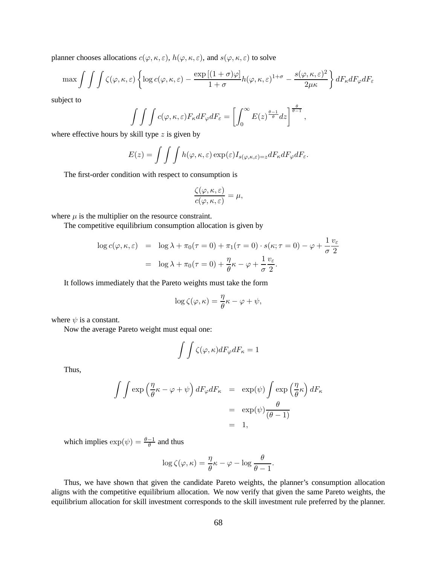planner chooses allocations  $c(\varphi, \kappa, \varepsilon)$ ,  $h(\varphi, \kappa, \varepsilon)$ , and  $s(\varphi, \kappa, \varepsilon)$  to solve

$$
\max \int \int \int \zeta(\varphi,\kappa,\varepsilon) \left\{ \log c(\varphi,\kappa,\varepsilon) - \frac{\exp [(1+\sigma)\varphi]}{1+\sigma} h(\varphi,\kappa,\varepsilon)^{1+\sigma} - \frac{s(\varphi,\kappa,\varepsilon)^2}{2\mu\kappa} \right\} dF_{\kappa} dF_{\varphi} dF_{\varepsilon}
$$

subject to

$$
\int \int \int c(\varphi, \kappa, \varepsilon) F_{\kappa} dF_{\varphi} dF_{\varepsilon} = \left[ \int_0^{\infty} E(z)^{\frac{\theta - 1}{\theta}} dz \right]^{\frac{\theta}{\theta - 1}},
$$

where effective hours by skill type  $z$  is given by

$$
E(z) = \int \int \int h(\varphi, \kappa, \varepsilon) \exp(\varepsilon) I_{s(\varphi, \kappa, \varepsilon) = z} dF_{\kappa} dF_{\varphi} dF_{\varepsilon}.
$$

The first-order condition with respect to consumption is

$$
\frac{\zeta(\varphi,\kappa,\varepsilon)}{c(\varphi,\kappa,\varepsilon)}=\mu,
$$

where  $\mu$  is the multiplier on the resource constraint.

The competitive equilibrium consumption allocation is given by

$$
\log c(\varphi, \kappa, \varepsilon) = \log \lambda + \pi_0(\tau = 0) + \pi_1(\tau = 0) \cdot s(\kappa; \tau = 0) - \varphi + \frac{1}{\sigma} \frac{v_{\varepsilon}}{2}
$$

$$
= \log \lambda + \pi_0(\tau = 0) + \frac{\eta}{\theta} \kappa - \varphi + \frac{1}{\sigma} \frac{v_{\varepsilon}}{2}.
$$

It follows immediately that the Pareto weights must take the form

$$
\log \zeta(\varphi, \kappa) = \frac{\eta}{\theta} \kappa - \varphi + \psi,
$$

where  $\psi$  is a constant.

Now the average Pareto weight must equal one:

$$
\int \int \zeta(\varphi, \kappa) dF_\varphi dF_\kappa = 1
$$

Thus,

$$
\int \int \exp\left(\frac{\eta}{\theta}\kappa - \varphi + \psi\right) dF_{\varphi} dF_{\kappa} = \exp(\psi) \int \exp\left(\frac{\eta}{\theta}\kappa\right) dF_{\kappa}
$$

$$
= \exp(\psi) \frac{\theta}{(\theta - 1)}
$$

$$
= 1,
$$

which implies  $\exp(\psi) = \frac{\theta - 1}{\theta}$  and thus

$$
\log \zeta(\varphi,\kappa) = \frac{\eta}{\theta}\kappa - \varphi - \log \frac{\theta}{\theta - 1}.
$$

Thus, we have shown that given the candidate Pareto weights, the planner's consumption allocation aligns with the competitive equilibrium allocation. We now verify that given the same Pareto weights, the equilibrium allocation for skill investment corresponds to the skill investment rule preferred by the planner.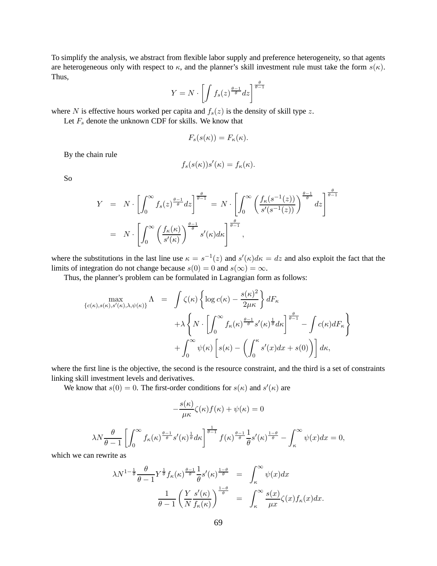To simplify the analysis, we abstract from flexible labor supply and preference heterogeneity, so that agents are heterogeneous only with respect to  $\kappa$ , and the planner's skill investment rule must take the form  $s(\kappa)$ . Thus,  $\frac{\theta}{-1}$ 

$$
Y = N \cdot \left[ \int f_s(z)^{\frac{\theta - 1}{\theta}} dz \right]^{\frac{\theta}{\theta - 1}}
$$

where N is effective hours worked per capita and  $f_s(z)$  is the density of skill type z.

Let  $F_s$  denote the unknown CDF for skills. We know that

$$
F_s(s(\kappa)) = F_{\kappa}(\kappa).
$$

By the chain rule

$$
f_s(s(\kappa))s'(\kappa) = f_\kappa(\kappa).
$$

So

$$
Y = N \cdot \left[ \int_0^\infty f_s(z)^{\frac{\theta-1}{\theta}} dz \right]^{\frac{\theta}{\theta-1}} = N \cdot \left[ \int_0^\infty \left( \frac{f_\kappa(s^{-1}(z))}{s'(s^{-1}(z))} \right)^{\frac{\theta-1}{\theta}} dz \right]^{\frac{\theta}{\theta-1}}
$$
  
=  $N \cdot \left[ \int_0^\infty \left( \frac{f_\kappa(\kappa)}{s'(\kappa)} \right)^{\frac{\theta-1}{\theta}} s'(\kappa) d\kappa \right]^{\frac{\theta}{\theta-1}},$ 

where the substitutions in the last line use  $\kappa = s^{-1}(z)$  and  $s'(\kappa)d\kappa = dz$  and also exploit the fact that the limits of integration do not change because  $s(0) = 0$  and  $s(\infty) = \infty$ .

Thus, the planner's problem can be formulated in Lagrangian form as follows:

$$
\begin{split} \max_{\{c(\kappa),s(\kappa),s'(\kappa),\lambda,\psi(\kappa)\}}\Lambda &= \int \zeta(\kappa) \left\{ \log c(\kappa) - \frac{s(\kappa)^2}{2\mu\kappa} \right\} dF_{\kappa} \\ &\quad + \lambda \left\{ N \cdot \left[ \int_0^\infty f_\kappa(\kappa) \frac{\theta - 1}{\theta} s'(\kappa) \frac{1}{\theta} d\kappa \right] \frac{\theta}{\theta - 1} - \int c(\kappa) dF_{\kappa} \right\} \\ &\quad + \int_0^\infty \psi(\kappa) \left[ s(\kappa) - \left( \int_0^\kappa s'(x) dx + s(0) \right) \right] d\kappa, \end{split}
$$

where the first line is the objective, the second is the resource constraint, and the third is a set of constraints linking skill investment levels and derivatives.

We know that  $s(0) = 0$ . The first-order conditions for  $s(\kappa)$  and  $s'(\kappa)$  are

$$
-\frac{s(\kappa)}{\mu\kappa}\zeta(\kappa)f(\kappa)+\psi(\kappa)=0
$$

$$
\lambda N \frac{\theta}{\theta - 1} \left[ \int_0^\infty f_\kappa(\kappa)^{\frac{\theta - 1}{\theta}} s'(\kappa)^{\frac{1}{\theta}} d\kappa \right]^{\frac{1}{\theta - 1}} f(\kappa)^{\frac{\theta - 1}{\theta}} \frac{1}{\theta} s'(\kappa)^{\frac{1 - \theta}{\theta}} - \int_\kappa^\infty \psi(x) dx = 0,
$$

which we can rewrite as

$$
\lambda N^{1-\frac{1}{\theta}} \frac{\theta}{\theta-1} Y^{\frac{1}{\theta}} f_{\kappa}(\kappa)^{\frac{\theta-1}{\theta}} \frac{1}{\theta} s'(\kappa)^{\frac{1-\theta}{\theta}} = \int_{\kappa}^{\infty} \psi(x) dx
$$

$$
\frac{1}{\theta-1} \left( \frac{Y}{N} \frac{s'(\kappa)}{f_{\kappa}(\kappa)} \right)^{\frac{1-\theta}{\theta}} = \int_{\kappa}^{\infty} \frac{s(x)}{\mu x} \zeta(x) f_{\kappa}(x) dx.
$$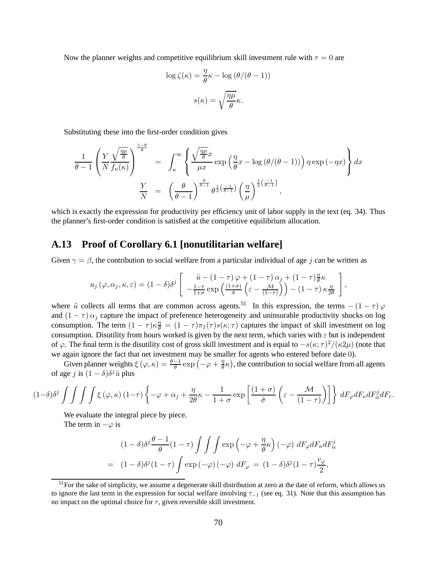Now the planner weights and competitive equilibrium skill investment rule with  $\tau = 0$  are

$$
\log \zeta(\kappa) = \frac{\eta}{\theta} \kappa - \log (\theta/(\theta - 1))
$$

$$
s(\kappa) = \sqrt{\frac{\eta \mu}{\theta}} \kappa.
$$

Substituting these into the first-order condition gives

$$
\frac{1}{\theta - 1} \left( \frac{Y}{N} \frac{\sqrt{\frac{\eta \mu}{\theta}}}{f_{\kappa}(\kappa)} \right)^{\frac{1-\theta}{\theta}} = \int_{\kappa}^{\infty} \left\{ \frac{\sqrt{\frac{\eta \mu}{\theta}} x}{\mu x} \exp\left(\frac{\eta}{\theta} x - \log(\theta/(\theta - 1))\right) \eta \exp(-\eta x) \right\} dx
$$

$$
\frac{Y}{N} = \left(\frac{\theta}{\theta - 1}\right)^{\frac{\theta}{\theta - 1}} \theta^{\frac{1}{2}\left(\frac{-1}{\theta - 1}\right)} \left(\frac{\eta}{\mu}\right)^{\frac{1}{2}\left(\frac{-1}{\theta - 1}\right)},
$$

which is exactly the expression for productivity per efficiency unit of labor supply in the text (eq. 34). Thus the planner's first-order condition is satisfied at the competitive equilibrium allocation.

#### **A.13 Proof of Corollary 6.1 [nonutilitarian welfare]**

Given  $\gamma = \beta$ , the contribution to social welfare from a particular individual of age j can be written as

$$
u_j(\varphi, \alpha_j, \kappa, \varepsilon) = (1 - \delta)\delta^j \left[ \begin{array}{c} \tilde{u} - (1 - \tau)\varphi + (1 - \tau)\alpha_j + (1 - \tau)\frac{\eta}{\theta}\kappa \\ -\frac{1 - \tau}{1 + \sigma} \exp\left(\frac{(1 + \sigma)}{\hat{\sigma}}\left(\varepsilon - \frac{\mathcal{M}}{(1 - \tau)}\right)\right) - (1 - \tau)\kappa \frac{\eta}{2\theta} \end{array} \right],
$$

where  $\tilde{u}$  collects all terms that are common across agents.<sup>51</sup> In this expression, the terms –  $(1 - \tau)\varphi$ and  $(1 - \tau) \alpha_i$  capture the impact of preference heterogeneity and uninsurable productivity shocks on log consumption. The term  $(1 - \tau)\kappa \frac{\eta}{\theta} = (1 - \tau)\pi_1(\tau)s(\kappa; \tau)$  captures the impact of skill investment on log consumption. Disutility from hours worked is given by the next term, which varies with  $\varepsilon$  but is independent of  $\varphi$ . The final term is the disutility cost of gross skill investment and is equal to  $-s(\kappa;\tau)^2/(\kappa 2\mu)$  (note that we again ignore the fact that net investment may be smaller for agents who entered before date 0).

Given planner weights  $\xi(\varphi, \kappa) = \frac{\theta - 1}{\theta} \exp(-\varphi + \frac{\eta}{\theta})$  $\frac{\eta}{\theta} \kappa$ ), the contribution to social welfare from all agents of age *j* is  $(1 - \delta)\delta^j \tilde{u}$  plus

$$
(1-\delta)\delta^{j}\int\int\int\int\xi\left(\varphi,\kappa\right)(1-\tau)\left\{-\varphi+\alpha_{j}+\frac{\eta}{2\theta}\kappa-\frac{1}{1+\sigma}\exp\left[\frac{(1+\sigma)}{\hat{\sigma}}\left(\varepsilon-\frac{\mathcal{M}}{(1-\tau)}\right)\right]\right\}dF_{\varphi}dF_{\kappa}dF_{\alpha}^{j}dF_{\varepsilon}.
$$

We evaluate the integral piece by piece.

The term in  $-\varphi$  is

$$
(1 - \delta)\delta^j \frac{\theta - 1}{\theta} (1 - \tau) \int \int \int \exp\left(-\varphi + \frac{\eta}{\theta} \kappa\right) (-\varphi) dF_{\varphi} dF_{\kappa} dF_{\alpha}^j
$$
  
= 
$$
(1 - \delta)\delta^j (1 - \tau) \int \exp\left(-\varphi\right) (-\varphi) dF_{\varphi} = (1 - \delta)\delta^j (1 - \tau) \frac{v_{\varphi}}{2},
$$

 $<sup>51</sup>$  For the sake of simplicity, we assume a degenerate skill distribution at zero at the date of reform, which allows us</sup> to ignore the last term in the expression for social welfare involving  $\tau_{-1}$  (see eq. 31). Note that this assumption has no impact on the optimal choice for  $\tau$ , given reversible skill investment.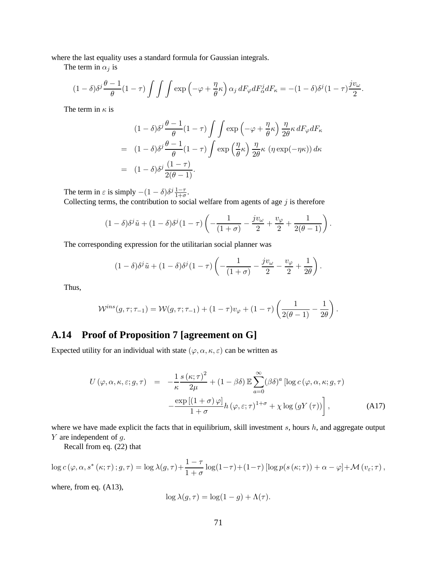where the last equality uses a standard formula for Gaussian integrals.

The term in  $\alpha_i$  is

$$
(1-\delta)\delta^j\frac{\theta-1}{\theta}(1-\tau)\int\int\int\exp\left(-\varphi+\frac{\eta}{\theta}\kappa\right)\alpha_j dF_{\varphi}dF_{\alpha}^j dF_{\kappa}=-(1-\delta)\delta^j(1-\tau)\frac{jv_{\omega}}{2}.
$$

The term in  $\kappa$  is

$$
(1 - \delta)\delta^j \frac{\theta - 1}{\theta} (1 - \tau) \int \int \exp\left(-\varphi + \frac{\eta}{\theta} \kappa\right) \frac{\eta}{2\theta} \kappa dF_{\varphi} dF_{\kappa}
$$
  
= 
$$
(1 - \delta)\delta^j \frac{\theta - 1}{\theta} (1 - \tau) \int \exp\left(\frac{\eta}{\theta} \kappa\right) \frac{\eta}{2\theta} \kappa \left(\eta \exp(-\eta \kappa)\right) d\kappa
$$
  
= 
$$
(1 - \delta)\delta^j \frac{(1 - \tau)}{2(\theta - 1)}.
$$

The term in  $\varepsilon$  is simply  $-(1 - \delta)\delta^j \frac{1-\tau}{1+\sigma}$ . Collecting terms, the contribution to social welfare from agents of age  $j$  is therefore

$$
(1-\delta)\delta^{j}\tilde{u} + (1-\delta)\delta^{j}(1-\tau)\left(-\frac{1}{(1+\sigma)}-\frac{jv_{\omega}}{2}+\frac{v_{\varphi}}{2}+\frac{1}{2(\theta-1)}\right).
$$

The corresponding expression for the utilitarian social planner was

$$
(1-\delta)\delta^{j}\tilde{u} + (1-\delta)\delta^{j}(1-\tau)\left(-\frac{1}{(1+\sigma)}-\frac{jv_{\omega}}{2}-\frac{v_{\varphi}}{2}+\frac{1}{2\theta}\right).
$$

Thus,

$$
\mathcal{W}^{ins}(g,\tau;\tau_{-1})=\mathcal{W}(g,\tau;\tau_{-1})+(1-\tau)v_{\varphi}+(1-\tau)\left(\frac{1}{2(\theta-1)}-\frac{1}{2\theta}\right).
$$

## **A.14 Proof of Proposition 7 [agreement on G]**

Expected utility for an individual with state  $(\varphi, \alpha, \kappa, \varepsilon)$  can be written as

$$
U(\varphi, \alpha, \kappa, \varepsilon; g, \tau) = -\frac{1}{\kappa} \frac{s(\kappa; \tau)^2}{2\mu} + (1 - \beta \delta) \mathbb{E} \sum_{a=0}^{\infty} (\beta \delta)^a [\log c(\varphi, \alpha, \kappa; g, \tau)] - \frac{\exp[(1 + \sigma)\varphi]}{1 + \sigma} h(\varphi, \varepsilon; \tau)^{1 + \sigma} + \chi \log(gY(\tau)) \Big],
$$
 (A17)

where we have made explicit the facts that in equilibrium, skill investment  $s$ , hours  $h$ , and aggregate output  $Y$  are independent of  $q$ .

Recall from eq. (22) that

$$
\log c(\varphi, \alpha, s^*(\kappa; \tau); g, \tau) = \log \lambda(g, \tau) + \frac{1-\tau}{1+\sigma} \log(1-\tau) + (1-\tau) \left[ \log p(s(\kappa; \tau)) + \alpha - \varphi \right] + \mathcal{M}(v_{\varepsilon}; \tau),
$$

where, from eq. (A13),

$$
\log \lambda(g,\tau) = \log(1-g) + \Lambda(\tau).
$$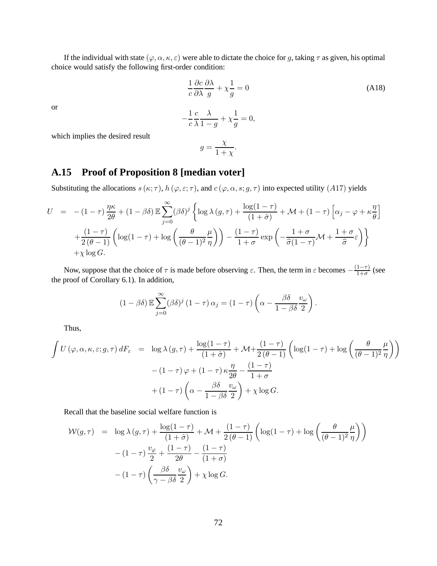If the individual with state  $(\varphi, \alpha, \kappa, \varepsilon)$  were able to dictate the choice for g, taking  $\tau$  as given, his optimal choice would satisfy the following first-order condition:

$$
\frac{1}{c}\frac{\partial c}{\partial \lambda}\frac{\partial \lambda}{g} + \chi \frac{1}{g} = 0
$$
 (A18)

or

$$
-\frac{1}{c}\frac{c}{\lambda}\frac{\lambda}{1-g} + \chi\frac{1}{g} = 0,
$$

which implies the desired result

$$
g = \frac{\chi}{1 + \chi}.
$$

## **A.15 Proof of Proposition 8 [median voter]**

Substituting the allocations  $s(\kappa; \tau)$ ,  $h(\varphi, \varepsilon; \tau)$ , and  $c(\varphi, \alpha, s; g, \tau)$  into expected utility (A17) yields

$$
U = -(1-\tau)\frac{\eta\kappa}{2\theta} + (1-\beta\delta) \mathbb{E} \sum_{j=0}^{\infty} (\beta\delta)^j \left\{ \log \lambda (g,\tau) + \frac{\log(1-\tau)}{(1+\hat{\sigma})} + \mathcal{M} + (1-\tau) \left[ \alpha_j - \varphi + \kappa \frac{\eta}{\theta} \right] \right\}
$$

$$
+ \frac{(1-\tau)}{2(\theta-1)} \left( \log(1-\tau) + \log\left(\frac{\theta}{(\theta-1)^2} \frac{\mu}{\eta} \right) \right) - \frac{(1-\tau)}{1+\sigma} \exp\left(-\frac{1+\sigma}{\hat{\sigma}(1-\tau)} \mathcal{M} + \frac{1+\sigma}{\hat{\sigma}} \varepsilon \right) \right\}
$$

$$
+ \chi \log G.
$$

Now, suppose that the choice of  $\tau$  is made before observing  $\varepsilon$ . Then, the term in  $\varepsilon$  becomes  $-\frac{(1-\tau)}{1+\sigma}$  $\frac{1-\tau}{1+\sigma}$  (see the proof of Corollary 6.1). In addition,

$$
(1 - \beta \delta) \mathbb{E} \sum_{j=0}^{\infty} (\beta \delta)^j (1 - \tau) \alpha_j = (1 - \tau) \left( \alpha - \frac{\beta \delta}{1 - \beta \delta} \frac{v_{\omega}}{2} \right).
$$

Thus,

$$
\int U(\varphi, \alpha, \kappa, \varepsilon; g, \tau) dF_{\varepsilon} = \log \lambda(g, \tau) + \frac{\log(1-\tau)}{(1+\hat{\sigma})} + \mathcal{M} + \frac{(1-\tau)}{2(\theta-1)} \left( \log(1-\tau) + \log \left( \frac{\theta}{(\theta-1)^2} \frac{\mu}{\eta} \right) \right)
$$

$$
- (1-\tau)\varphi + (1-\tau)\kappa \frac{\eta}{2\theta} - \frac{(1-\tau)}{1+\sigma}
$$

$$
+ (1-\tau)\left( \alpha - \frac{\beta \delta}{1-\beta \delta} \frac{v_{\omega}}{2} \right) + \chi \log G.
$$

Recall that the baseline social welfare function is

$$
\mathcal{W}(g,\tau) = \log \lambda(g,\tau) + \frac{\log(1-\tau)}{(1+\hat{\sigma})} + \mathcal{M} + \frac{(1-\tau)}{2(\theta-1)} \left( \log(1-\tau) + \log\left(\frac{\theta}{(\theta-1)^2} \frac{\mu}{\eta}\right) \right)
$$

$$
- (1-\tau) \frac{v_{\varphi}}{2} + \frac{(1-\tau)}{2\theta} - \frac{(1-\tau)}{(1+\sigma)}
$$

$$
- (1-\tau) \left( \frac{\beta \delta}{\gamma - \beta \delta} \frac{v_{\omega}}{2} \right) + \chi \log G.
$$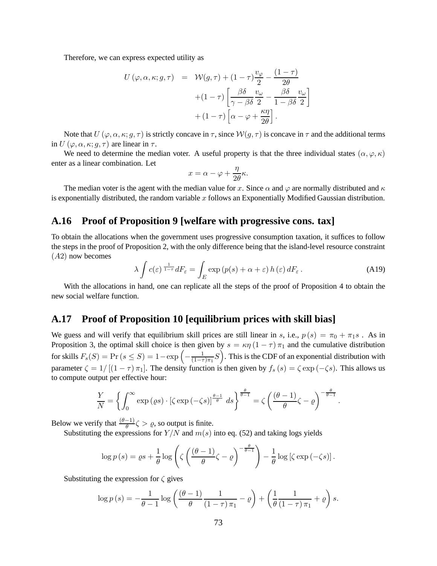Therefore, we can express expected utility as

$$
U(\varphi, \alpha, \kappa; g, \tau) = W(g, \tau) + (1 - \tau) \frac{v_{\varphi}}{2} - \frac{(1 - \tau)}{2\theta} + (1 - \tau) \left[ \frac{\beta \delta}{\gamma - \beta \delta} \frac{v_{\omega}}{2} - \frac{\beta \delta}{1 - \beta \delta} \frac{v_{\omega}}{2} \right] + (1 - \tau) \left[ \alpha - \varphi + \frac{\kappa \eta}{2\theta} \right].
$$

Note that  $U(\varphi, \alpha, \kappa; g, \tau)$  is strictly concave in  $\tau$ , since  $W(g, \tau)$  is concave in  $\tau$  and the additional terms in  $U(\varphi, \alpha, \kappa; q, \tau)$  are linear in  $\tau$ .

We need to determine the median voter. A useful property is that the three individual states  $(\alpha, \varphi, \kappa)$ enter as a linear combination. Let

$$
x = \alpha - \varphi + \frac{\eta}{2\theta} \kappa.
$$

The median voter is the agent with the median value for x. Since  $\alpha$  and  $\varphi$  are normally distributed and  $\kappa$ is exponentially distributed, the random variable  $x$  follows an Exponentially Modified Gaussian distribution.

## **A.16 Proof of Proposition 9 [welfare with progressive cons. tax]**

To obtain the allocations when the government uses progressive consumption taxation, it suffices to follow the steps in the proof of Proposition 2, with the only difference being that the island-level resource constraint  $(A2)$  now becomes

$$
\lambda \int c(\varepsilon)^{\frac{1}{1-\tau}} dF_{\varepsilon} = \int_{E} \exp(p(s) + \alpha + \varepsilon) h(\varepsilon) dF_{\varepsilon}.
$$
 (A19)

With the allocations in hand, one can replicate all the steps of the proof of Proposition 4 to obtain the new social welfare function.

## **A.17 Proof of Proposition 10 [equilibrium prices with skill bias]**

We guess and will verify that equilibrium skill prices are still linear in s, i.e.,  $p(s) = \pi_0 + \pi_1 s$ . As in Proposition 3, the optimal skill choice is then given by  $s = \kappa \eta (1 - \tau) \pi_1$  and the cumulative distribution for skills  $F_s(S) = Pr(s \leq S) = 1 - exp \left(-\frac{1}{(1-\tau)}\right)$  $\left(\frac{1}{(1-\tau)\pi_1}S\right)$ . This is the CDF of an exponential distribution with parameter  $\zeta = 1/[(1 - \tau)\pi_1]$ . The density function is then given by  $f_s(s) = \zeta \exp(-\zeta s)$ . This allows us to compute output per effective hour:

$$
\frac{Y}{N} = \left\{ \int_0^\infty \exp\left(\varrho s\right) \cdot \left[\zeta \exp\left(-\zeta s\right)\right]^{\frac{\theta-1}{\theta}} ds \right\}^{\frac{\theta}{\theta-1}} = \zeta \left( \frac{(\theta-1)}{\theta} \zeta - \varrho \right)^{-\frac{\theta}{\theta-1}}.
$$

Below we verify that  $\frac{(\theta-1)}{\theta} \zeta > \varrho$ , so output is finite.

Substituting the expressions for  $Y/N$  and  $m(s)$  into eq. (52) and taking logs yields

$$
\log p(s) = \varrho s + \frac{1}{\theta} \log \left( \zeta \left( \frac{(\theta - 1)}{\theta} \zeta - \varrho \right)^{-\frac{\theta}{\theta - 1}} \right) - \frac{1}{\theta} \log \left[ \zeta \exp(-\zeta s) \right].
$$

Substituting the expression for  $\zeta$  gives

$$
\log p\left(s\right) = -\frac{1}{\theta - 1} \log \left( \frac{\left(\theta - 1\right)}{\theta} \frac{1}{\left(1 - \tau\right) \pi_1} - \varrho \right) + \left( \frac{1}{\theta} \frac{1}{\left(1 - \tau\right) \pi_1} + \varrho \right) s.
$$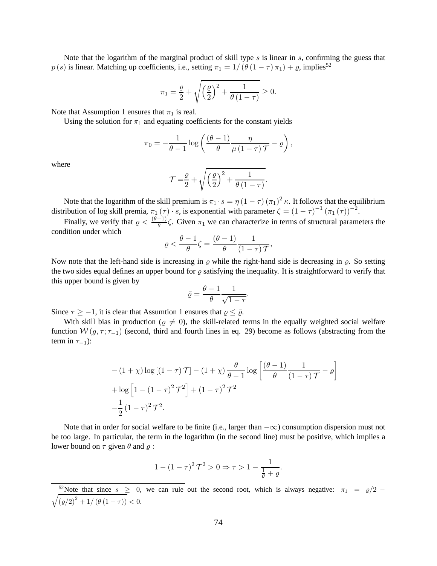Note that the logarithm of the marginal product of skill type  $s$  is linear in  $s$ , confirming the guess that  $p(s)$  is linear. Matching up coefficients, i.e., setting  $\pi_1 = 1/(\theta (1 - \tau) \pi_1) + \varrho$ , implies<sup>52</sup>

$$
\pi_1 = \frac{\varrho}{2} + \sqrt{\left(\frac{\varrho}{2}\right)^2 + \frac{1}{\theta(1-\tau)}} \ge 0.
$$

Note that Assumption 1 ensures that  $\pi_1$  is real.

Using the solution for  $\pi_1$  and equating coefficients for the constant yields

$$
\pi_0 = -\frac{1}{\theta - 1} \log \left( \frac{(\theta - 1)}{\theta} \frac{\eta}{\mu (1 - \tau) \mathcal{T}} - \varrho \right),\,
$$

where

$$
\mathcal{T} = \frac{\varrho}{2} + \sqrt{\left(\frac{\varrho}{2}\right)^2 + \frac{1}{\theta(1-\tau)}}.
$$

Note that the logarithm of the skill premium is  $\pi_1 \cdot s = \eta (1 - \tau) (\pi_1)^2 \kappa$ . It follows that the equilibrium distribution of log skill premia,  $\pi_1(\tau) \cdot s$ , is exponential with parameter  $\zeta = (1 - \tau)^{-1} (\pi_1(\tau))^{-2}$ .

Finally, we verify that  $\varrho < \frac{(\theta - 1)}{\theta} \zeta$ . Given  $\pi_1$  we can characterize in terms of structural parameters the condition under which

$$
\varrho < \frac{\theta - 1}{\theta} \zeta = \frac{(\theta - 1)}{\theta} \frac{1}{(1 - \tau) \mathcal{T}},
$$

Now note that the left-hand side is increasing in  $\rho$  while the right-hand side is decreasing in  $\rho$ . So setting the two sides equal defines an upper bound for  $\varrho$  satisfying the inequality. It is straightforward to verify that this upper bound is given by

$$
\bar{\varrho} = \frac{\theta - 1}{\theta} \frac{1}{\sqrt{1 - \tau}}.
$$

Since  $\tau \ge -1$ , it is clear that Assumtion 1 ensures that  $\rho \le \overline{\rho}$ .

With skill bias in production ( $\varrho \neq 0$ ), the skill-related terms in the equally weighted social welfare function  $W(g, \tau; \tau_{-1})$  (second, third and fourth lines in eq. 29) become as follows (abstracting from the term in  $\tau_{-1}$ ):

$$
-(1+\chi)\log\left[(1-\tau)\mathcal{T}\right] - (1+\chi)\frac{\theta}{\theta-1}\log\left[\frac{(\theta-1)}{\theta}\frac{1}{(1-\tau)\mathcal{T}}-\varrho\right]
$$

$$
+\log\left[1-(1-\tau)^2\mathcal{T}^2\right] + (1-\tau)^2\mathcal{T}^2
$$

$$
-\frac{1}{2}(1-\tau)^2\mathcal{T}^2.
$$

Note that in order for social welfare to be finite (i.e., larger than  $-\infty$ ) consumption dispersion must not be too large. In particular, the term in the logarithm (in the second line) must be positive, which implies a lower bound on  $\tau$  given  $\theta$  and  $\rho$ :

$$
1 - (1 - \tau)^2 \mathcal{T}^2 > 0 \Rightarrow \tau > 1 - \frac{1}{\frac{1}{\theta} + \varrho}.
$$

<sup>&</sup>lt;sup>52</sup>Note that since  $s \geq 0$ , we can rule out the second root, which is always negative:  $\pi_1 = \varrho/2$  –  $\sqrt{\left(\varrho/2\right)^{2} + 1/\left(\theta\left(1-\tau\right)\right)} < 0.$